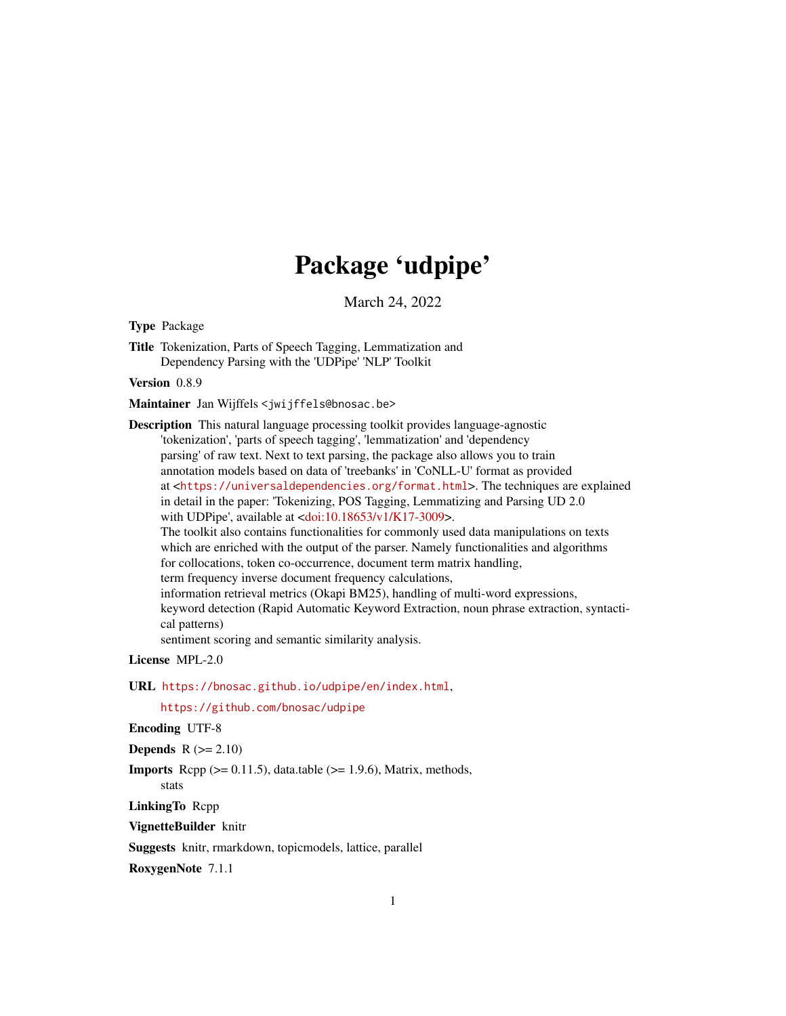# Package 'udpipe'

March 24, 2022

<span id="page-0-0"></span>Type Package

Title Tokenization, Parts of Speech Tagging, Lemmatization and Dependency Parsing with the 'UDPipe' 'NLP' Toolkit

Version 0.8.9

Maintainer Jan Wijffels <jwijffels@bnosac.be>

Description This natural language processing toolkit provides language-agnostic 'tokenization', 'parts of speech tagging', 'lemmatization' and 'dependency parsing' of raw text. Next to text parsing, the package also allows you to train annotation models based on data of 'treebanks' in 'CoNLL-U' format as provided at <<https://universaldependencies.org/format.html>>. The techniques are explained in detail in the paper: 'Tokenizing, POS Tagging, Lemmatizing and Parsing UD 2.0 with UDPipe', available at [<doi:10.18653/v1/K17-3009>](https://doi.org/10.18653/v1/K17-3009). The toolkit also contains functionalities for commonly used data manipulations on texts which are enriched with the output of the parser. Namely functionalities and algorithms for collocations, token co-occurrence, document term matrix handling, term frequency inverse document frequency calculations, information retrieval metrics (Okapi BM25), handling of multi-word expressions, keyword detection (Rapid Automatic Keyword Extraction, noun phrase extraction, syntactical patterns) sentiment scoring and semantic similarity analysis.

License MPL-2.0

URL <https://bnosac.github.io/udpipe/en/index.html>,

<https://github.com/bnosac/udpipe>

Encoding UTF-8

Depends  $R (= 2.10)$ 

**Imports** Rcpp  $(>= 0.11.5)$ , data.table  $(>= 1.9.6)$ , Matrix, methods, stats

LinkingTo Rcpp

VignetteBuilder knitr

Suggests knitr, rmarkdown, topicmodels, lattice, parallel

RoxygenNote 7.1.1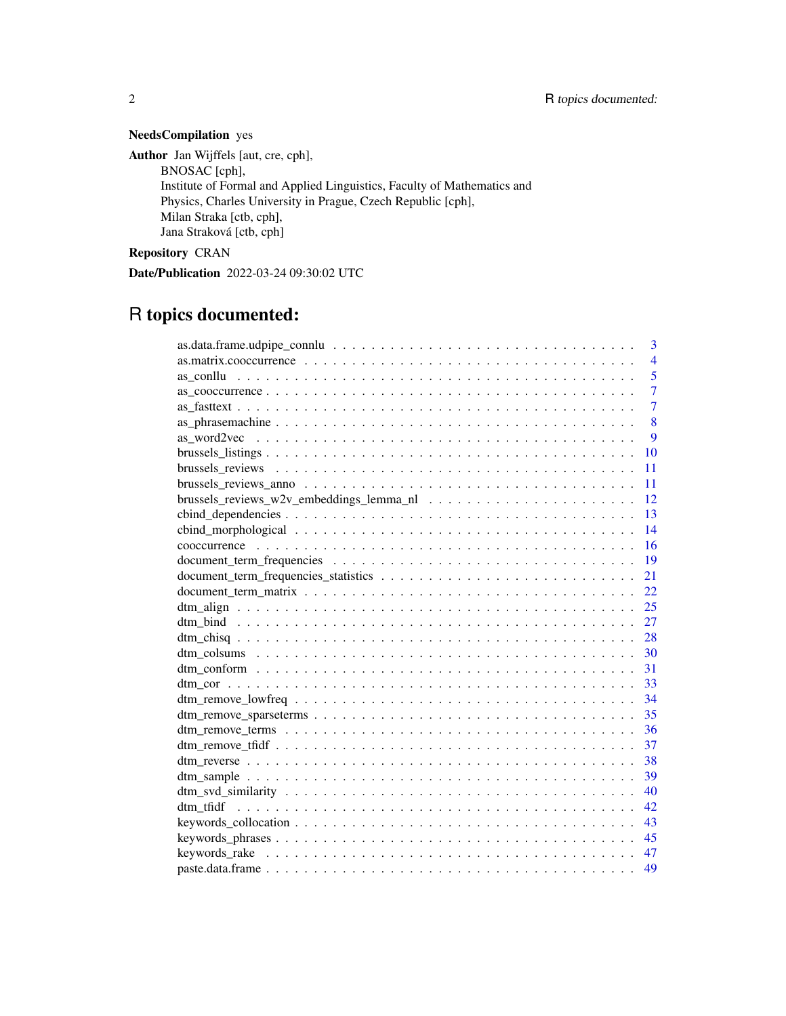### NeedsCompilation yes

Author Jan Wijffels [aut, cre, cph], BNOSAC [cph], Institute of Formal and Applied Linguistics, Faculty of Mathematics and Physics, Charles University in Prague, Czech Republic [cph], Milan Straka [ctb, cph], Jana Straková [ctb, cph]

Repository CRAN

Date/Publication 2022-03-24 09:30:02 UTC

## R topics documented:

| 3              |
|----------------|
| $\overline{4}$ |
| $\overline{5}$ |
| $\overline{7}$ |
| $\overline{7}$ |
| 8              |
| 9              |
| 10             |
| 11             |
| 11             |
| 12             |
| 13             |
| 14             |
| 16             |
| 19             |
| 21             |
| 22             |
| 25             |
| 27             |
| 28             |
| 30             |
| 31             |
|                |
|                |
| 35             |
| 36             |
| 37             |
| 38             |
| 39             |
| 40             |
| 42             |
| 43             |
| 45             |
| 47             |
| 49             |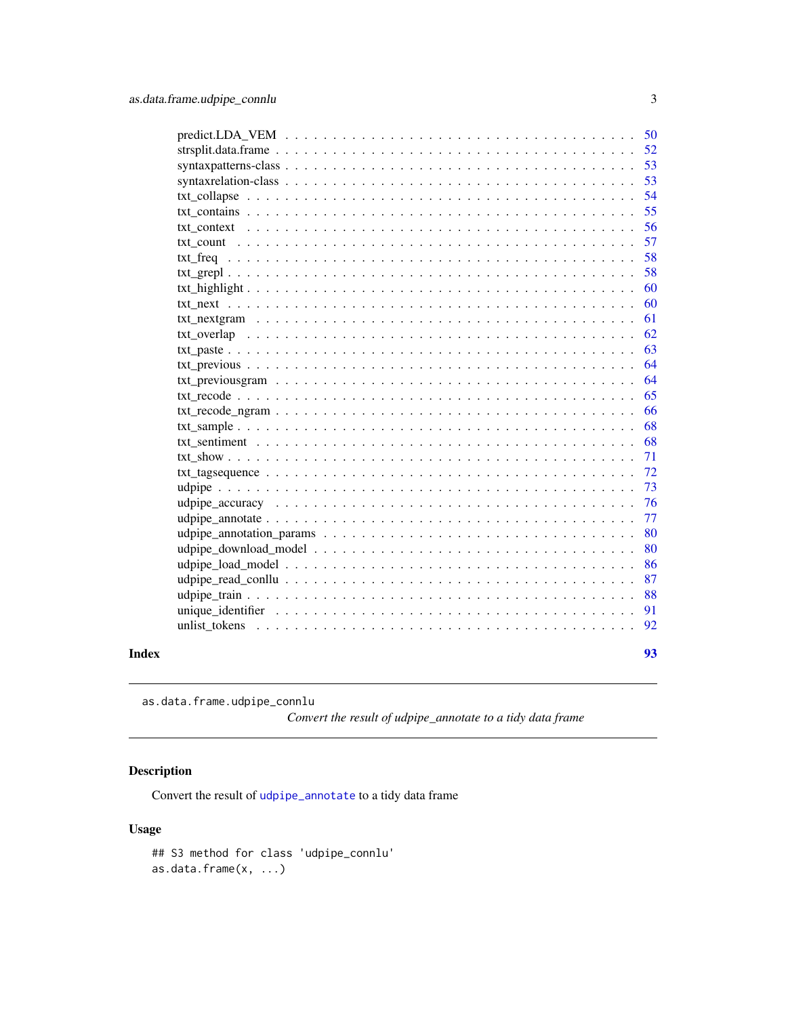<span id="page-2-0"></span>

|       |                                                                                                                            | 53 |
|-------|----------------------------------------------------------------------------------------------------------------------------|----|
|       |                                                                                                                            | 53 |
|       |                                                                                                                            | 54 |
|       |                                                                                                                            | 55 |
|       |                                                                                                                            | 56 |
|       |                                                                                                                            | 57 |
|       |                                                                                                                            | 58 |
|       |                                                                                                                            | 58 |
|       |                                                                                                                            | 60 |
|       |                                                                                                                            | 60 |
|       |                                                                                                                            | 61 |
|       |                                                                                                                            | 62 |
|       |                                                                                                                            | 63 |
|       |                                                                                                                            | 64 |
|       |                                                                                                                            | 64 |
|       |                                                                                                                            | 65 |
|       | $txt_recode_ngram \ldots \ldots \ldots \ldots \ldots \ldots \ldots \ldots \ldots \ldots \ldots \ldots \ldots$              | 66 |
|       |                                                                                                                            | 68 |
|       |                                                                                                                            | 68 |
|       |                                                                                                                            | 71 |
|       | $txt_{\text{tagsequence}} \dots \dots \dots \dots \dots \dots \dots \dots \dots \dots \dots \dots \dots \dots \dots \dots$ | 72 |
|       |                                                                                                                            | 73 |
|       |                                                                                                                            | 76 |
|       |                                                                                                                            | 77 |
|       |                                                                                                                            | 80 |
|       |                                                                                                                            | 80 |
|       |                                                                                                                            | 86 |
|       |                                                                                                                            | 87 |
|       |                                                                                                                            | 88 |
|       |                                                                                                                            | 91 |
|       |                                                                                                                            | 92 |
| Index |                                                                                                                            | 93 |

as.data.frame.udpipe\_connlu

*Convert the result of udpipe\_annotate to a tidy data frame*

### Description

Convert the result of [udpipe\\_annotate](#page-76-1) to a tidy data frame

### Usage

```
## S3 method for class 'udpipe_connlu'
as.data.frame(x, ...)
```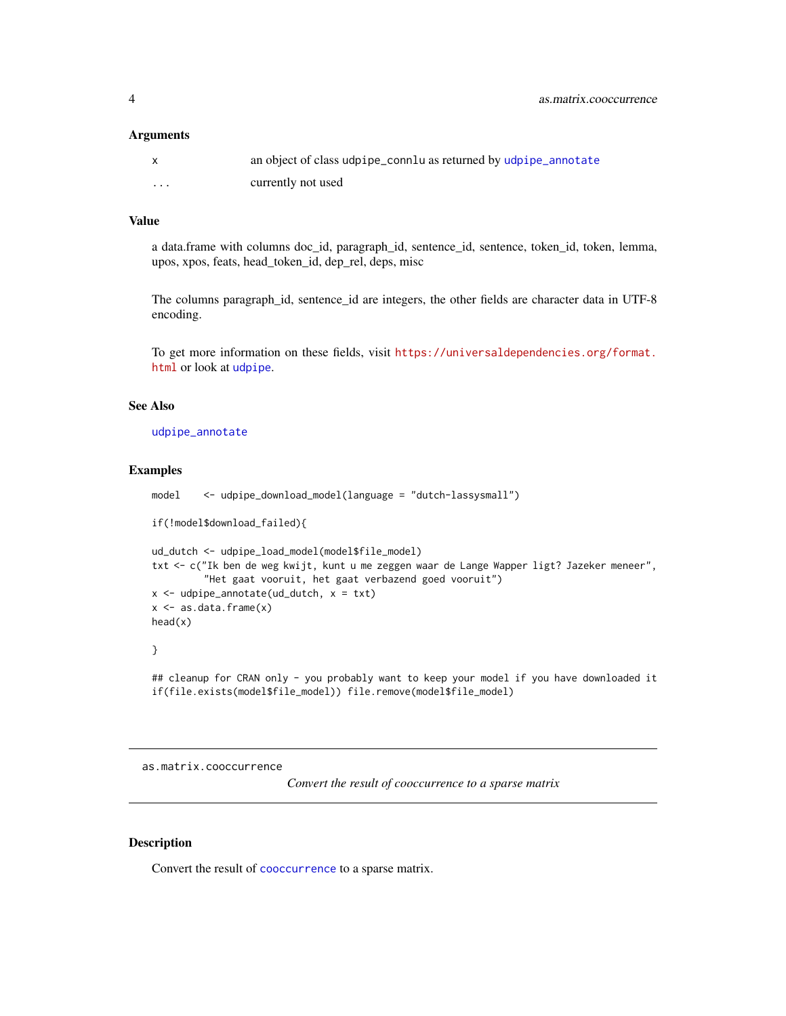#### <span id="page-3-0"></span>**Arguments**

|   | an object of class udpipe_connlu as returned by udpipe_annotate |
|---|-----------------------------------------------------------------|
| . | currently not used                                              |

### Value

a data.frame with columns doc\_id, paragraph\_id, sentence\_id, sentence, token\_id, token, lemma, upos, xpos, feats, head\_token\_id, dep\_rel, deps, misc

The columns paragraph\_id, sentence\_id are integers, the other fields are character data in UTF-8 encoding.

To get more information on these fields, visit [https://universaldependencies.org/format.](https://universaldependencies.org/format.html) [html](https://universaldependencies.org/format.html) or look at [udpipe](#page-72-1).

### See Also

[udpipe\\_annotate](#page-76-1)

### Examples

```
if(!model$download_failed){
ud_dutch <- udpipe_load_model(model$file_model)
txt <- c("Ik ben de weg kwijt, kunt u me zeggen waar de Lange Wapper ligt? Jazeker meneer",
         "Het gaat vooruit, het gaat verbazend goed vooruit")
x \leq udpipe_annotate(ud_dutch, x = txt)
x \leftarrow as.data-frame(x)head(x)
}
```
model <- udpipe\_download\_model(language = "dutch-lassysmall")

## cleanup for CRAN only - you probably want to keep your model if you have downloaded it if(file.exists(model\$file\_model)) file.remove(model\$file\_model)

as.matrix.cooccurrence

*Convert the result of cooccurrence to a sparse matrix*

### Description

Convert the result of [cooccurrence](#page-15-1) to a sparse matrix.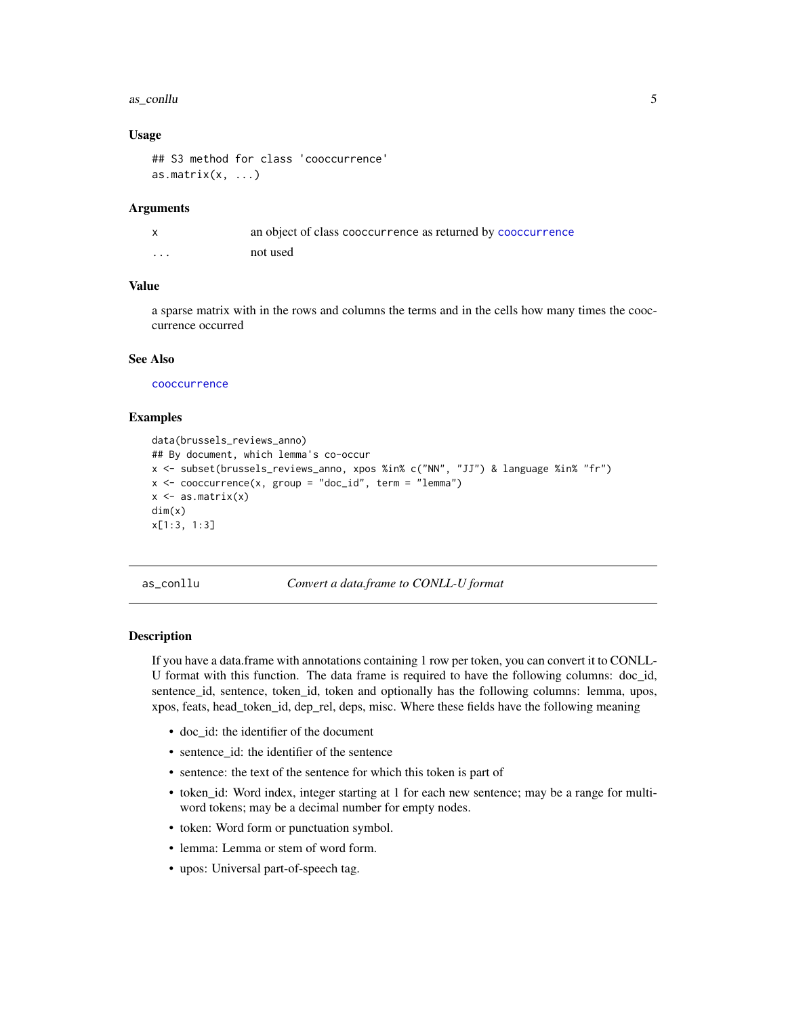#### <span id="page-4-0"></span>as\_conllu 5

### Usage

```
## S3 method for class 'cooccurrence'
as.matrix(x, \ldots)
```
#### Arguments

|                         | an object of class cooccurrence as returned by cooccurrence |
|-------------------------|-------------------------------------------------------------|
| $\cdot$ $\cdot$ $\cdot$ | not used                                                    |

### Value

a sparse matrix with in the rows and columns the terms and in the cells how many times the cooccurrence occurred

### See Also

[cooccurrence](#page-15-1)

### Examples

```
data(brussels_reviews_anno)
## By document, which lemma's co-occur
x <- subset(brussels_reviews_anno, xpos %in% c("NN", "JJ") & language %in% "fr")
x \le - cooccurrence(x, group = "doc_id", term = "lemma")
x \leftarrow as_matrix(x)dim(x)
x[1:3, 1:3]
```
as\_conllu *Convert a data.frame to CONLL-U format*

#### **Description**

If you have a data.frame with annotations containing 1 row per token, you can convert it to CONLL-U format with this function. The data frame is required to have the following columns: doc\_id, sentence\_id, sentence, token\_id, token and optionally has the following columns: lemma, upos, xpos, feats, head\_token\_id, dep\_rel, deps, misc. Where these fields have the following meaning

- doc\_id: the identifier of the document
- sentence\_id: the identifier of the sentence
- sentence: the text of the sentence for which this token is part of
- token id: Word index, integer starting at 1 for each new sentence; may be a range for multiword tokens; may be a decimal number for empty nodes.
- token: Word form or punctuation symbol.
- lemma: Lemma or stem of word form.
- upos: Universal part-of-speech tag.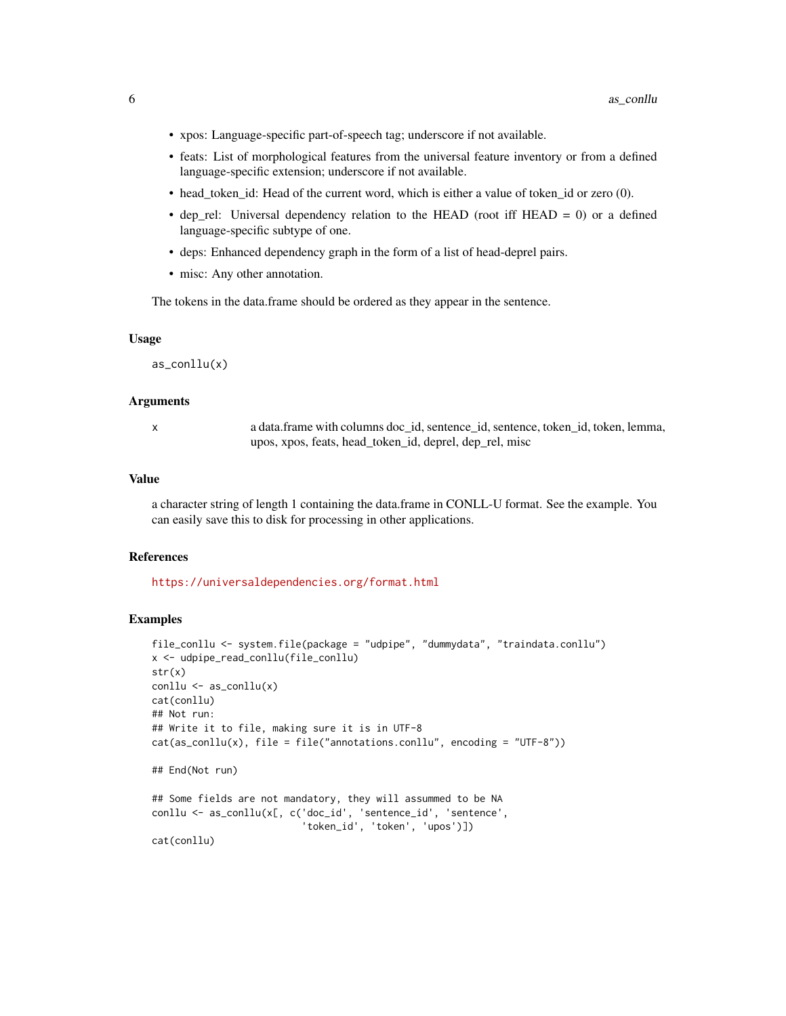- xpos: Language-specific part-of-speech tag; underscore if not available.
- feats: List of morphological features from the universal feature inventory or from a defined language-specific extension; underscore if not available.
- head\_token\_id: Head of the current word, which is either a value of token\_id or zero (0).
- dep\_rel: Universal dependency relation to the HEAD (root iff HEAD = 0) or a defined language-specific subtype of one.
- deps: Enhanced dependency graph in the form of a list of head-deprel pairs.
- misc: Any other annotation.

The tokens in the data.frame should be ordered as they appear in the sentence.

### Usage

as\_conllu(x)

### Arguments

| S           |  |
|-------------|--|
| ٦<br>I<br>٦ |  |
|             |  |

a data.frame with columns doc\_id, sentence\_id, sentence, token\_id, token, lemma, upos, xpos, feats, head\_token\_id, deprel, dep\_rel, misc

#### Value

a character string of length 1 containing the data.frame in CONLL-U format. See the example. You can easily save this to disk for processing in other applications.

### References

<https://universaldependencies.org/format.html>

```
file_conllu <- system.file(package = "udpipe", "dummydata", "traindata.conllu")
x <- udpipe_read_conllu(file_conllu)
str(x)
\text{conlu} \leq \text{as\_conlu}(x)cat(conllu)
## Not run:
## Write it to file, making sure it is in UTF-8
cat(as\_conlu(x), file = file("annotations.comllu", encoding = "UTF-8"))## End(Not run)
## Some fields are not mandatory, they will assummed to be NA
conllu <- as_conllu(x[, c('doc_id', 'sentence_id', 'sentence',
                           'token_id', 'token', 'upos')])
cat(conllu)
```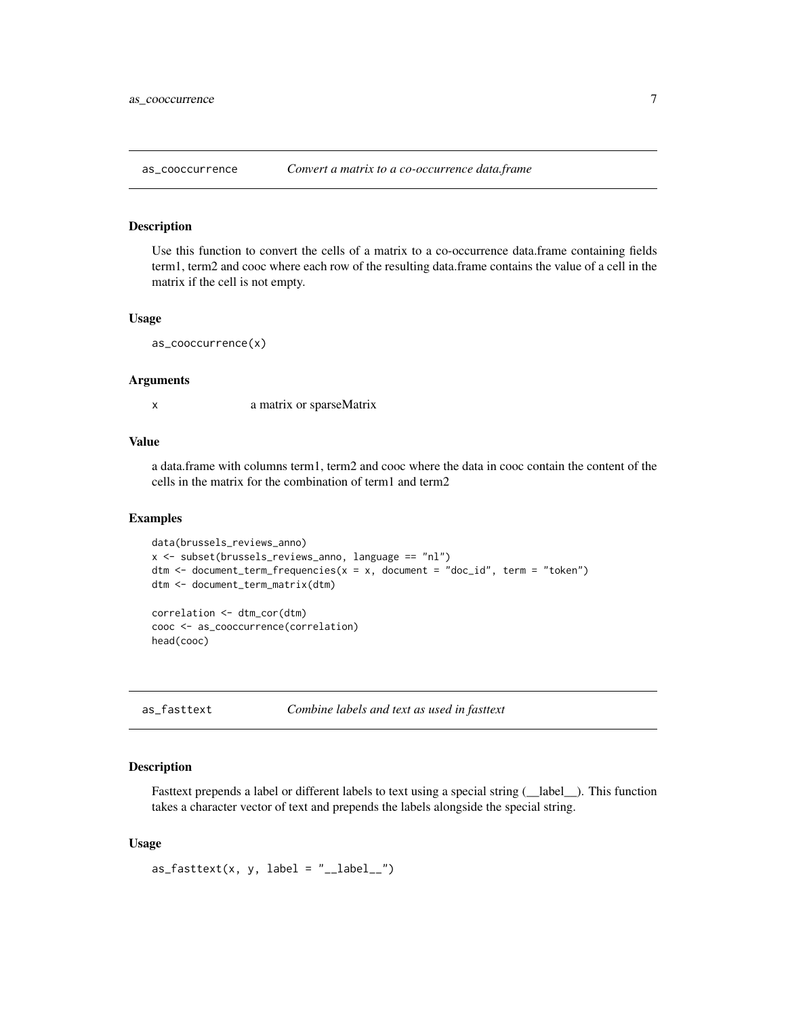<span id="page-6-0"></span>

### **Description**

Use this function to convert the cells of a matrix to a co-occurrence data.frame containing fields term1, term2 and cooc where each row of the resulting data.frame contains the value of a cell in the matrix if the cell is not empty.

#### Usage

as\_cooccurrence(x)

### Arguments

x a matrix or sparseMatrix

### Value

a data.frame with columns term1, term2 and cooc where the data in cooc contain the content of the cells in the matrix for the combination of term1 and term2

#### Examples

```
data(brussels_reviews_anno)
x <- subset(brussels_reviews_anno, language == "nl")
dtm <- document_term_frequencies(x = x, document = "doc_id", term = "token")
dtm <- document_term_matrix(dtm)
correlation <- dtm_cor(dtm)
```
cooc <- as\_cooccurrence(correlation) head(cooc)

as\_fasttext *Combine labels and text as used in fasttext*

### Description

Fasttext prepends a label or different labels to text using a special string ( $\Box$ label $\Box$ ). This function takes a character vector of text and prepends the labels alongside the special string.

### Usage

```
as_fasttext(x, y, label = "__label__")
```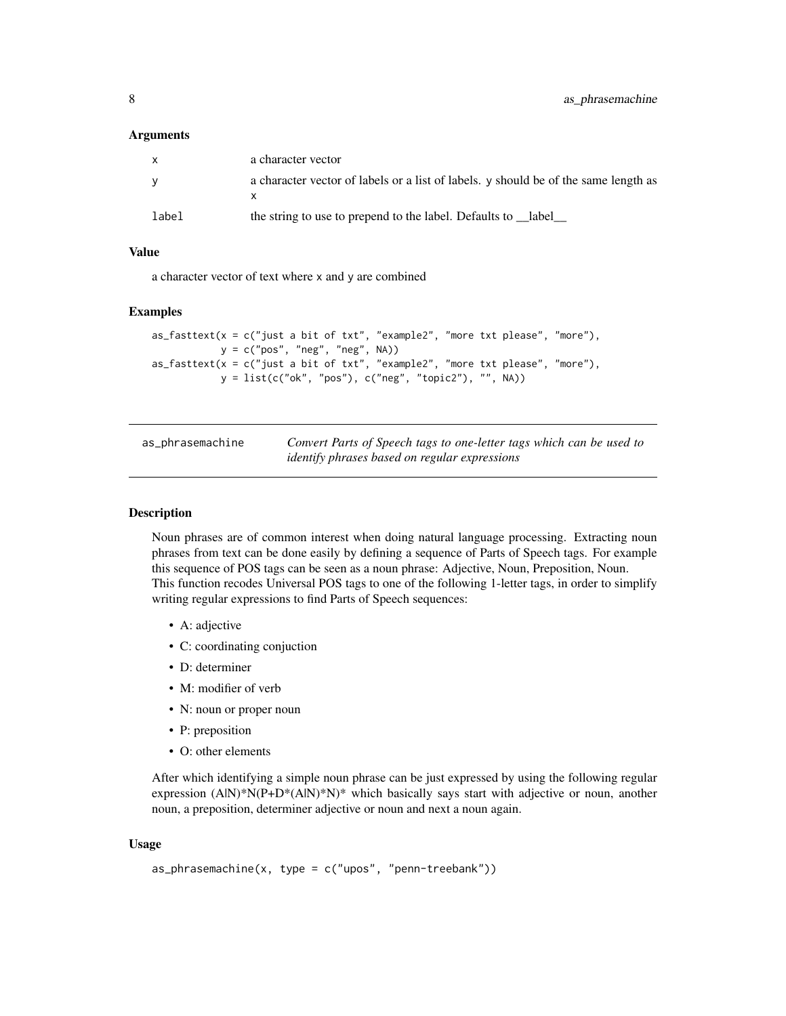#### <span id="page-7-0"></span>**Arguments**

| $\mathsf{x}$ | a character vector                                                                  |
|--------------|-------------------------------------------------------------------------------------|
| <b>V</b>     | a character vector of labels or a list of labels. y should be of the same length as |
| label        | the string to use to prepend to the label. Defaults to __label_                     |

### Value

a character vector of text where x and y are combined

### Examples

```
as_fasttext(x = c("just a bit of txt", "example2", "more txt please", "more"),
           y = c("pos", "neg", "neg", NA))
as_fasttext(x = c("just a bit of txt", "example2", "more txt please", "more"),y = list(c("ok", "pos"), c("neg", "topic2"), "", NA))
```

| as_phrasemachine | Convert Parts of Speech tags to one-letter tags which can be used to |
|------------------|----------------------------------------------------------------------|
|                  | <i>identify phrases based on regular expressions</i>                 |

#### Description

Noun phrases are of common interest when doing natural language processing. Extracting noun phrases from text can be done easily by defining a sequence of Parts of Speech tags. For example this sequence of POS tags can be seen as a noun phrase: Adjective, Noun, Preposition, Noun. This function recodes Universal POS tags to one of the following 1-letter tags, in order to simplify writing regular expressions to find Parts of Speech sequences:

- A: adjective
- C: coordinating conjuction
- D: determiner
- M: modifier of verb
- N: noun or proper noun
- P: preposition
- O: other elements

After which identifying a simple noun phrase can be just expressed by using the following regular expression (A|N)\*N(P+D\*(A|N)\*N)\* which basically says start with adjective or noun, another noun, a preposition, determiner adjective or noun and next a noun again.

### Usage

```
as\_phrasemachine(x, type = c("upos", "penn-treebank"))
```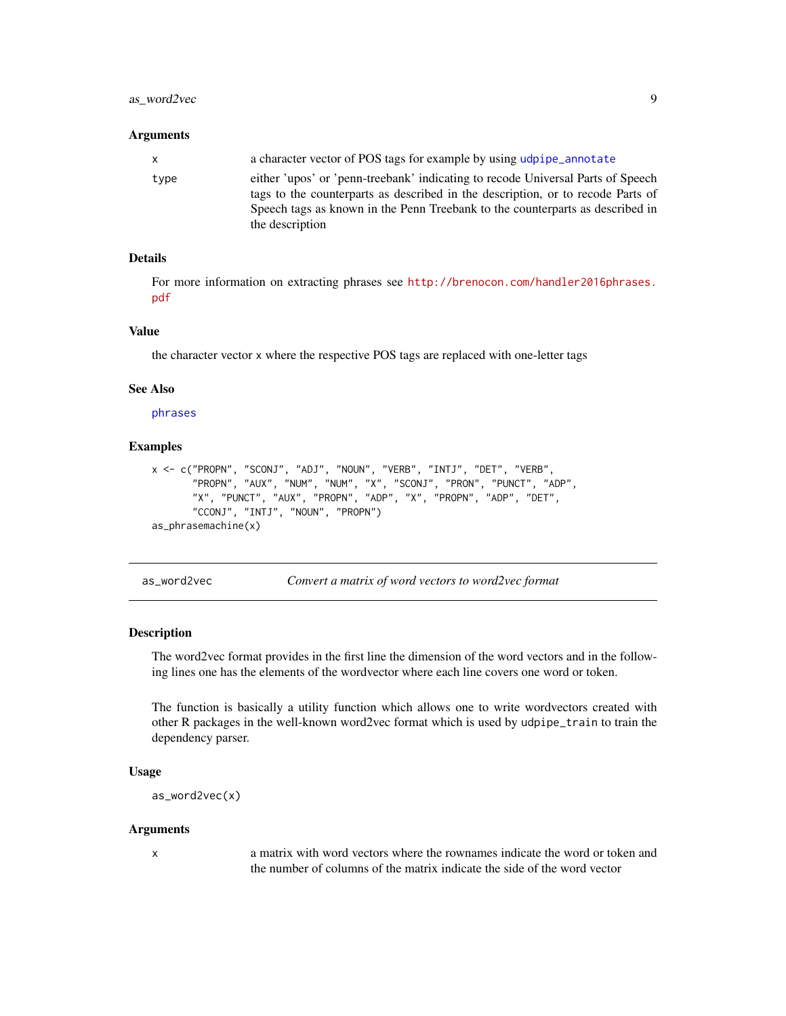### <span id="page-8-0"></span>as\_word2vec 9

#### **Arguments**

| x.   | a character vector of POS tags for example by using udpipe annotate                                                                                                                                                                                 |
|------|-----------------------------------------------------------------------------------------------------------------------------------------------------------------------------------------------------------------------------------------------------|
| type | either 'upos' or 'penn-treebank' indicating to recode Universal Parts of Speech<br>tags to the counterparts as described in the description, or to recode Parts of<br>Speech tags as known in the Penn Treebank to the counterparts as described in |
|      | the description                                                                                                                                                                                                                                     |

### Details

For more information on extracting phrases see [http://brenocon.com/handler2016phrases.](http://brenocon.com/handler2016phrases.pdf) [pdf](http://brenocon.com/handler2016phrases.pdf)

### Value

the character vector x where the respective POS tags are replaced with one-letter tags

### See Also

[phrases](#page-44-1)

### Examples

```
x <- c("PROPN", "SCONJ", "ADJ", "NOUN", "VERB", "INTJ", "DET", "VERB",
       "PROPN", "AUX", "NUM", "NUM", "X", "SCONJ", "PRON", "PUNCT", "ADP",
      "X", "PUNCT", "AUX", "PROPN", "ADP", "X", "PROPN", "ADP", "DET",
      "CCONJ", "INTJ", "NOUN", "PROPN")
as_phrasemachine(x)
```
as\_word2vec *Convert a matrix of word vectors to word2vec format*

### Description

The word2vec format provides in the first line the dimension of the word vectors and in the following lines one has the elements of the wordvector where each line covers one word or token.

The function is basically a utility function which allows one to write wordvectors created with other R packages in the well-known word2vec format which is used by udpipe\_train to train the dependency parser.

#### Usage

```
as_word2vec(x)
```
#### Arguments

x a matrix with word vectors where the rownames indicate the word or token and the number of columns of the matrix indicate the side of the word vector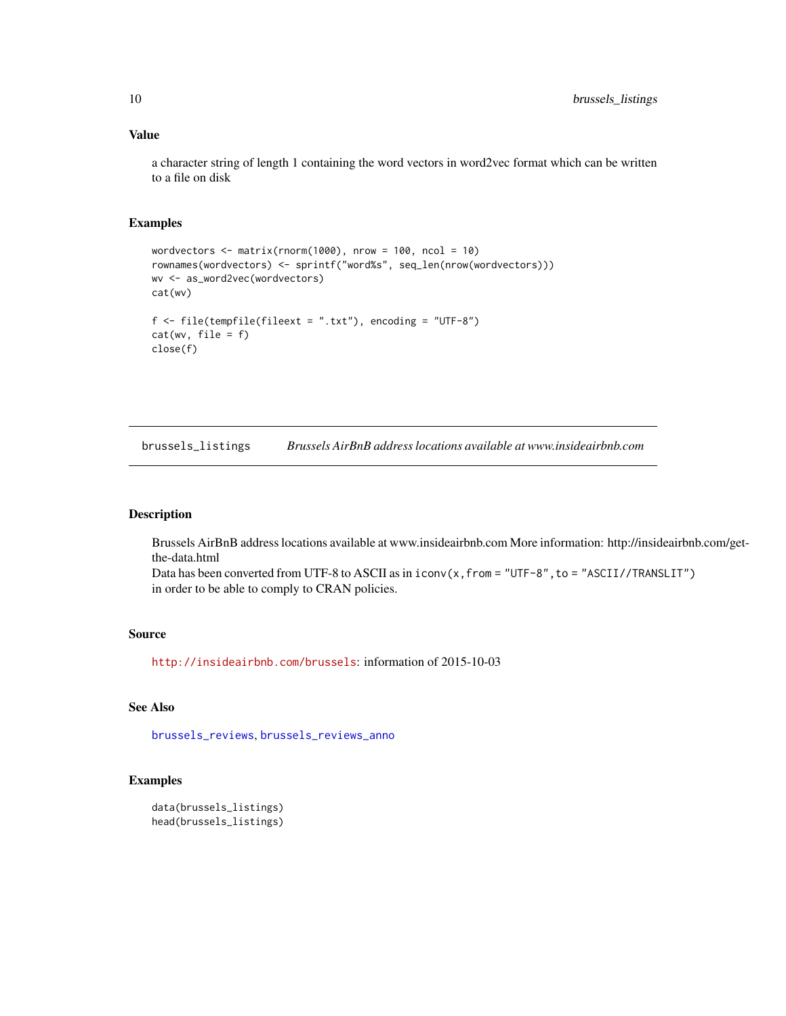### Value

a character string of length 1 containing the word vectors in word2vec format which can be written to a file on disk

### Examples

```
wordvectors \leq matrix(rnorm(1000), nrow = 100, ncol = 10)
rownames(wordvectors) <- sprintf("word%s", seq_len(nrow(wordvectors)))
wv <- as_word2vec(wordvectors)
cat(wv)
f \leftarrow file(tempfile(fileext = ".txt"), encoding = "UTF-8")
cat(wv, file = f)close(f)
```
<span id="page-9-1"></span>brussels\_listings *Brussels AirBnB address locations available at www.insideairbnb.com*

### Description

Brussels AirBnB address locations available at www.insideairbnb.com More information: http://insideairbnb.com/getthe-data.html

Data has been converted from UTF-8 to ASCII as in  $i$  conv $(x, f$ rom = "UTF-8", to = "ASCII//TRANSLIT") in order to be able to comply to CRAN policies.

### Source

<http://insideairbnb.com/brussels>: information of 2015-10-03

### See Also

[brussels\\_reviews](#page-10-1), [brussels\\_reviews\\_anno](#page-10-2)

```
data(brussels_listings)
head(brussels_listings)
```
<span id="page-9-0"></span>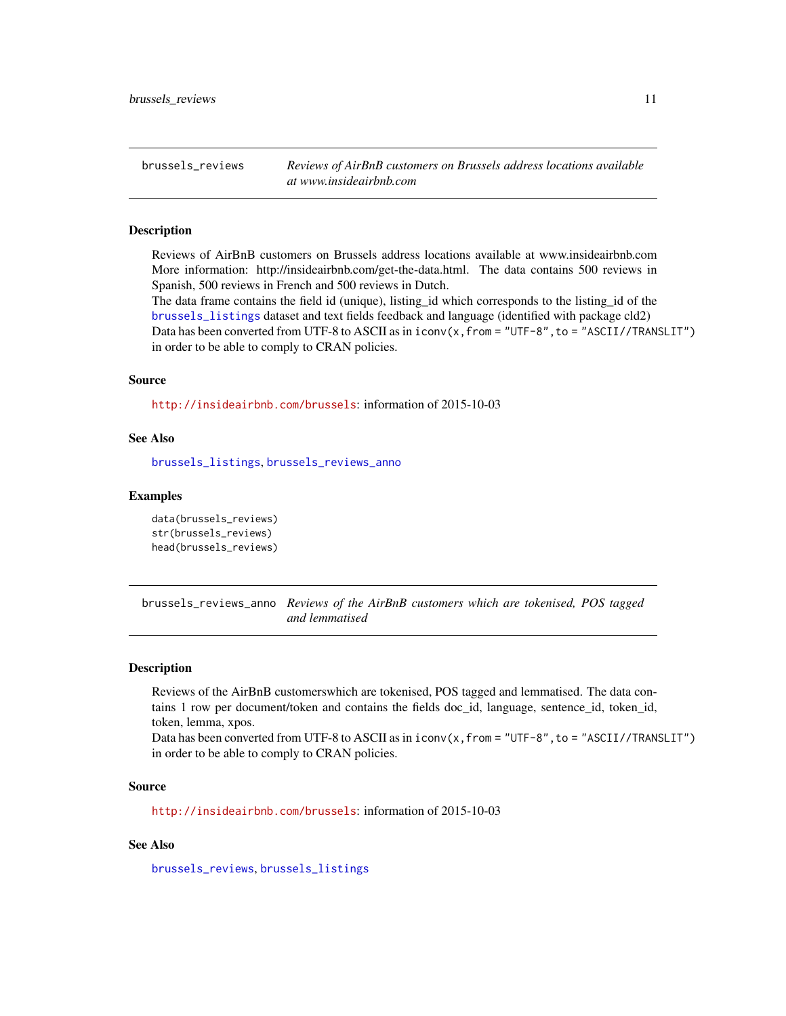<span id="page-10-1"></span><span id="page-10-0"></span>brussels\_reviews *Reviews of AirBnB customers on Brussels address locations available at www.insideairbnb.com*

### Description

Reviews of AirBnB customers on Brussels address locations available at www.insideairbnb.com More information: http://insideairbnb.com/get-the-data.html. The data contains 500 reviews in Spanish, 500 reviews in French and 500 reviews in Dutch.

The data frame contains the field id (unique), listing\_id which corresponds to the listing\_id of the [brussels\\_listings](#page-9-1) dataset and text fields feedback and language (identified with package cld2) Data has been converted from UTF-8 to ASCII as in  $i$  conv $(x, f$ rom = "UTF-8", to = "ASCII//TRANSLIT") in order to be able to comply to CRAN policies.

#### Source

<http://insideairbnb.com/brussels>: information of 2015-10-03

### See Also

[brussels\\_listings](#page-9-1), [brussels\\_reviews\\_anno](#page-10-2)

#### Examples

```
data(brussels_reviews)
str(brussels_reviews)
head(brussels_reviews)
```
<span id="page-10-2"></span>brussels\_reviews\_anno *Reviews of the AirBnB customers which are tokenised, POS tagged and lemmatised*

#### **Description**

Reviews of the AirBnB customerswhich are tokenised, POS tagged and lemmatised. The data contains 1 row per document/token and contains the fields doc id, language, sentence id, token id, token, lemma, xpos.

Data has been converted from UTF-8 to ASCII as in iconv(x, from = "UTF-8", to = "ASCII//TRANSLIT") in order to be able to comply to CRAN policies.

### Source

<http://insideairbnb.com/brussels>: information of 2015-10-03

### See Also

[brussels\\_reviews](#page-10-1), [brussels\\_listings](#page-9-1)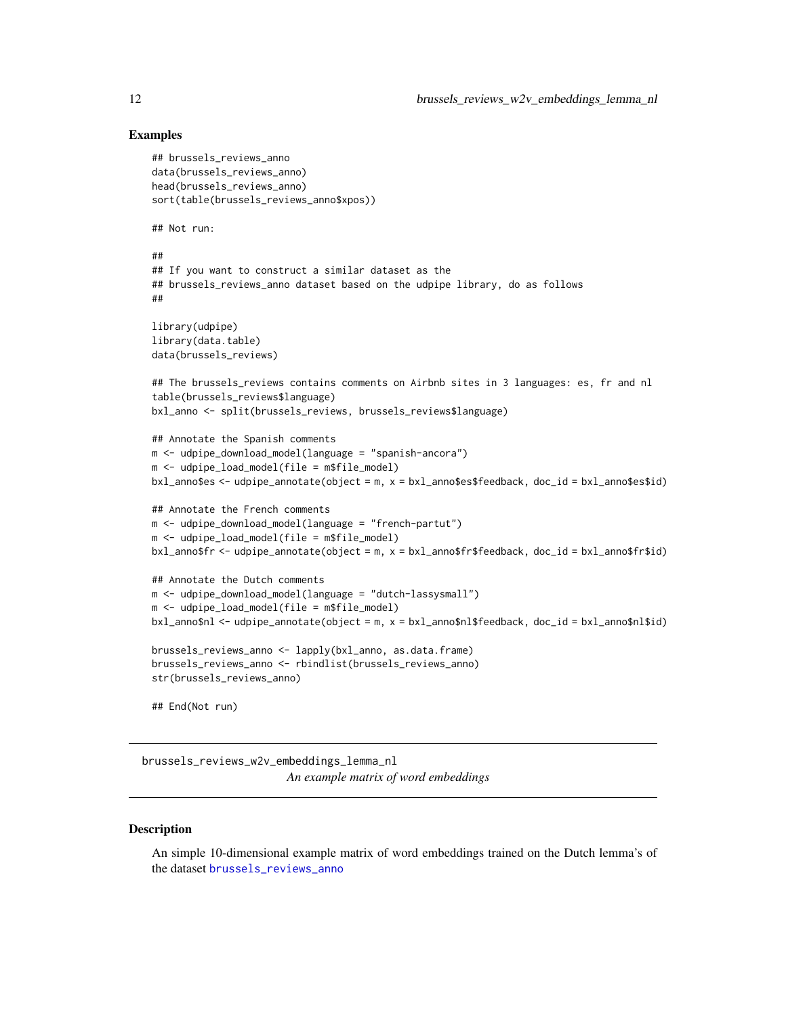### Examples

```
## brussels_reviews_anno
data(brussels_reviews_anno)
head(brussels_reviews_anno)
sort(table(brussels_reviews_anno$xpos))
## Not run:
##
## If you want to construct a similar dataset as the
## brussels_reviews_anno dataset based on the udpipe library, do as follows
##
library(udpipe)
library(data.table)
data(brussels_reviews)
## The brussels_reviews contains comments on Airbnb sites in 3 languages: es, fr and nl
table(brussels_reviews$language)
bxl_anno <- split(brussels_reviews, brussels_reviews$language)
## Annotate the Spanish comments
m <- udpipe_download_model(language = "spanish-ancora")
m <- udpipe_load_model(file = m$file_model)
bxl_anno$es <- udpipe_annotate(object = m, x = bxl_anno$es$feedback, doc_id = bxl_anno$es$id)
## Annotate the French comments
m <- udpipe_download_model(language = "french-partut")
m <- udpipe_load_model(file = m$file_model)
bxl_anno$fr <- udpipe_annotate(object = m, x = bxl_anno$fr$feedback, doc_id = bxl_anno$fr$id)
## Annotate the Dutch comments
m <- udpipe_download_model(language = "dutch-lassysmall")
m <- udpipe_load_model(file = m$file_model)
bxl_anno$nl <- udpipe_annotate(object = m, x = bxl_anno$nl$feedback, doc_id = bxl_anno$nl$id)
brussels_reviews_anno <- lapply(bxl_anno, as.data.frame)
brussels_reviews_anno <- rbindlist(brussels_reviews_anno)
str(brussels_reviews_anno)
## End(Not run)
```
brussels\_reviews\_w2v\_embeddings\_lemma\_nl *An example matrix of word embeddings*

#### **Description**

An simple 10-dimensional example matrix of word embeddings trained on the Dutch lemma's of the dataset [brussels\\_reviews\\_anno](#page-10-2)

<span id="page-11-0"></span>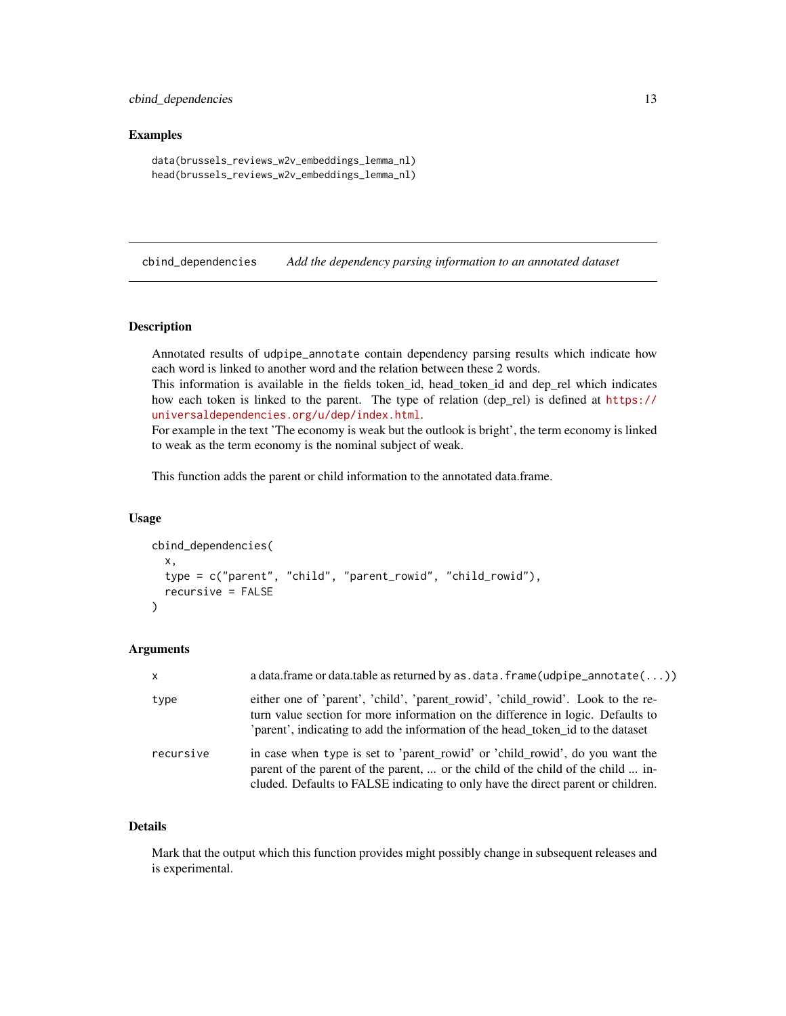### <span id="page-12-0"></span>cbind\_dependencies 13

### Examples

```
data(brussels_reviews_w2v_embeddings_lemma_nl)
head(brussels_reviews_w2v_embeddings_lemma_nl)
```
cbind\_dependencies *Add the dependency parsing information to an annotated dataset*

### Description

Annotated results of udpipe\_annotate contain dependency parsing results which indicate how each word is linked to another word and the relation between these 2 words.

This information is available in the fields token\_id, head\_token\_id and dep\_rel which indicates how each token is linked to the parent. The type of relation (dep\_rel) is defined at [https://](https://universaldependencies.org/u/dep/index.html) [universaldependencies.org/u/dep/index.html](https://universaldependencies.org/u/dep/index.html).

For example in the text 'The economy is weak but the outlook is bright', the term economy is linked to weak as the term economy is the nominal subject of weak.

This function adds the parent or child information to the annotated data.frame.

#### Usage

```
cbind_dependencies(
  x,
  type = c("parent", "child", "parent_rowid", "child_rowid"),
 recursive = FALSE
)
```
### Arguments

| $\mathsf{x}$ | a data.frame or data.table as returned by as $data$ . frame (udpipe_annotate( $\ldots$ ))                                                                                                                                                             |
|--------------|-------------------------------------------------------------------------------------------------------------------------------------------------------------------------------------------------------------------------------------------------------|
| type         | either one of 'parent', 'child', 'parent_rowid', 'child_rowid'. Look to the re-<br>turn value section for more information on the difference in logic. Defaults to<br>'parent', indicating to add the information of the head_token_id to the dataset |
| recursive    | in case when type is set to 'parent_rowid' or 'child_rowid', do you want the<br>parent of the parent of the parent,  or the child of the child of the child  in-<br>cluded. Defaults to FALSE indicating to only have the direct parent or children.  |

### Details

Mark that the output which this function provides might possibly change in subsequent releases and is experimental.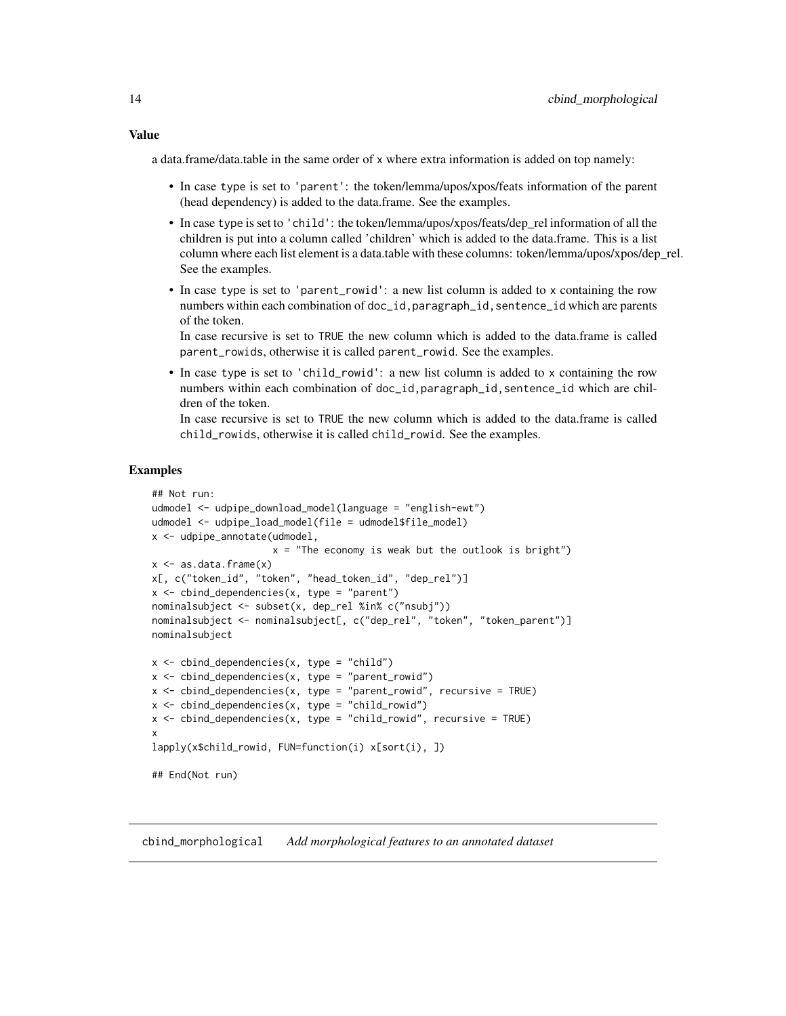#### <span id="page-13-0"></span>Value

a data.frame/data.table in the same order of x where extra information is added on top namely:

- In case type is set to 'parent': the token/lemma/upos/xpos/feats information of the parent (head dependency) is added to the data.frame. See the examples.
- In case type is set to 'child': the token/lemma/upos/xpos/feats/dep\_rel information of all the children is put into a column called 'children' which is added to the data.frame. This is a list column where each list element is a data.table with these columns: token/lemma/upos/xpos/dep\_rel. See the examples.
- In case type is set to 'parent\_rowid': a new list column is added to x containing the row numbers within each combination of doc\_id,paragraph\_id,sentence\_id which are parents of the token.

In case recursive is set to TRUE the new column which is added to the data.frame is called parent\_rowids, otherwise it is called parent\_rowid. See the examples.

• In case type is set to 'child\_rowid': a new list column is added to x containing the row numbers within each combination of doc\_id,paragraph\_id,sentence\_id which are children of the token.

In case recursive is set to TRUE the new column which is added to the data.frame is called child\_rowids, otherwise it is called child\_rowid. See the examples.

### Examples

```
## Not run:
udmodel <- udpipe_download_model(language = "english-ewt")
udmodel <- udpipe_load_model(file = udmodel$file_model)
x <- udpipe_annotate(udmodel,
                     x = "The economy is weak but the outlook is bright")
x \leftarrow as.data-frame(x)x[, c("token_id", "token", "head_token_id", "dep_rel")]
x \le - cbind_dependencies(x, type = "parent")
nominalsubject <- subset(x, dep_rel %in% c("nsubj"))
nominalsubject <- nominalsubject[, c("dep_rel", "token", "token_parent")]
nominalsubject
x \le - cbind_dependencies(x, type = "child")
x \le cbind_dependencies(x, type = "parent_rowid")
x <- cbind_dependencies(x, type = "parent_rowid", recursive = TRUE)
x <- cbind_dependencies(x, type = "child_rowid")
x <- cbind_dependencies(x, type = "child_rowid", recursive = TRUE)
x
lapply(x$child_rowid, FUN=function(i) x[sort(i), ])
## End(Not run)
```
cbind\_morphological *Add morphological features to an annotated dataset*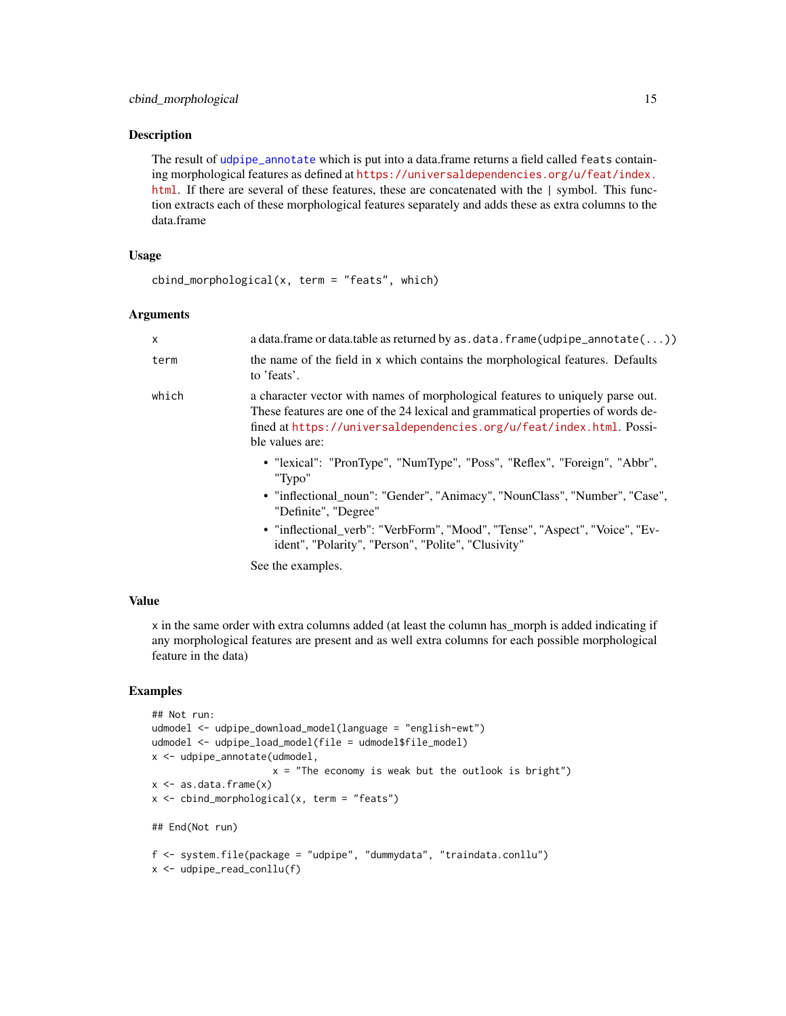### Description

The result of [udpipe\\_annotate](#page-76-1) which is put into a data.frame returns a field called feats containing morphological features as defined at [https://universaldependencies.org/u/feat/index.](https://universaldependencies.org/u/feat/index.html) [html](https://universaldependencies.org/u/feat/index.html). If there are several of these features, these are concatenated with the | symbol. This function extracts each of these morphological features separately and adds these as extra columns to the data.frame

### Usage

```
cbind_morphological(x, term = "feats", which)
```
#### Arguments

| $\mathsf{x}$ | a data.frame or data.table as returned by as $data$ . frame (udpipe_annotate( $\ldots$ ))                                                                                                                                                                     |
|--------------|---------------------------------------------------------------------------------------------------------------------------------------------------------------------------------------------------------------------------------------------------------------|
| term         | the name of the field in x which contains the morphological features. Defaults<br>to 'feats'.                                                                                                                                                                 |
| which        | a character vector with names of morphological features to uniquely parse out.<br>These features are one of the 24 lexical and grammatical properties of words de-<br>fined at https://universaldependencies.org/u/feat/index.html. Possi-<br>ble values are: |
|              | • "lexical": "PronType", "NumType", "Poss", "Reflex", "Foreign", "Abbr",<br>"Typo"<br>• "inflectional_noun": "Gender", "Animacy", "NounClass", "Number", "Case",                                                                                              |
|              | "Definite", "Degree"                                                                                                                                                                                                                                          |
|              | • "inflectional_verb": "VerbForm", "Mood", "Tense", "Aspect", "Voice", "Ev-<br>ident", "Polarity", "Person", "Polite", "Clusivity"                                                                                                                            |
|              | Soo the examples                                                                                                                                                                                                                                              |

See the examples.

### Value

x in the same order with extra columns added (at least the column has\_morph is added indicating if any morphological features are present and as well extra columns for each possible morphological feature in the data)

```
## Not run:
udmodel <- udpipe_download_model(language = "english-ewt")
udmodel <- udpipe_load_model(file = udmodel$file_model)
x <- udpipe_annotate(udmodel,
                     x = "The economy is weak but the outlook is bright")
x \leftarrow as.data-frame(x)x <- cbind_morphological(x, term = "feats")
## End(Not run)
f <- system.file(package = "udpipe", "dummydata", "traindata.conllu")
x <- udpipe_read_conllu(f)
```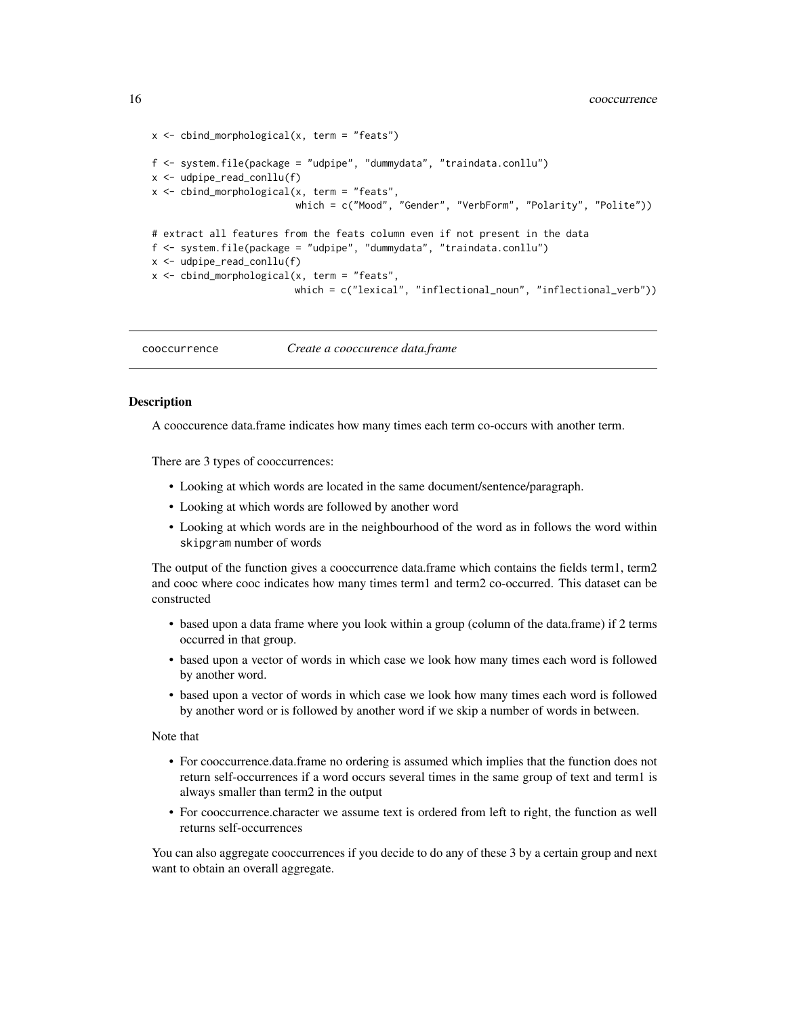```
x \le - cbind_morphological(x, term = "feats")
f <- system.file(package = "udpipe", "dummydata", "traindata.conllu")
x <- udpipe_read_conllu(f)
x <- cbind_morphological(x, term = "feats",
                         which = c("Mood", "Gender", "VerbForm", "Polarity", "Polite"))
# extract all features from the feats column even if not present in the data
f <- system.file(package = "udpipe", "dummydata", "traindata.conllu")
x <- udpipe_read_conllu(f)
x <- cbind_morphological(x, term = "feats",
                         which = c("lexical", "inflectional_noun", "inflectional_verb"))
```
<span id="page-15-1"></span>cooccurrence *Create a cooccurence data.frame*

### Description

A cooccurence data.frame indicates how many times each term co-occurs with another term.

There are 3 types of cooccurrences:

- Looking at which words are located in the same document/sentence/paragraph.
- Looking at which words are followed by another word
- Looking at which words are in the neighbourhood of the word as in follows the word within skipgram number of words

The output of the function gives a cooccurrence data.frame which contains the fields term1, term2 and cooc where cooc indicates how many times term1 and term2 co-occurred. This dataset can be constructed

- based upon a data frame where you look within a group (column of the data.frame) if 2 terms occurred in that group.
- based upon a vector of words in which case we look how many times each word is followed by another word.
- based upon a vector of words in which case we look how many times each word is followed by another word or is followed by another word if we skip a number of words in between.

#### Note that

- For cooccurrence.data.frame no ordering is assumed which implies that the function does not return self-occurrences if a word occurs several times in the same group of text and term1 is always smaller than term2 in the output
- For cooccurrence.character we assume text is ordered from left to right, the function as well returns self-occurrences

You can also aggregate cooccurrences if you decide to do any of these 3 by a certain group and next want to obtain an overall aggregate.

<span id="page-15-0"></span>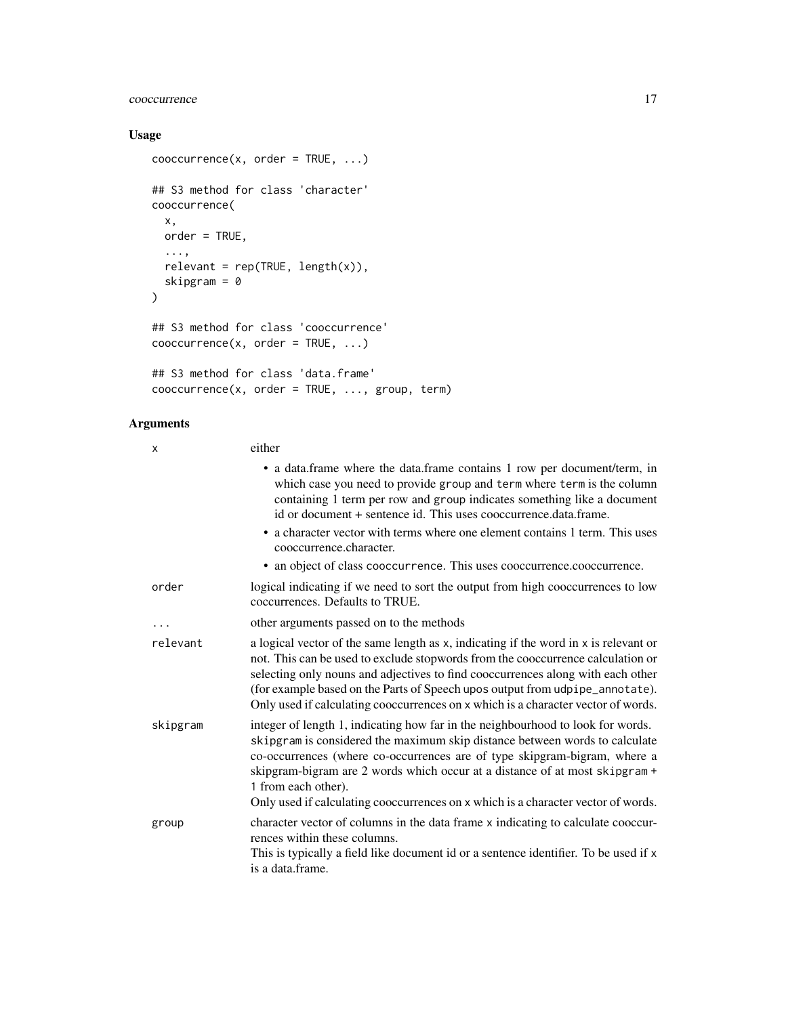## cooccurrence 17

### Usage

```
coocurrence(x, order = TRUE, ...)## S3 method for class 'character'
cooccurrence(
  x,
  order = TRUE,
  ...,
  relevant = rep(TRUE, length(x)),skipgram = 0
\mathcal{L}## S3 method for class 'cooccurrence'
coocurrence(x, order = TRUE, ...)## S3 method for class 'data.frame'
cooccurrence(x, order = TRUE, ..., group, term)
```
### Arguments

| X        | either                                                                                                                                                                                                                                                                                                                                                                                                                                 |
|----------|----------------------------------------------------------------------------------------------------------------------------------------------------------------------------------------------------------------------------------------------------------------------------------------------------------------------------------------------------------------------------------------------------------------------------------------|
|          | • a data.frame where the data.frame contains 1 row per document/term, in<br>which case you need to provide group and term where term is the column<br>containing 1 term per row and group indicates something like a document<br>id or document + sentence id. This uses cooccurrence.data.frame.                                                                                                                                      |
|          | • a character vector with terms where one element contains 1 term. This uses<br>cooccurrence.character.                                                                                                                                                                                                                                                                                                                                |
|          | • an object of class cooccurrence. This uses cooccurrence.cooccurrence.                                                                                                                                                                                                                                                                                                                                                                |
| order    | logical indicating if we need to sort the output from high cooccurrences to low<br>coccurrences. Defaults to TRUE.                                                                                                                                                                                                                                                                                                                     |
|          | other arguments passed on to the methods                                                                                                                                                                                                                                                                                                                                                                                               |
| relevant | a logical vector of the same length as x, indicating if the word in x is relevant or<br>not. This can be used to exclude stopwords from the cooccurrence calculation or<br>selecting only nouns and adjectives to find cooccurrences along with each other<br>(for example based on the Parts of Speech upos output from udpipe_annotate).<br>Only used if calculating cooccurrences on x which is a character vector of words.        |
| skipgram | integer of length 1, indicating how far in the neighbourhood to look for words.<br>skipgram is considered the maximum skip distance between words to calculate<br>co-occurrences (where co-occurrences are of type skipgram-bigram, where a<br>skipgram-bigram are 2 words which occur at a distance of at most skipgram +<br>1 from each other).<br>Only used if calculating cooccurrences on x which is a character vector of words. |
| group    | character vector of columns in the data frame x indicating to calculate cooccur-<br>rences within these columns.<br>This is typically a field like document id or a sentence identifier. To be used if x<br>is a data frame.                                                                                                                                                                                                           |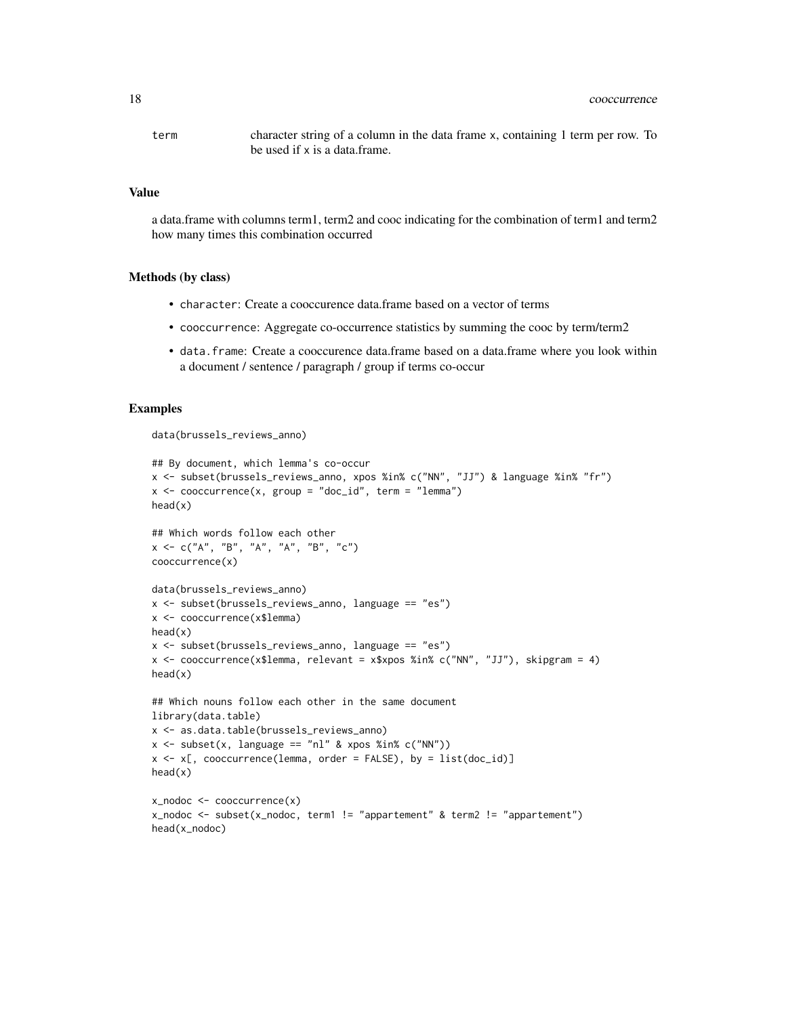term character string of a column in the data frame x, containing 1 term per row. To be used if x is a data.frame.

#### Value

a data.frame with columns term1, term2 and cooc indicating for the combination of term1 and term2 how many times this combination occurred

#### Methods (by class)

- character: Create a cooccurence data.frame based on a vector of terms
- cooccurrence: Aggregate co-occurrence statistics by summing the cooc by term/term2
- data.frame: Create a cooccurence data.frame based on a data.frame where you look within a document / sentence / paragraph / group if terms co-occur

```
data(brussels_reviews_anno)
```

```
## By document, which lemma's co-occur
x <- subset(brussels_reviews_anno, xpos %in% c("NN", "JJ") & language %in% "fr")
x \le - cooccurrence(x, group = "doc_id", term = "lemma")
head(x)
## Which words follow each other
x \leq -c("A", "B", "A", "A", "B", "C")cooccurrence(x)
data(brussels_reviews_anno)
x <- subset(brussels_reviews_anno, language == "es")
x <- cooccurrence(x$lemma)
head(x)
x <- subset(brussels_reviews_anno, language == "es")
x <- cooccurrence(x$lemma, relevant = x$xpos %in% c("NN", "JJ"), skipgram = 4)
head(x)
## Which nouns follow each other in the same document
library(data.table)
x <- as.data.table(brussels_reviews_anno)
x \le - subset(x, language == "nl" & xpos %in% c("NN"))
x \leq x[, cooccurrence(lemma, order = FALSE), by = list(doc_id)]
head(x)
x_nodoc <- cooccurrence(x)
x_nodoc <- subset(x_nodoc, term1 != "appartement" & term2 != "appartement")
head(x_nodoc)
```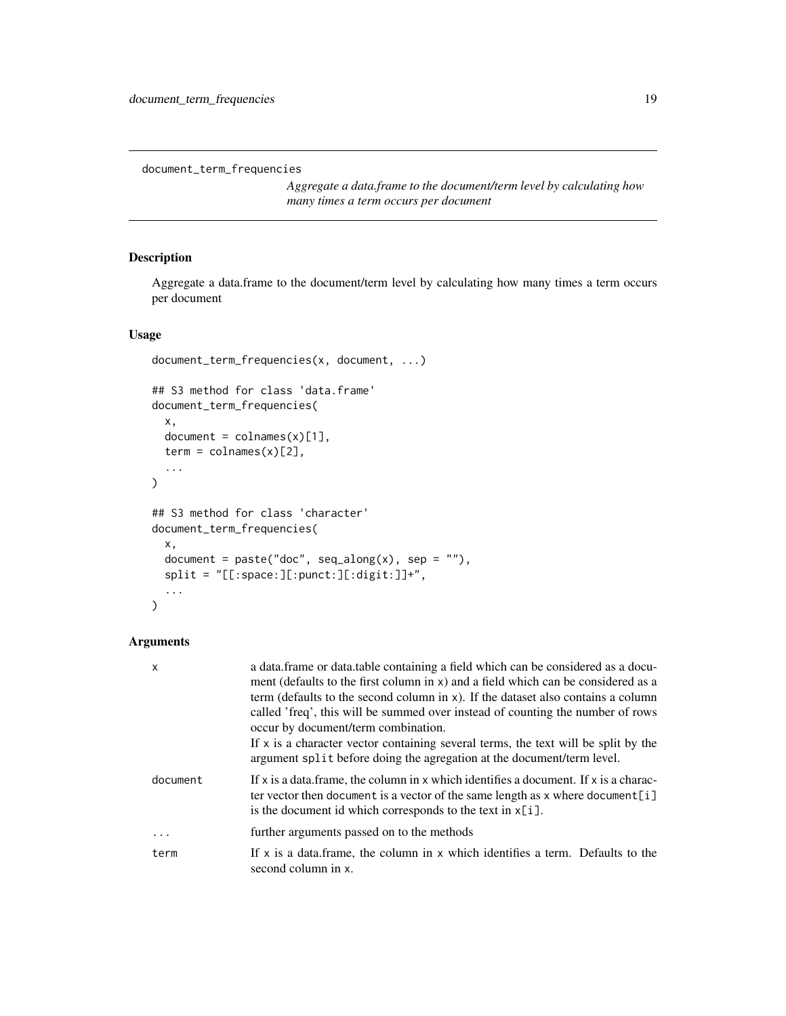```
document_term_frequencies
```
*Aggregate a data.frame to the document/term level by calculating how many times a term occurs per document*

### Description

Aggregate a data.frame to the document/term level by calculating how many times a term occurs per document

### Usage

```
document_term_frequencies(x, document, ...)
## S3 method for class 'data.frame'
document_term_frequencies(
  x,
  document = colnames(x)[1],term = colnames(x)[2],...
)
## S3 method for class 'character'
document_term_frequencies(
  x,
  document = paste("doc", seq_along(x), sep = ""),
  split = "[[:space:][:punct:][:digit:]]+",
  ...
)
```
### Arguments

| X        | a data.frame or data.table containing a field which can be considered as a docu-<br>ment (defaults to the first column in x) and a field which can be considered as a<br>term (defaults to the second column in $x$ ). If the dataset also contains a column<br>called 'freq', this will be summed over instead of counting the number of rows<br>occur by document/term combination.<br>If $x$ is a character vector containing several terms, the text will be split by the<br>argument split before doing the agregation at the document/term level. |
|----------|---------------------------------------------------------------------------------------------------------------------------------------------------------------------------------------------------------------------------------------------------------------------------------------------------------------------------------------------------------------------------------------------------------------------------------------------------------------------------------------------------------------------------------------------------------|
| document | If x is a data frame, the column in x which identifies a document. If x is a charac-<br>ter vector then document is a vector of the same length as $x$ where document [i]<br>is the document id which corresponds to the text in $x[i]$ .                                                                                                                                                                                                                                                                                                               |
| $\ddots$ | further arguments passed on to the methods                                                                                                                                                                                                                                                                                                                                                                                                                                                                                                              |
| term     | If $x$ is a data frame, the column in x which identifies a term. Defaults to the<br>second column in x.                                                                                                                                                                                                                                                                                                                                                                                                                                                 |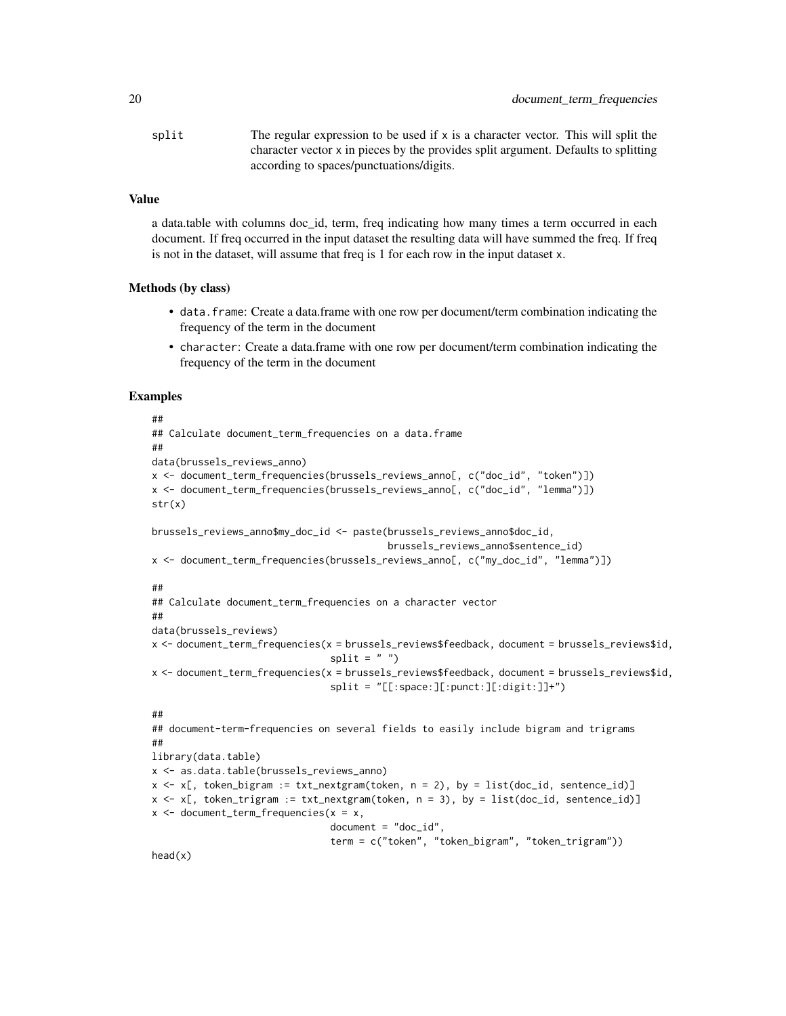split The regular expression to be used if  $x$  is a character vector. This will split the character vector x in pieces by the provides split argument. Defaults to splitting according to spaces/punctuations/digits.

#### Value

a data.table with columns doc id, term, freq indicating how many times a term occurred in each document. If freq occurred in the input dataset the resulting data will have summed the freq. If freq is not in the dataset, will assume that freq is 1 for each row in the input dataset x.

#### Methods (by class)

- data.frame: Create a data.frame with one row per document/term combination indicating the frequency of the term in the document
- character: Create a data.frame with one row per document/term combination indicating the frequency of the term in the document

#### Examples

```
##
## Calculate document_term_frequencies on a data.frame
##
data(brussels_reviews_anno)
x <- document_term_frequencies(brussels_reviews_anno[, c("doc_id", "token")])
x <- document_term_frequencies(brussels_reviews_anno[, c("doc_id", "lemma")])
str(x)
brussels_reviews_anno$my_doc_id <- paste(brussels_reviews_anno$doc_id,
                                         brussels_reviews_anno$sentence_id)
x <- document_term_frequencies(brussels_reviews_anno[, c("my_doc_id", "lemma")])
##
## Calculate document_term_frequencies on a character vector
##
data(brussels_reviews)
x <- document_term_frequencies(x = brussels_reviews$feedback, document = brussels_reviews$id,
                               split = " "")x <- document_term_frequencies(x = brussels_reviews$feedback, document = brussels_reviews$id,
                               split = "[[:space:][:punct:][:digit:]]+")##
## document-term-frequencies on several fields to easily include bigram and trigrams
##
library(data.table)
x <- as.data.table(brussels_reviews_anno)
x \le x (, token_bigram := txt_nextgram(token, n = 2), by = list(doc_id, sentence_id)]
x \leq x [, token_trigram := txt_nextgram(token, n = 3), by = list(doc_id, sentence_id)]
x <- document_term_frequencies(x = x,
                               document = "doc_id",term = c("token", "token_bigram", "token_trigram"))
```
head(x)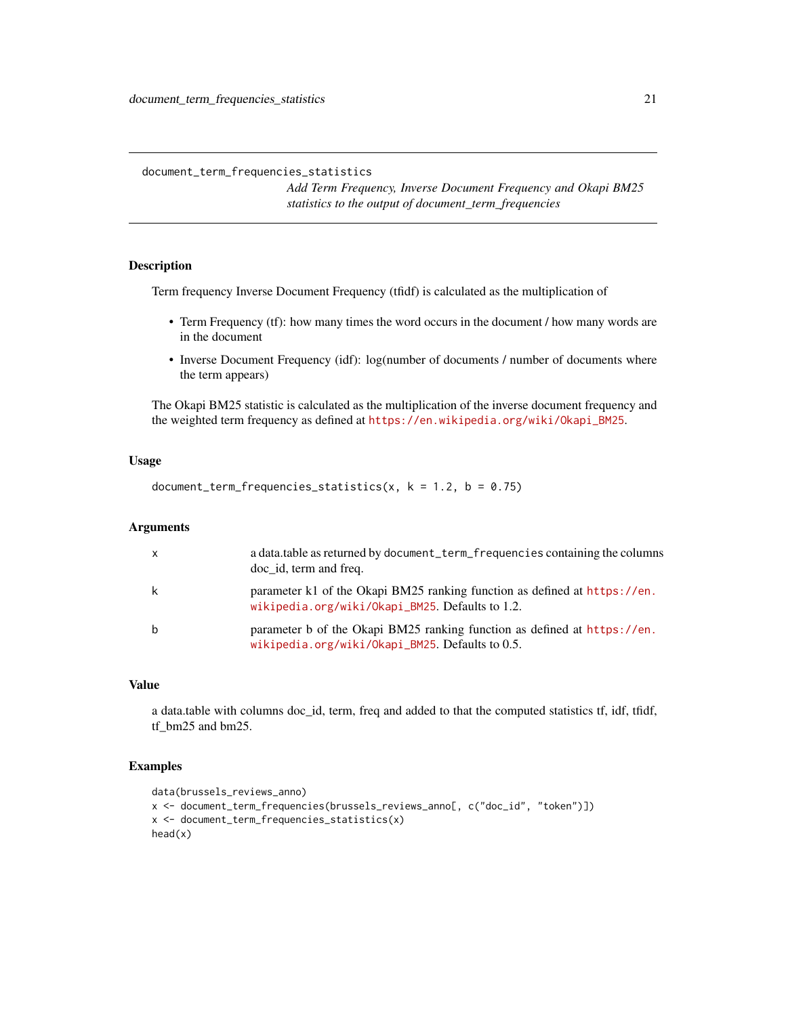<span id="page-20-0"></span>document\_term\_frequencies\_statistics

*Add Term Frequency, Inverse Document Frequency and Okapi BM25 statistics to the output of document\_term\_frequencies*

### Description

Term frequency Inverse Document Frequency (tfidf) is calculated as the multiplication of

- Term Frequency (tf): how many times the word occurs in the document / how many words are in the document
- Inverse Document Frequency (idf): log(number of documents / number of documents where the term appears)

The Okapi BM25 statistic is calculated as the multiplication of the inverse document frequency and the weighted term frequency as defined at [https://en.wikipedia.org/wiki/Okapi\\_BM25](https://en.wikipedia.org/wiki/Okapi_BM25).

#### Usage

document\_term\_frequencies\_statistics(x,  $k = 1.2$ ,  $b = 0.75$ )

### Arguments

| $\mathsf{x}$ | a data.table as returned by document_term_frequencies containing the columns<br>doc id, term and freq.                       |
|--------------|------------------------------------------------------------------------------------------------------------------------------|
| k            | parameter k1 of the Okapi BM25 ranking function as defined at https://en.<br>wikipedia.org/wiki/0kapi_BM25. Defaults to 1.2. |
| b            | parameter b of the Okapi BM25 ranking function as defined at https://en.<br>wikipedia.org/wiki/0kapi_BM25. Defaults to 0.5.  |

### Value

a data.table with columns doc\_id, term, freq and added to that the computed statistics tf, idf, tfidf, tf\_bm25 and bm25.

```
data(brussels_reviews_anno)
x <- document_term_frequencies(brussels_reviews_anno[, c("doc_id", "token")])
x <- document_term_frequencies_statistics(x)
head(x)
```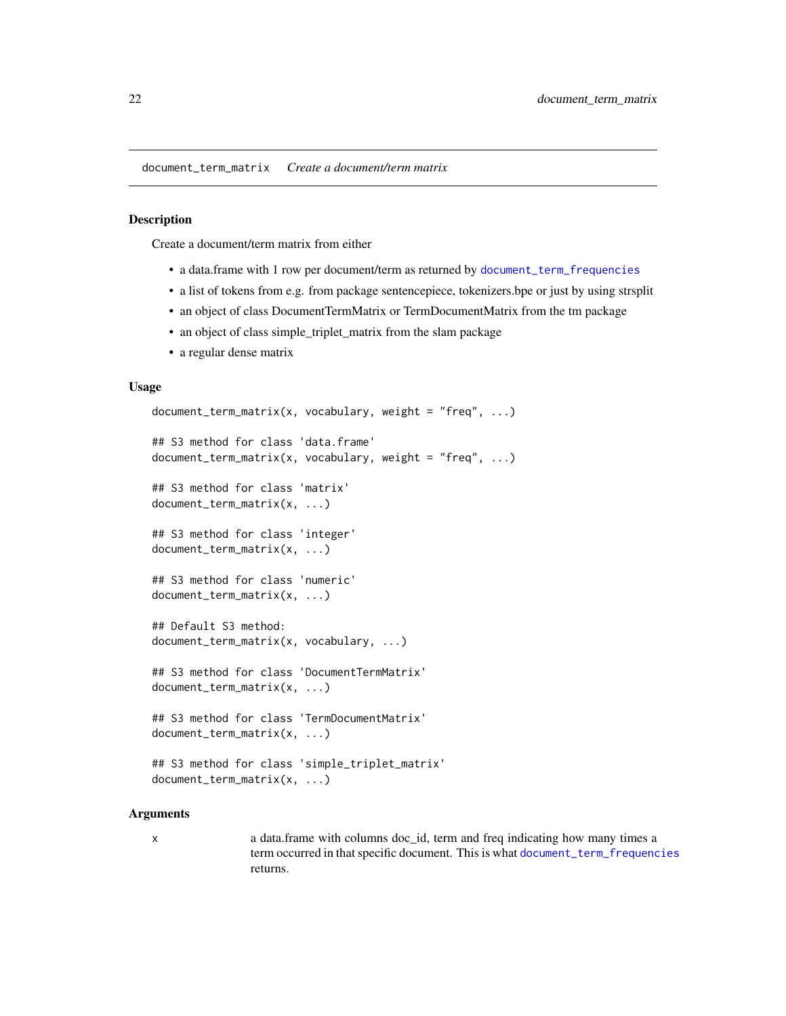<span id="page-21-1"></span><span id="page-21-0"></span>document\_term\_matrix *Create a document/term matrix*

#### **Description**

Create a document/term matrix from either

- a data.frame with 1 row per document/term as returned by [document\\_term\\_frequencies](#page-18-1)
- a list of tokens from e.g. from package sentencepiece, tokenizers.bpe or just by using strsplit
- an object of class DocumentTermMatrix or TermDocumentMatrix from the tm package
- an object of class simple\_triplet\_matrix from the slam package
- a regular dense matrix

### Usage

```
document\_term\_matrix(x, vocabulary, weight = "freq", ...)## S3 method for class 'data.frame'
document_term_matrix(x, vocabulary, weight = "freq", ...)
## S3 method for class 'matrix'
document_term_matrix(x, ...)
## S3 method for class 'integer'
document_term_matrix(x, ...)
## S3 method for class 'numeric'
document_term_matrix(x, ...)
## Default S3 method:
document_term_matrix(x, vocabulary, ...)
## S3 method for class 'DocumentTermMatrix'
document_term_matrix(x, ...)
## S3 method for class 'TermDocumentMatrix'
document_term_matrix(x, ...)
## S3 method for class 'simple_triplet_matrix'
document_term_matrix(x, ...)
```
#### Arguments

x a data.frame with columns doc\_id, term and freq indicating how many times a term occurred in that specific document. This is what [document\\_term\\_frequencies](#page-18-1) returns.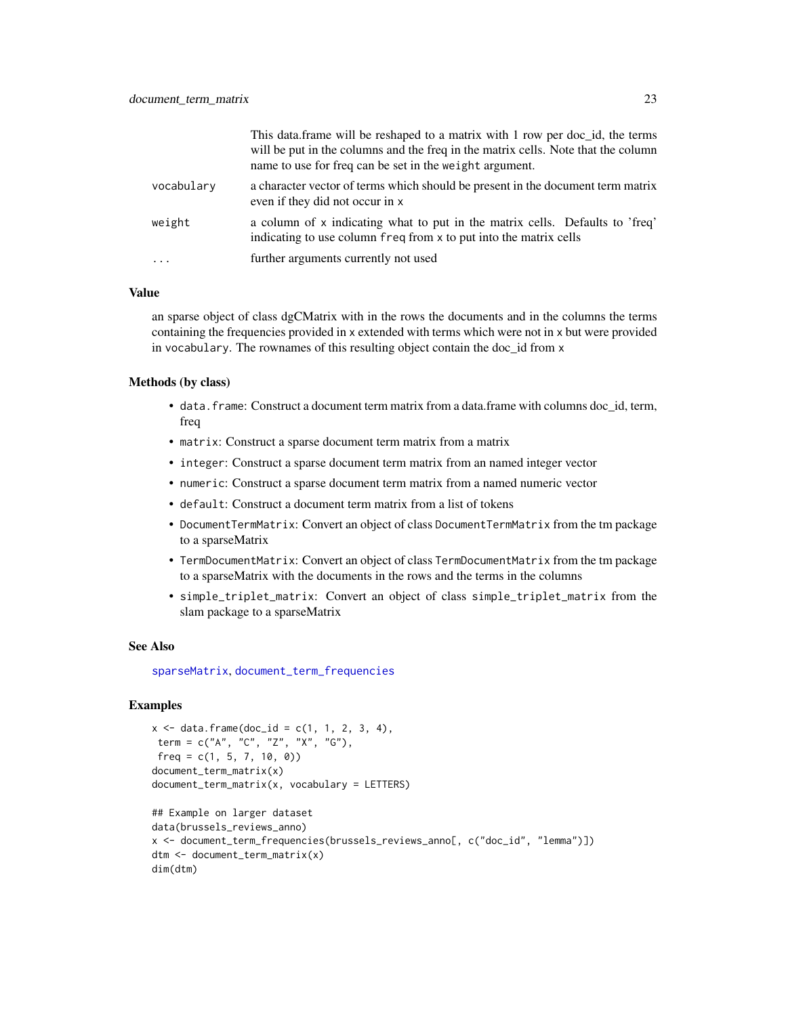|            | This data.frame will be reshaped to a matrix with 1 row per doc_id, the terms<br>will be put in the columns and the freq in the matrix cells. Note that the column<br>name to use for freq can be set in the weight argument. |
|------------|-------------------------------------------------------------------------------------------------------------------------------------------------------------------------------------------------------------------------------|
| vocabulary | a character vector of terms which should be present in the document term matrix<br>even if they did not occur in x                                                                                                            |
| weight     | a column of x indicating what to put in the matrix cells. Defaults to 'freq'<br>indicating to use column freq from x to put into the matrix cells                                                                             |
| .          | further arguments currently not used                                                                                                                                                                                          |

### Value

an sparse object of class dgCMatrix with in the rows the documents and in the columns the terms containing the frequencies provided in x extended with terms which were not in x but were provided in vocabulary. The rownames of this resulting object contain the doc\_id from x

### Methods (by class)

- data. frame: Construct a document term matrix from a data. frame with columns doc id, term, freq
- matrix: Construct a sparse document term matrix from a matrix
- integer: Construct a sparse document term matrix from an named integer vector
- numeric: Construct a sparse document term matrix from a named numeric vector
- default: Construct a document term matrix from a list of tokens
- DocumentTermMatrix: Convert an object of class DocumentTermMatrix from the tm package to a sparseMatrix
- TermDocumentMatrix: Convert an object of class TermDocumentMatrix from the tm package to a sparseMatrix with the documents in the rows and the terms in the columns
- simple\_triplet\_matrix: Convert an object of class simple\_triplet\_matrix from the slam package to a sparseMatrix

#### See Also

[sparseMatrix](#page-0-0), [document\\_term\\_frequencies](#page-18-1)

```
x \le - data.frame(doc_id = c(1, 1, 2, 3, 4),
term = c("A", "C", "Z", "X", "G"),
freq = c(1, 5, 7, 10, 0)document_term_matrix(x)
document_term_matrix(x, vocabulary = LETTERS)
## Example on larger dataset
data(brussels_reviews_anno)
```

```
x <- document_term_frequencies(brussels_reviews_anno[, c("doc_id", "lemma")])
dtm <- document_term_matrix(x)
dim(dtm)
```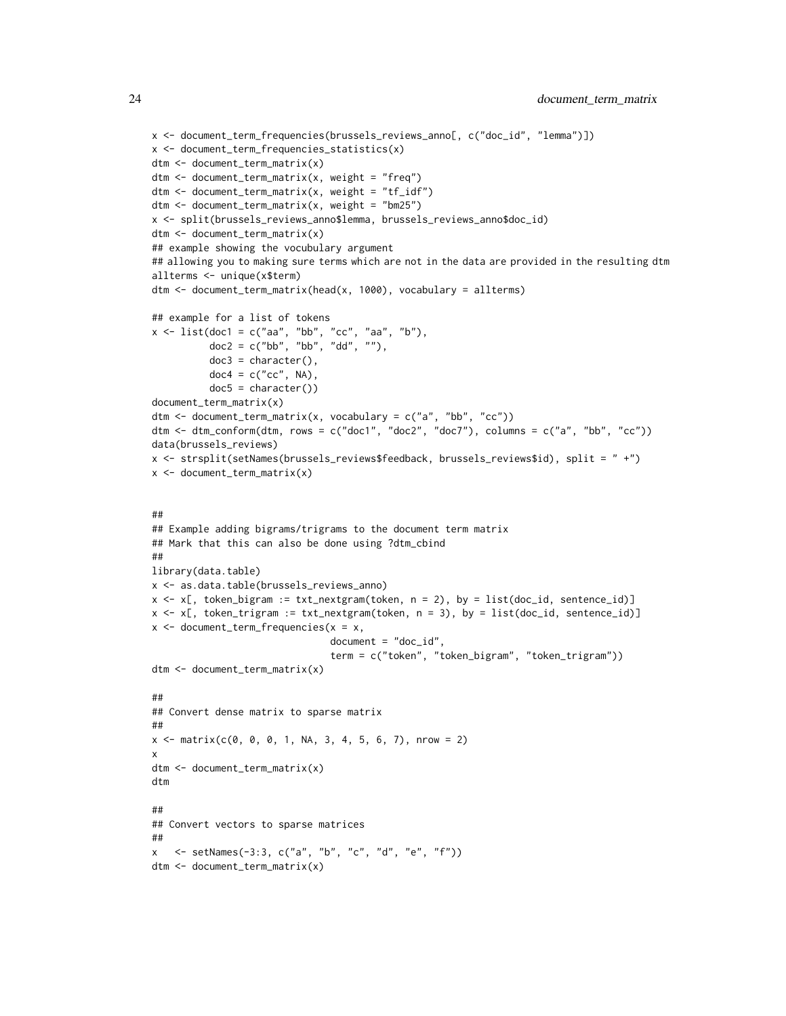```
x <- document_term_frequencies(brussels_reviews_anno[, c("doc_id", "lemma")])
x <- document_term_frequencies_statistics(x)
dtm <- document_term_matrix(x)
dtm <- document_term_matrix(x, weight = "freq")
dtm <- document_term_matrix(x, weight = "tf_idf")
dtm <- document_term_matrix(x, weight = "bm25")
x <- split(brussels_reviews_anno$lemma, brussels_reviews_anno$doc_id)
dtm <- document_term_matrix(x)
## example showing the vocubulary argument
## allowing you to making sure terms which are not in the data are provided in the resulting dtm
allterms <- unique(x$term)
dtm <- document_term_matrix(head(x, 1000), vocabulary = allterms)
## example for a list of tokens
x <- list(doc1 = c("aa", "bb", "cc", "aa", "b"),
          doc2 = c("bb", "bb", "dd", ""),
          doc3 = character(),doc4 = c("cc", NA),
          doc5 = character()document_term_matrix(x)
dtm \leq document_term_matrix(x, vocabulary = c("a", "bb", "cc"))
dtm <- dtm_conform(dtm, rows = c("doc1", "doc2", "doc7"), columns = c("a", "bb", "cc"))
data(brussels_reviews)
x <- strsplit(setNames(brussels_reviews$feedback, brussels_reviews$id), split = " +")
x \leq document_term_matrix(x)
##
## Example adding bigrams/trigrams to the document term matrix
## Mark that this can also be done using ?dtm_cbind
##
library(data.table)
x <- as.data.table(brussels_reviews_anno)
x \le x (, token_bigram := txt_nextgram(token, n = 2), by = list(doc_id, sentence_id)]
x \le x (, token_trigram := txt_nextgram(token, n = 3), by = list(doc_id, sentence_id)]
x <- document_term_frequencies(x = x,
                               document = "doc_id",term = c("token", "token_bigram", "token_trigram"))
dtm <- document_term_matrix(x)
##
## Convert dense matrix to sparse matrix
##
x \le matrix(c(0, 0, 0, 1, NA, 3, 4, 5, 6, 7), nrow = 2)
x
dtm <- document_term_matrix(x)
dtm
##
## Convert vectors to sparse matrices
##
x <- setNames(-3:3, c("a", "b", "c", "d", "e", "f"))
dtm <- document_term_matrix(x)
```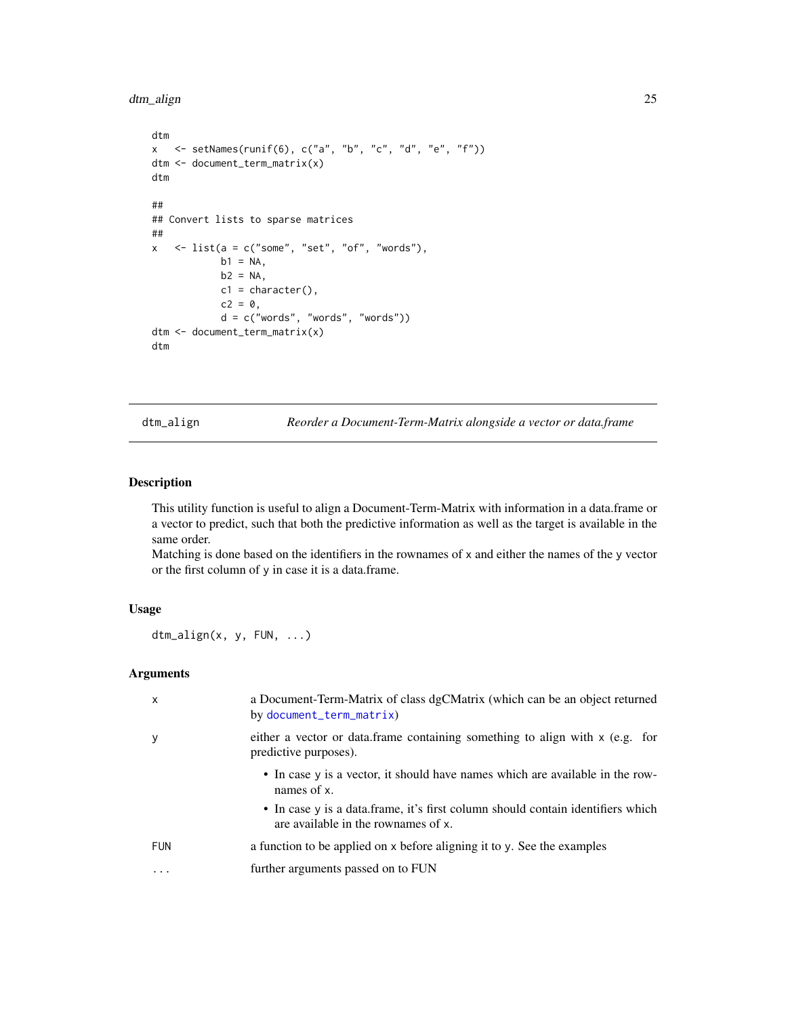```
dtm_align 25
```

```
dtm
x <- setNames(runif(6), c("a", "b", "c", "d", "e", "f"))
dtm <- document_term_matrix(x)
dtm
##
## Convert lists to sparse matrices
##
x \le - list(a = c("some", "set", "of", "words"),
            b1 = NA,
            b2 = NA,
            c1 =character(),
            c2 = 0,
            d = c("words", "words", "words")dtm <- document_term_matrix(x)
dtm
```
dtm\_align *Reorder a Document-Term-Matrix alongside a vector or data.frame*

### Description

This utility function is useful to align a Document-Term-Matrix with information in a data.frame or a vector to predict, such that both the predictive information as well as the target is available in the same order.

Matching is done based on the identifiers in the rownames of x and either the names of the y vector or the first column of y in case it is a data.frame.

### Usage

dtm\_align(x, y, FUN, ...)

#### Arguments

| $\mathsf{x}$ | a Document-Term-Matrix of class dgCMatrix (which can be an object returned<br>by document_term_matrix)                 |
|--------------|------------------------------------------------------------------------------------------------------------------------|
| y            | either a vector or data.frame containing something to align with x (e.g. for<br>predictive purposes).                  |
|              | • In case y is a vector, it should have names which are available in the row-<br>names of x.                           |
|              | • In case y is a data frame, it's first column should contain identifiers which<br>are available in the rownames of x. |
| FUN          | a function to be applied on x before aligning it to y. See the examples                                                |
| $\ddotsc$    | further arguments passed on to FUN                                                                                     |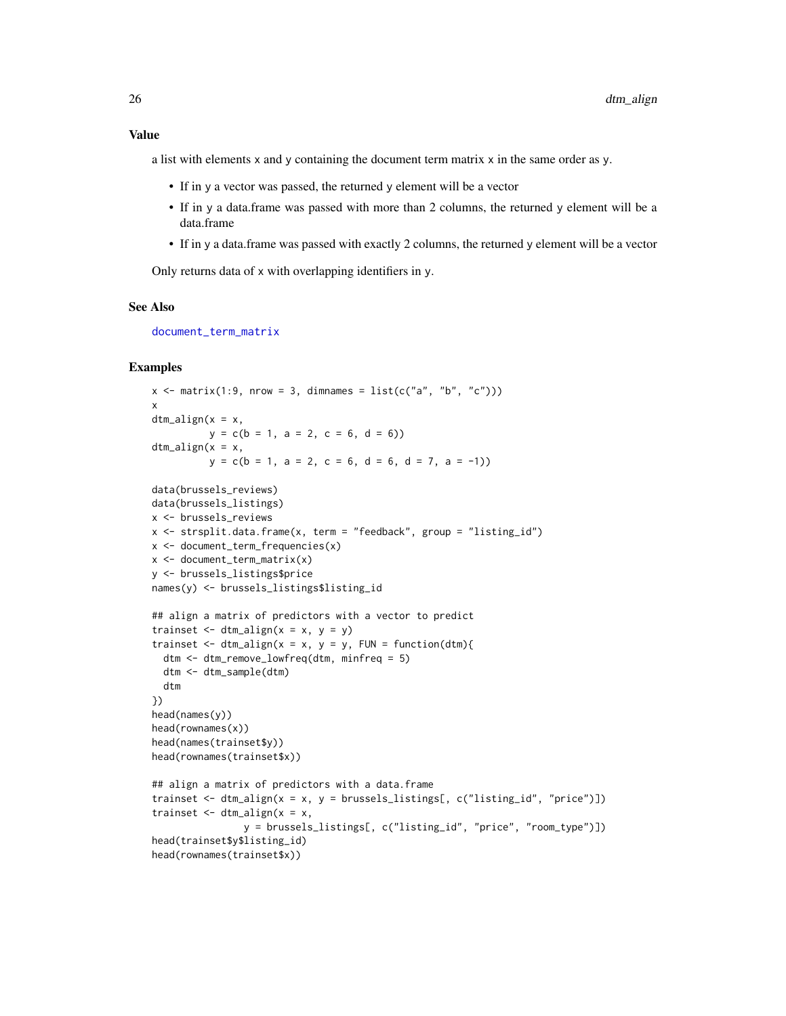a list with elements x and y containing the document term matrix x in the same order as y.

- If in y a vector was passed, the returned y element will be a vector
- If in y a data.frame was passed with more than 2 columns, the returned y element will be a data.frame
- If in y a data.frame was passed with exactly 2 columns, the returned y element will be a vector

Only returns data of x with overlapping identifiers in y.

### See Also

[document\\_term\\_matrix](#page-21-1)

```
x \le - matrix(1:9, nrow = 3, dimnames = list(c("a", "b", "c")))
x
dtm_align(x = x,
          y = c(b = 1, a = 2, c = 6, d = 6)dtm_align(x = x,
          y = c(b = 1, a = 2, c = 6, d = 6, d = 7, a = -1)data(brussels_reviews)
data(brussels_listings)
x <- brussels_reviews
x <- strsplit.data.frame(x, term = "feedback", group = "listing_id")
x <- document_term_frequencies(x)
x \leq document_term_matrix(x)
y <- brussels_listings$price
names(y) <- brussels_listings$listing_id
## align a matrix of predictors with a vector to predict
trainset \le dtm_align(x = x, y = y)
trainset \leq dtm_align(x = x, y = y, FUN = function(dtm){
  dtm <- dtm_remove_lowfreq(dtm, minfreq = 5)
  dtm <- dtm_sample(dtm)
  dtm
})
head(names(y))
head(rownames(x))
head(names(trainset$y))
head(rownames(trainset$x))
## align a matrix of predictors with a data.frame
trainset \le - dtm_align(x = x, y = brussels_listings[, c("listing_id", "price")])
trainset \leq dtm_align(x = x,
                y = brussels_listings[, c("listing_id", "price", "room_type")])
head(trainset$y$listing_id)
head(rownames(trainset$x))
```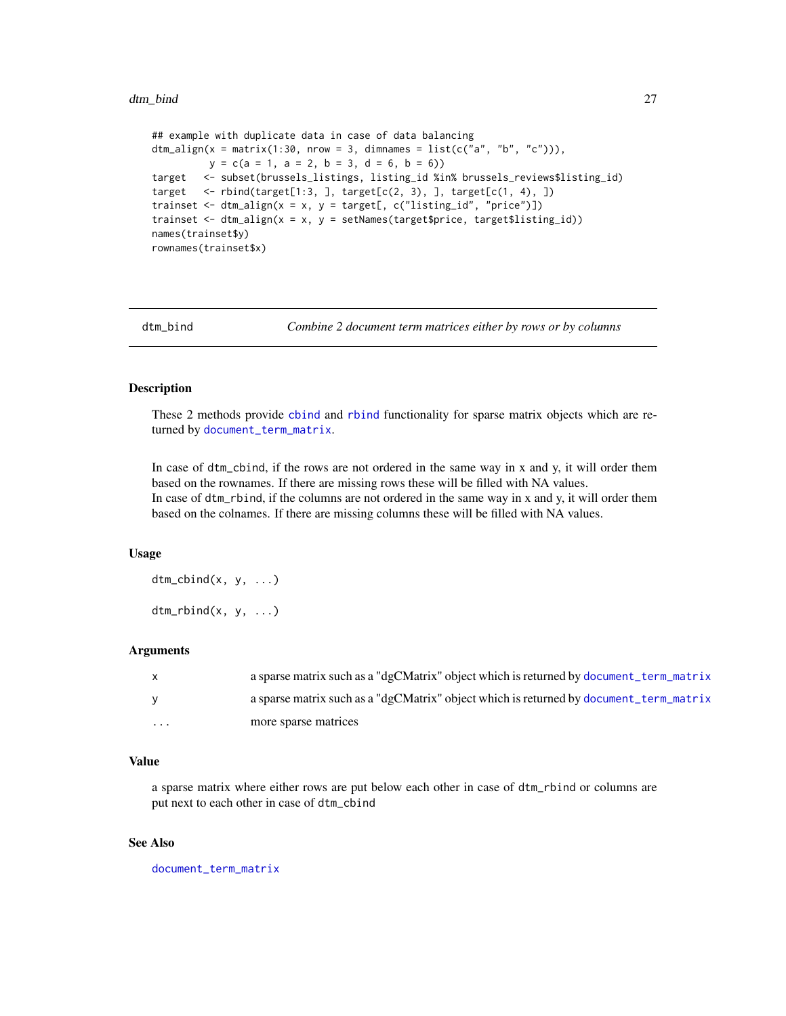```
## example with duplicate data in case of data balancing
dtm_align(x = matrix(1:30, nrow = 3, dimnames = list(c("a", "b", "c"))),y = c(a = 1, a = 2, b = 3, d = 6, b = 6)target <- subset(brussels_listings, listing_id %in% brussels_reviews$listing_id)
target \leq rbind(target[1:3, ], target[c(2, 3), ], target[c(1, 4), ])
trainset \le dtm_align(x = x, y = target[, c("listing_id", "price")])
trainset <- dtm_align(x = x, y = setNames(target$price, target$listing_id))
names(trainset$y)
rownames(trainset$x)
```

| dtm bind |
|----------|

Combine 2 document term matrices either by rows or by columns

### Description

These 2 methods provide [cbind](#page-0-0) and [rbind](#page-0-0) functionality for sparse matrix objects which are returned by [document\\_term\\_matrix](#page-21-1).

In case of dtm\_cbind, if the rows are not ordered in the same way in x and y, it will order them based on the rownames. If there are missing rows these will be filled with NA values. In case of dtm\_rbind, if the columns are not ordered in the same way in x and y, it will order them based on the colnames. If there are missing columns these will be filled with NA values.

### Usage

 $dt$ m\_cbind $(x, y, \ldots)$  $dt$ m\_rbind(x, y, ...)

### Arguments

| $\mathsf{x}$ | a sparse matrix such as a "dgCMatrix" object which is returned by document term matrix |
|--------------|----------------------------------------------------------------------------------------|
| <b>V</b>     | a sparse matrix such as a "dgCMatrix" object which is returned by document_term_matrix |
| $\cdots$     | more sparse matrices                                                                   |

### Value

a sparse matrix where either rows are put below each other in case of dtm\_rbind or columns are put next to each other in case of dtm\_cbind

### See Also

[document\\_term\\_matrix](#page-21-1)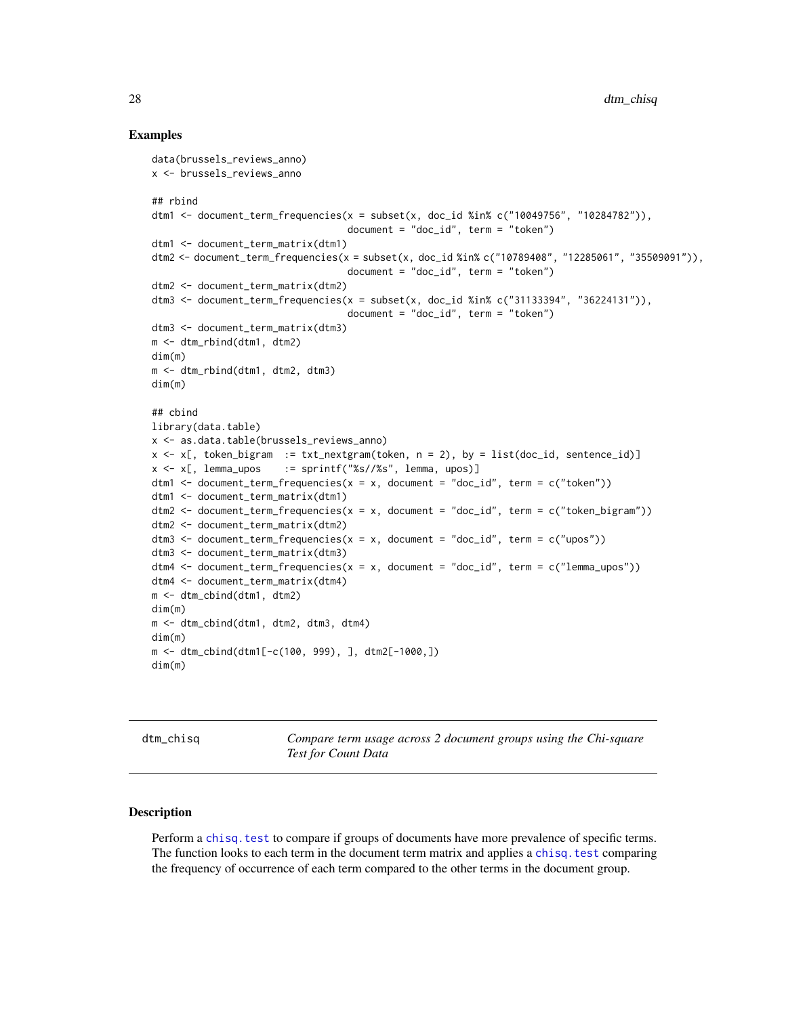### Examples

```
data(brussels_reviews_anno)
x <- brussels_reviews_anno
## rbind
dtm1 <- document_term_frequencies(x = subset(x, doc_id %in% c("10049756", "10284782")),
                                  document = "doc_id", term = "token")dtm1 <- document_term_matrix(dtm1)
dtm2 <- document_term_frequencies(x = subset(x, doc_id %in% c("10789408", "12285061", "35509091")),
                                  document = "doc_id", term = "token")dtm2 <- document_term_matrix(dtm2)
dtm3 <- document_term_frequencies(x = subset(x, doc_id %in% c("31133394", "36224131")),
                                  document = "doc_id", term = "token")dtm3 <- document_term_matrix(dtm3)
m <- dtm_rbind(dtm1, dtm2)
dim(m)
m <- dtm_rbind(dtm1, dtm2, dtm3)
dim(m)
## cbind
library(data.table)
x <- as.data.table(brussels_reviews_anno)
x \leq x[, token_bigram := txt_nextgram(token, n = 2), by = list(doc_id, sentence_id)]
x \leq x[, lemma_upos := sprintf("%s//%s", lemma, upos)]
dtm1 <- document_term_frequencies(x = x, document = "doc_id", term = c("token"))
dtm1 <- document_term_matrix(dtm1)
dtm2 <- document_term_frequencies(x = x, document = "doc_id", term = c("token_bigram"))
dtm2 <- document_term_matrix(dtm2)
dtm3 \leq document_term_frequencies(x = x, document = "doc_id", term = c("upos"))
dtm3 <- document_term_matrix(dtm3)
dtm4 \le document_term_frequencies(x = x, document = "doc_id", term = c("lemma_upos"))
dtm4 <- document_term_matrix(dtm4)
m <- dtm_cbind(dtm1, dtm2)
dim(m)
m <- dtm_cbind(dtm1, dtm2, dtm3, dtm4)
dim(m)
m <- dtm_cbind(dtm1[-c(100, 999), ], dtm2[-1000,])
dim(m)
```
dtm\_chisq *Compare term usage across 2 document groups using the Chi-square Test for Count Data*

### **Description**

Perform a chisq. test to compare if groups of documents have more prevalence of specific terms. The function looks to each term in the document term matrix and applies a [chisq.test](#page-0-0) comparing the frequency of occurrence of each term compared to the other terms in the document group.

<span id="page-27-0"></span>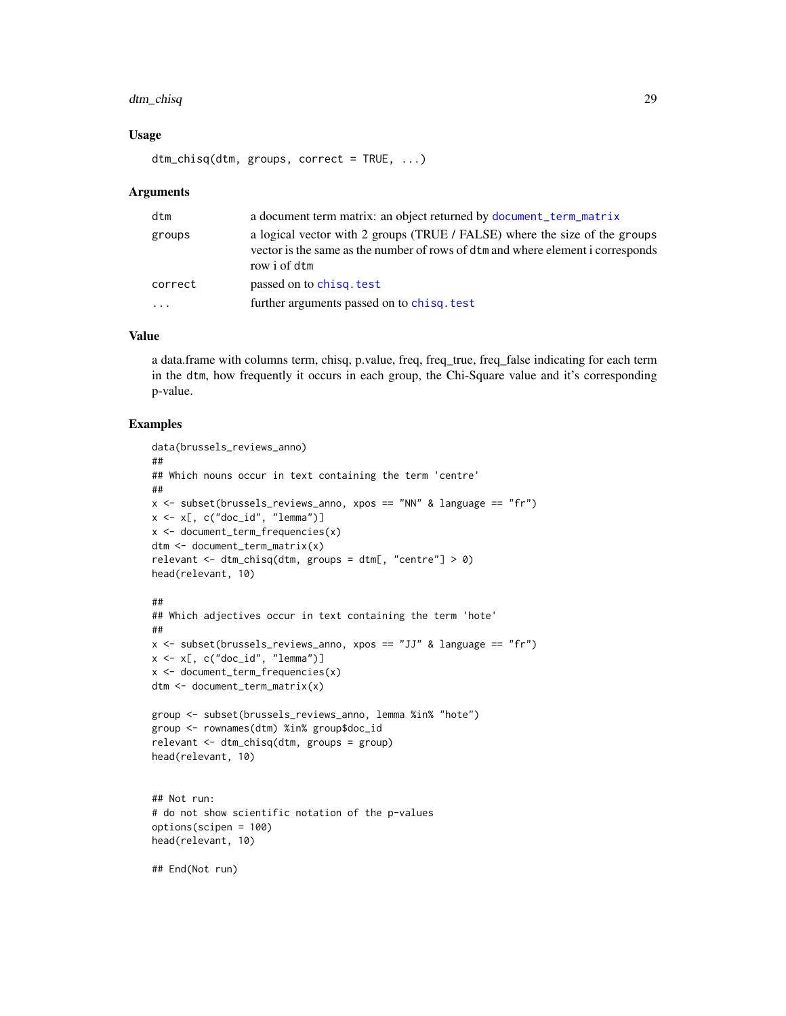### dtm\_chisq 29

### Usage

dtm\_chisq(dtm, groups, correct = TRUE, ...)

#### Arguments

| dtm     | a document term matrix: an object returned by document_term_matrix                                                                                                            |
|---------|-------------------------------------------------------------------------------------------------------------------------------------------------------------------------------|
| groups  | a logical vector with 2 groups (TRUE / FALSE) where the size of the groups<br>vector is the same as the number of rows of dtm and where element i corresponds<br>row i of dtm |
| correct | passed on to chisq. test                                                                                                                                                      |
| .       | further arguments passed on to chisq. test                                                                                                                                    |

### Value

a data.frame with columns term, chisq, p.value, freq, freq\_true, freq\_false indicating for each term in the dtm, how frequently it occurs in each group, the Chi-Square value and it's corresponding p-value.

```
data(brussels_reviews_anno)
##
## Which nouns occur in text containing the term 'centre'
##
x <- subset(brussels_reviews_anno, xpos == "NN" & language == "fr")
x \leq x[, c("doc_id", "lemma")]
x <- document_term_frequencies(x)
dtm <- document_term_matrix(x)
relevant <- dtm_chisq(dtm, groups = dtm[, "centre"] > 0)
head(relevant, 10)
##
## Which adjectives occur in text containing the term 'hote'
##
x \le subset(brussels_reviews_anno, xpos == "JJ" & language == "fr")
x \leq x[, c("doc_id", "lemma")]
x <- document_term_frequencies(x)
dtm <- document_term_matrix(x)
group <- subset(brussels_reviews_anno, lemma %in% "hote")
group <- rownames(dtm) %in% group$doc_id
relevant <- dtm_chisq(dtm, groups = group)
head(relevant, 10)
## Not run:
# do not show scientific notation of the p-values
options(scipen = 100)
head(relevant, 10)
## End(Not run)
```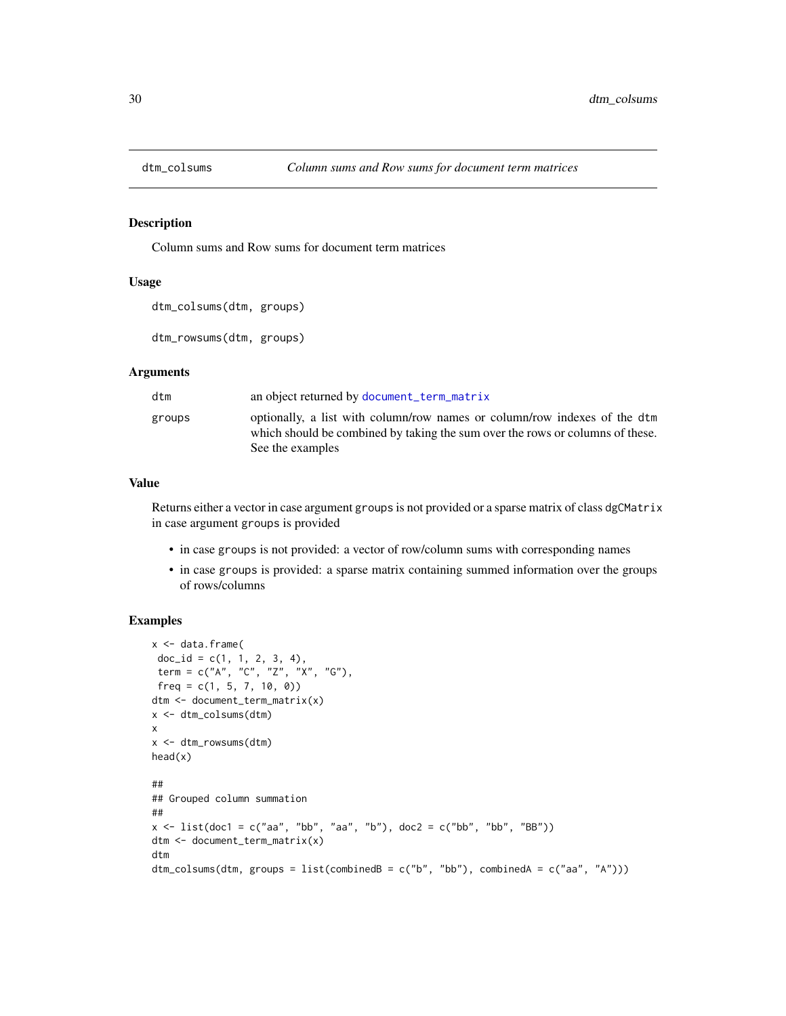<span id="page-29-0"></span>

### Description

Column sums and Row sums for document term matrices

### Usage

```
dtm_colsums(dtm, groups)
```
dtm\_rowsums(dtm, groups)

### **Arguments**

| dtm    | an object returned by document_term_matrix                                                                                                                                     |
|--------|--------------------------------------------------------------------------------------------------------------------------------------------------------------------------------|
| groups | optionally, a list with column/row names or column/row indexes of the dtm<br>which should be combined by taking the sum over the rows or columns of these.<br>See the examples |

#### Value

Returns either a vector in case argument groups is not provided or a sparse matrix of class dgCMatrix in case argument groups is provided

- in case groups is not provided: a vector of row/column sums with corresponding names
- in case groups is provided: a sparse matrix containing summed information over the groups of rows/columns

```
x < - data.frame(
 doc_id = c(1, 1, 2, 3, 4),term = c("A", "C", "Z", "X", "G"),
 freq = c(1, 5, 7, 10, 0)dtm <- document_term_matrix(x)
x <- dtm_colsums(dtm)
x
x <- dtm_rowsums(dtm)
head(x)
##
## Grouped column summation
##
x \le - list(doc1 = c("aa", "bb", "aa", "b"), doc2 = c("bb", "bb", "BB"))
dtm <- document_term_matrix(x)
dtm
dtm_colsums(dtm, groups = list(combinedB = c("b", "bb"), combinedA = c("aa", "A")))
```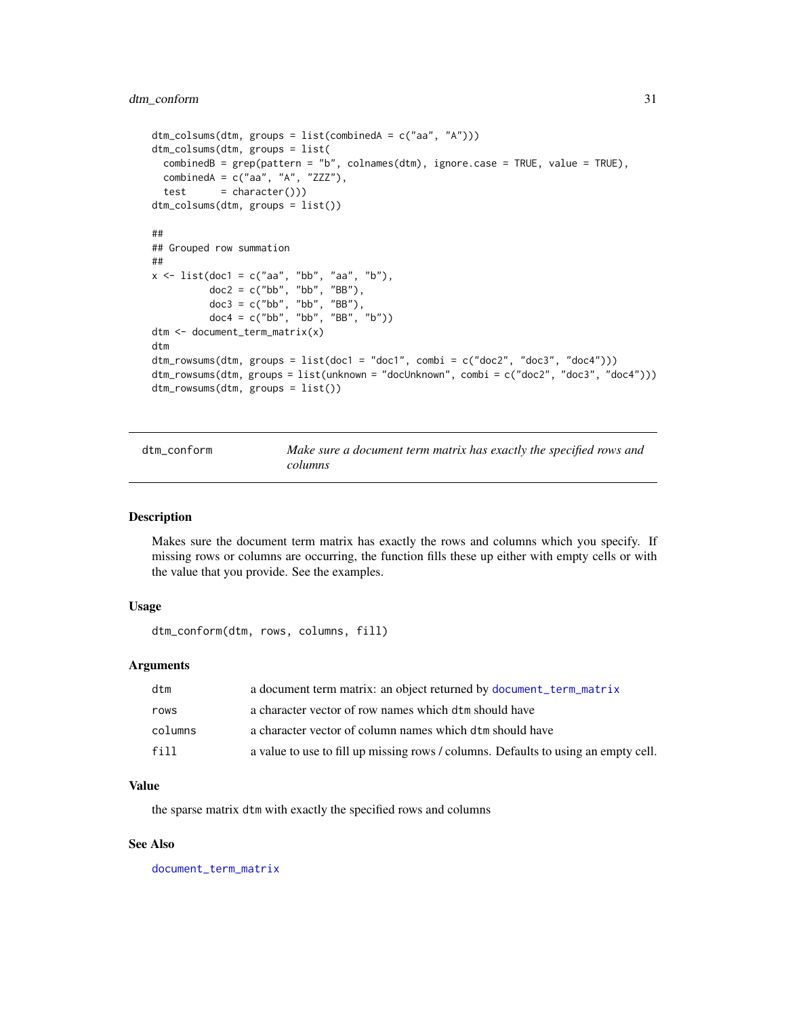### <span id="page-30-0"></span>dtm\_conform 31

```
dtm_colsums(dtm, groups = list(combinedA = c("aa", "A")))
dtm_colsums(dtm, groups = list(
 combinedB = grep(pattern = "b", colnames(dtm), ignore.case = TRUE, value = TRUE),
 combinedA = c("aa", "A", "ZZZ"),
 test = character())dtm_colsums(dtm, groups = list())
##
## Grouped row summation
##
x \le - list(doc1 = c("aa", "bb", "aa", "b"),
          doc2 = c("bb", "bb", "BB"),doc3 = c("bb", "bb", "BB"),
          doc4 = c("bb", "bb", "BB", "b"))
dtm <- document_term_matrix(x)
dtm
dtm_rowsums(dtm, groups = list(doc1 = "doc1", combi = c("doc2", "doc3", "doc4")))
dtm_rowsums(dtm, groups = list(unknown = "docUnknown", combi = c("doc2", "doc3", "doc4")))
dtm_rowsums(dtm, groups = list())
```
dtm\_conform *Make sure a document term matrix has exactly the specified rows and columns*

#### Description

Makes sure the document term matrix has exactly the rows and columns which you specify. If missing rows or columns are occurring, the function fills these up either with empty cells or with the value that you provide. See the examples.

### Usage

```
dtm_conform(dtm, rows, columns, fill)
```
### Arguments

| dtm     | a document term matrix: an object returned by document_term_matrix                 |
|---------|------------------------------------------------------------------------------------|
| rows    | a character vector of row names which dtm should have                              |
| columns | a character vector of column names which dtm should have                           |
| fill.   | a value to use to fill up missing rows / columns. Defaults to using an empty cell. |

### Value

the sparse matrix dtm with exactly the specified rows and columns

### See Also

[document\\_term\\_matrix](#page-21-1)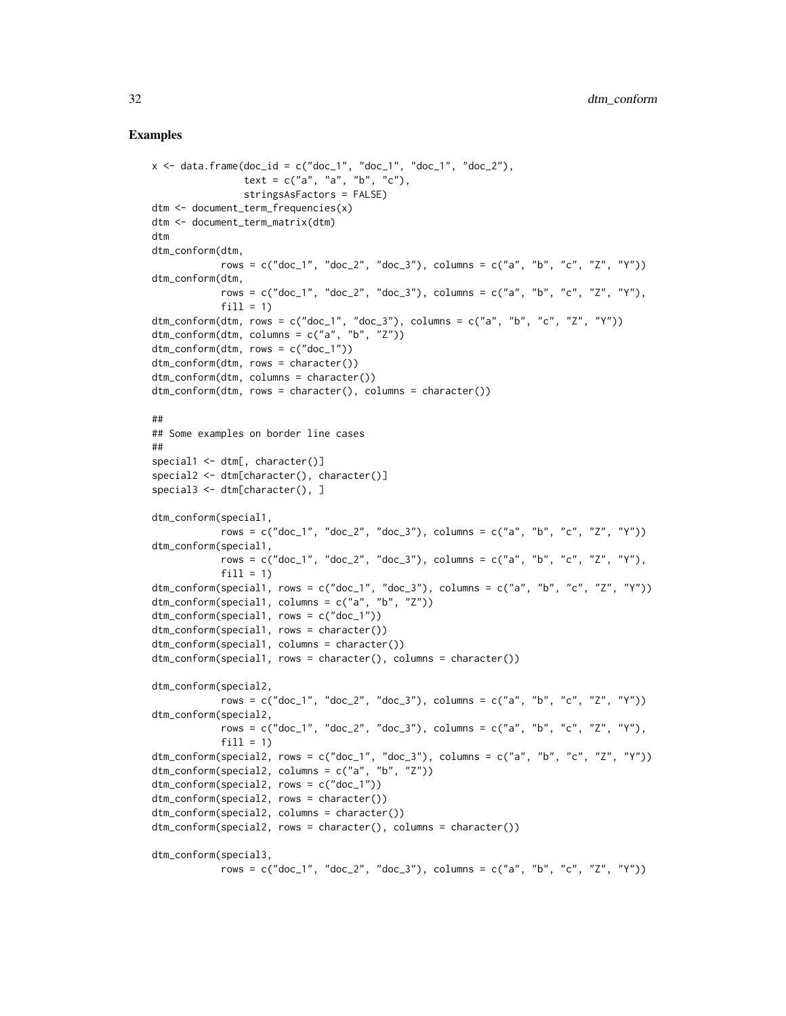```
x \le - data.frame(doc_id = c("doc_1", "doc_1", "doc_1", "doc_2"),
                text = c("a", "a", "b", "c"),stringsAsFactors = FALSE)
dtm <- document_term_frequencies(x)
dtm <- document_term_matrix(dtm)
dtm
dtm_conform(dtm,
            rows = c("doc_1", "doc_2", "doc_3"), colums = c("a", "b", "c", "Z", "Y"))dtm_conform(dtm,
            rows = c("doc_1", "doc_2", "doc_3"), colums = c("a", "b", "c", "Z", "Y"),fill = 1)
dtm_conform(dtm, rows = c("doc_1", "doc_3"), columns = c("a", "b", "c", "Z", "Y"))
dtm_conform(dtm, columns = c("a", "b", "Z"))
dtm_conform(dtm, rows = c("doc_1"))
dtm_conform(dtm, rows = character())
dtm_conform(dtm, columns = character())
dtm_conform(dtm, rows = character(), columns = character())
##
## Some examples on border line cases
##
special1 \leq dtm[, character()]
special2 <- dtm[character(), character()]
special3 \leq dtm[character(), ]
dtm_conform(special1,
            rows = c("doc_1", "doc_2", "doc_3"), columns = c("a", "b", "c", "Z", "Y"))dtm_conform(special1,
            rows = c("doc_1", "doc_2", "doc_3"), colums = c("a", "b", "c", "Z", "Y"),fill = 1)dtm_conform(special1, rows = c("doc_1", "doc_3"), columns = c("a", "b", "c", "Z", "Y"))
dtm_conform(special1, columns = c("a", "b", "Z"))
dtm_conform(special1, rows = c("doc_1"))
dtm_conform(special1, rows = character())
dtm_conform(special1, columns = character())
dtm_conform(special1, rows = character(), columns = character())
dtm_conform(special2,
            rows = c("doc_1", "doc_2", "doc_3"), columns = c("a", "b", "c", "Z", "Y"))dtm_conform(special2,
            rows = c("doc_1", "doc_2", "doc_3"), columns = c("a", "b", "c", "Z", "Y"),
            fill = 1)dtm_conform(special2, rows = c("doc_1", "doc_3"), columns = c("a", "b", "c", "Z", "Y"))
dtm_conform(special2, columns = c("a", "b", "Z"))
dtm_conform(special2, rows = c("doc_1"))
dtm_conform(special2, rows = character())
dtm_conform(special2, columns = character())
dtm_conform(special2, rows = character(), columns = character())
dtm_conform(special3,
            rows = c("doc_1", "doc_2", "doc_3"), colums = c("a", "b", "c", "Z", "Y"))
```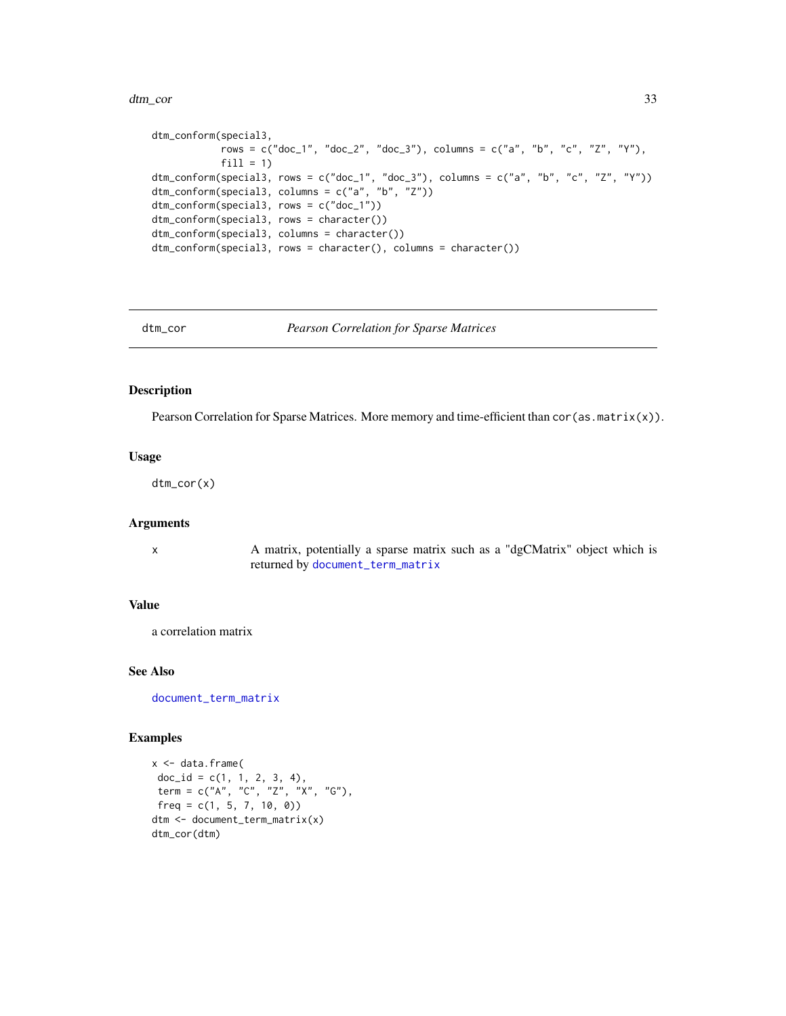#### <span id="page-32-0"></span>dtm\_cor 33

```
dtm_conform(special3,
           rows = c("doc_1", "doc_2", "doc_3"), columns = c("a", "b", "c", "Z", "Y"),
           fill = 1)dtm_conform(special3, rows = c("doc_1", "doc_3"), columns = c("a", "b", "c", "Z", "Y"))
dtm_conform(special3, columns = c("a", "b", "Z"))
dtm_conform(special3, rows = c("doc_1"))
dtm_conform(special3, rows = character())
dtm_conform(special3, columns = character())
dtm_conform(special3, rows = character(), columns = character())
```
dtm\_cor *Pearson Correlation for Sparse Matrices*

### Description

Pearson Correlation for Sparse Matrices. More memory and time-efficient than cor (as .matrix(x)).

### Usage

dtm\_cor(x)

### Arguments

x A matrix, potentially a sparse matrix such as a "dgCMatrix" object which is returned by [document\\_term\\_matrix](#page-21-1)

### Value

a correlation matrix

### See Also

[document\\_term\\_matrix](#page-21-1)

```
x <- data.frame(
 doc_id = c(1, 1, 2, 3, 4),term = c("A", "C", "Z", "X", "G"),
freq = c(1, 5, 7, 10, 0)dtm <- document_term_matrix(x)
dtm_cor(dtm)
```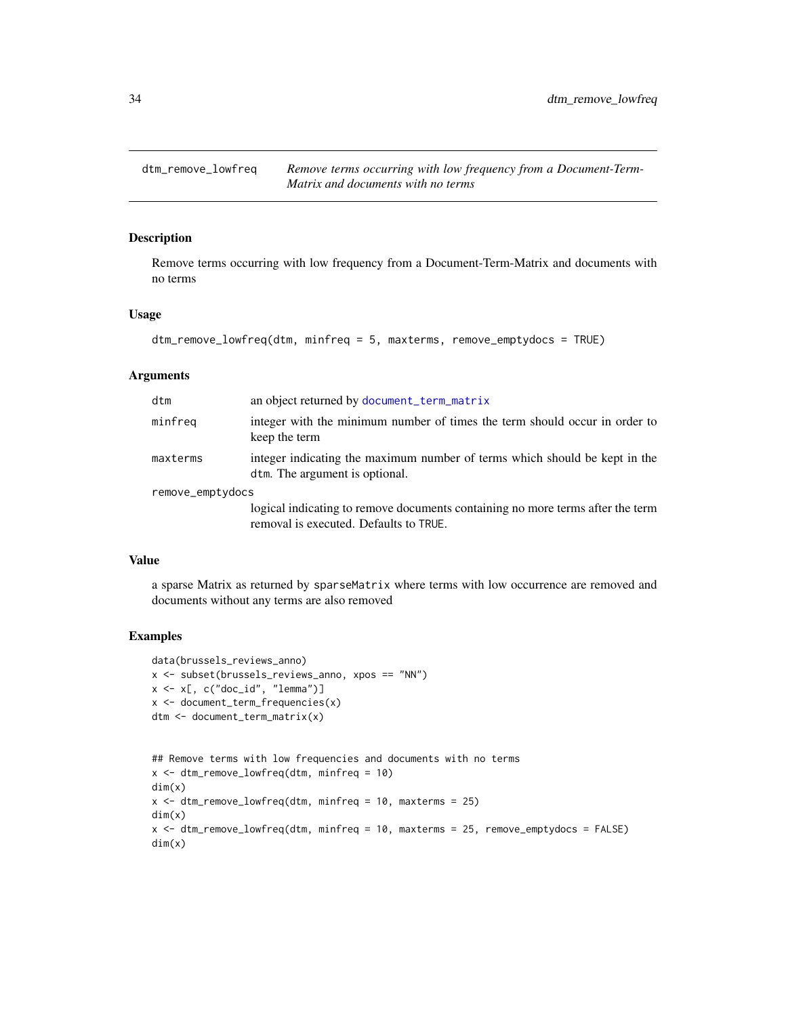<span id="page-33-0"></span>

### Description

Remove terms occurring with low frequency from a Document-Term-Matrix and documents with no terms

### Usage

```
dtm_remove_lowfreq(dtm, minfreq = 5, maxterms, remove_emptydocs = TRUE)
```
### Arguments

| dtm              | an object returned by document_term_matrix                                                                               |
|------------------|--------------------------------------------------------------------------------------------------------------------------|
| minfreq          | integer with the minimum number of times the term should occur in order to<br>keep the term                              |
| maxterms         | integer indicating the maximum number of terms which should be kept in the<br>dtm. The argument is optional.             |
| remove_emptydocs |                                                                                                                          |
|                  | logical indicating to remove documents containing no more terms after the term<br>removal is executed. Defaults to TRUE. |

### Value

a sparse Matrix as returned by sparseMatrix where terms with low occurrence are removed and documents without any terms are also removed

```
data(brussels_reviews_anno)
x <- subset(brussels_reviews_anno, xpos == "NN")
x \leftarrow x[, c("doc_id", "lemma")]
x <- document_term_frequencies(x)
dtm <- document_term_matrix(x)
```

```
## Remove terms with low frequencies and documents with no terms
x \le - dtm_remove_lowfreq(dtm, minfreq = 10)
dim(x)
x \le - dtm_remove_lowfreq(dtm, minfreq = 10, maxterms = 25)
dim(x)
x <- dtm_remove_lowfreq(dtm, minfreq = 10, maxterms = 25, remove_emptydocs = FALSE)
dim(x)
```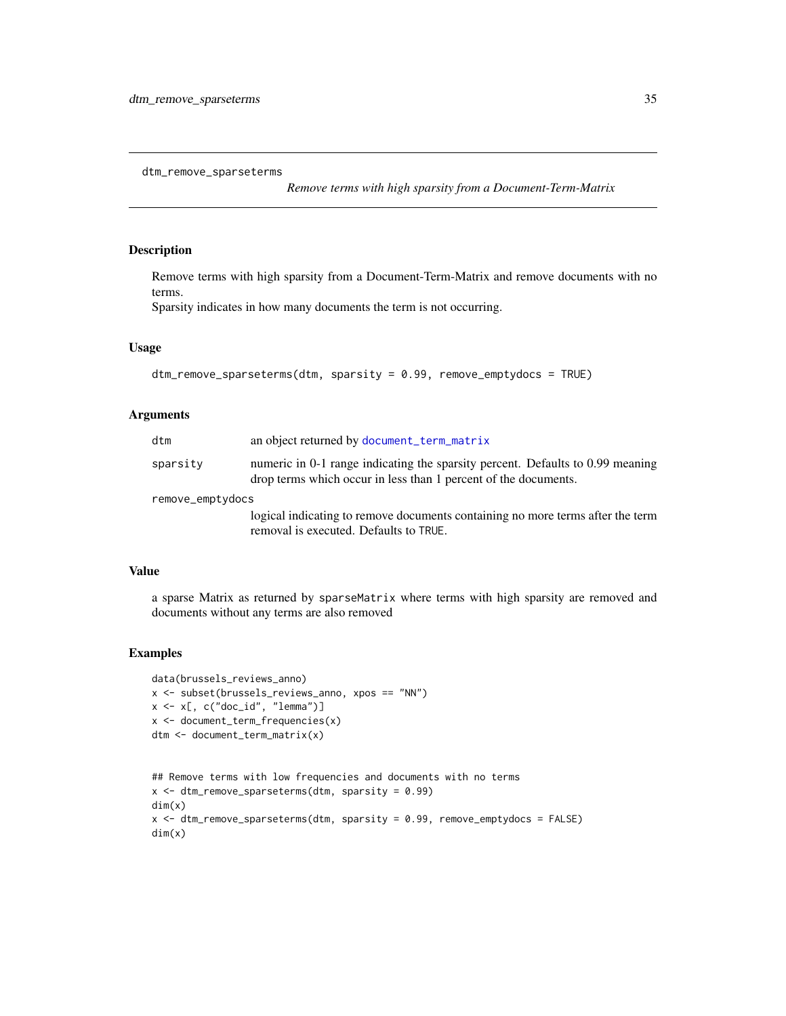<span id="page-34-0"></span>dtm\_remove\_sparseterms

*Remove terms with high sparsity from a Document-Term-Matrix*

### Description

Remove terms with high sparsity from a Document-Term-Matrix and remove documents with no terms.

Sparsity indicates in how many documents the term is not occurring.

### Usage

```
dtm_remove_sparseterms(dtm, sparsity = 0.99, remove_emptydocs = TRUE)
```
### Arguments

| dtm              | an object returned by document_term_matrix                                                                                                        |  |
|------------------|---------------------------------------------------------------------------------------------------------------------------------------------------|--|
| sparsity         | numeric in 0-1 range indicating the sparsity percent. Defaults to 0.99 meaning<br>drop terms which occur in less than 1 percent of the documents. |  |
| remove_emptydocs |                                                                                                                                                   |  |
|                  | logical indicating to remove documents containing no more terms after the term<br>removal is executed. Defaults to TRUE.                          |  |

### Value

a sparse Matrix as returned by sparseMatrix where terms with high sparsity are removed and documents without any terms are also removed

```
data(brussels_reviews_anno)
x <- subset(brussels_reviews_anno, xpos == "NN")
x \leftarrow x[, c("doc_id", "lemma")x <- document_term_frequencies(x)
dtm <- document_term_matrix(x)
```

```
## Remove terms with low frequencies and documents with no terms
x \le - dtm_remove_sparseterms(dtm, sparsity = 0.99)
dim(x)
x <- dtm_remove_sparseterms(dtm, sparsity = 0.99, remove_emptydocs = FALSE)
dim(x)
```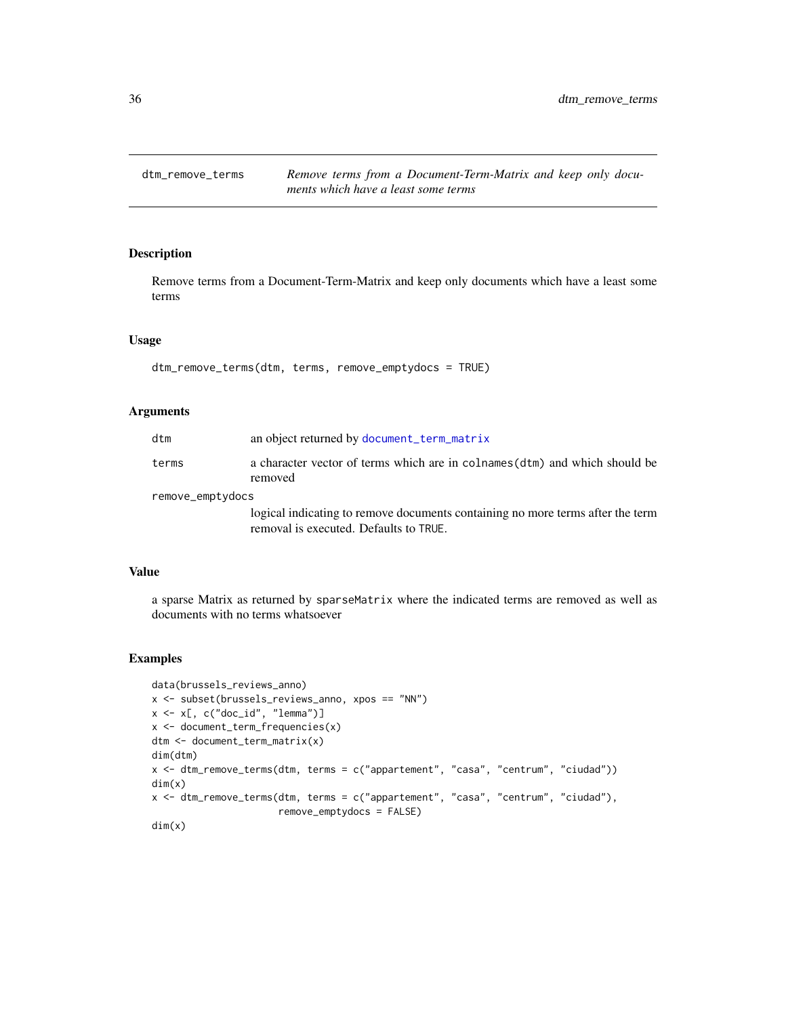<span id="page-35-0"></span>

### Description

Remove terms from a Document-Term-Matrix and keep only documents which have a least some terms

### Usage

dtm\_remove\_terms(dtm, terms, remove\_emptydocs = TRUE)

### Arguments

| dtm              | an object returned by document_term_matrix                                             |
|------------------|----------------------------------------------------------------------------------------|
| terms            | a character vector of terms which are in colnames (dtm) and which should be<br>removed |
| remove_emptydocs |                                                                                        |
|                  | logical indicating to remove documents containing no more terms after the term         |
|                  | removal is executed. Defaults to TRUE.                                                 |

### Value

a sparse Matrix as returned by sparseMatrix where the indicated terms are removed as well as documents with no terms whatsoever

```
data(brussels_reviews_anno)
x <- subset(brussels_reviews_anno, xpos == "NN")
x \leq x[, c("doc_id", "lemma")]
x <- document_term_frequencies(x)
dtm <- document_term_matrix(x)
dim(dtm)
x <- dtm_remove_terms(dtm, terms = c("appartement", "casa", "centrum", "ciudad"))
dim(x)
x <- dtm_remove_terms(dtm, terms = c("appartement", "casa", "centrum", "ciudad"),
                      remove_emptydocs = FALSE)
dim(x)
```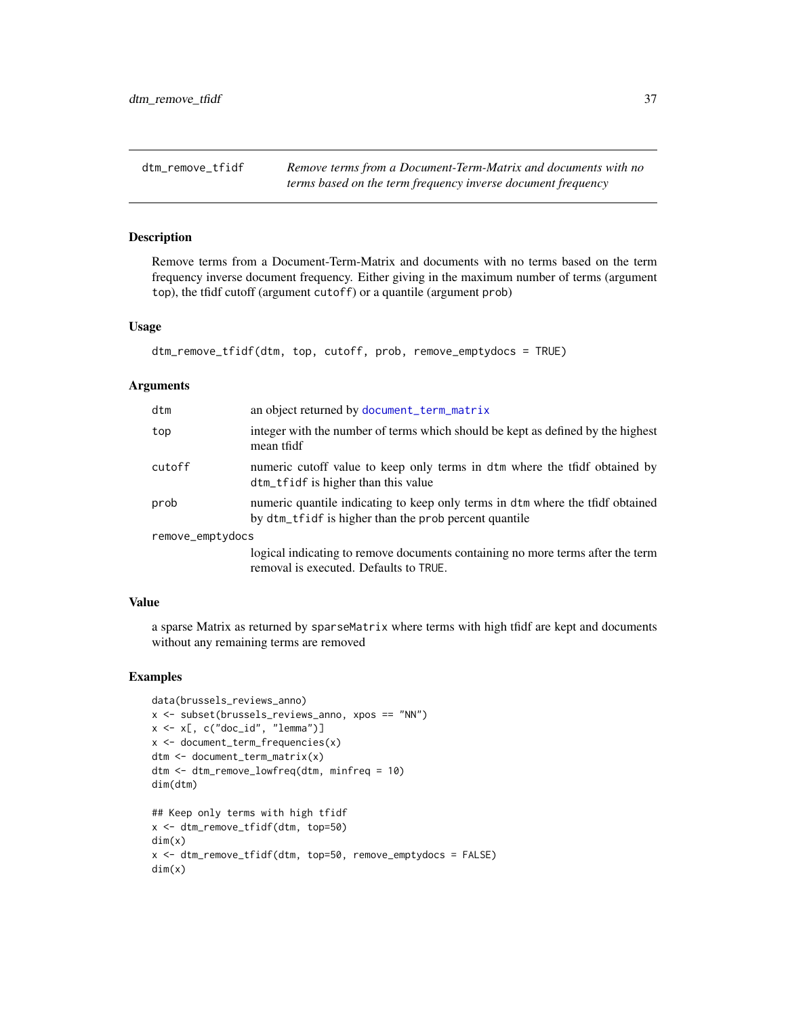dtm\_remove\_tfidf *Remove terms from a Document-Term-Matrix and documents with no terms based on the term frequency inverse document frequency*

## Description

Remove terms from a Document-Term-Matrix and documents with no terms based on the term frequency inverse document frequency. Either giving in the maximum number of terms (argument top), the tfidf cutoff (argument cutoff) or a quantile (argument prob)

#### Usage

```
dtm_remove_tfidf(dtm, top, cutoff, prob, remove_emptydocs = TRUE)
```
#### **Arguments**

| dtm              | an object returned by document_term_matrix                                                                                              |
|------------------|-----------------------------------------------------------------------------------------------------------------------------------------|
| top              | integer with the number of terms which should be kept as defined by the highest<br>mean tfidf                                           |
| cutoff           | numeric cutoff value to keep only terms in dtm where the tfidf obtained by<br>dtm_tfidf is higher than this value                       |
| prob             | numeric quantile indicating to keep only terms in dtm where the tfidf obtained<br>by dtm_tfidf is higher than the prob percent quantile |
| remove_emptydocs |                                                                                                                                         |
|                  | logical indicating to remove documents containing no more terms after the term<br>removal is executed. Defaults to TRUE.                |

### Value

a sparse Matrix as returned by sparseMatrix where terms with high tfidf are kept and documents without any remaining terms are removed

```
data(brussels_reviews_anno)
x <- subset(brussels_reviews_anno, xpos == "NN")
x \leq -x[, c("doc_id", "lemma")]
x <- document_term_frequencies(x)
dtm <- document_term_matrix(x)
dtm <- dtm_remove_lowfreq(dtm, minfreq = 10)
dim(dtm)
## Keep only terms with high tfidf
x <- dtm_remove_tfidf(dtm, top=50)
dim(x)
x <- dtm_remove_tfidf(dtm, top=50, remove_emptydocs = FALSE)
dim(x)
```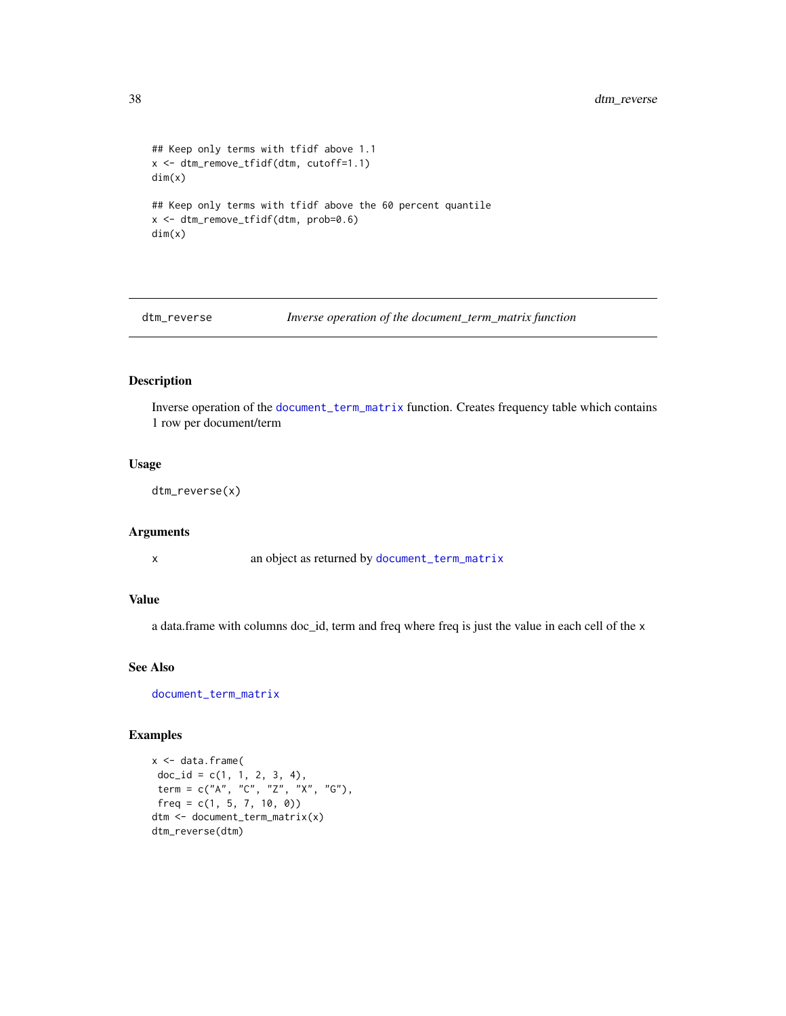```
## Keep only terms with tfidf above 1.1
x <- dtm_remove_tfidf(dtm, cutoff=1.1)
dim(x)
## Keep only terms with tfidf above the 60 percent quantile
x <- dtm_remove_tfidf(dtm, prob=0.6)
dim(x)
```
dtm\_reverse *Inverse operation of the document\_term\_matrix function*

# Description

Inverse operation of the [document\\_term\\_matrix](#page-21-0) function. Creates frequency table which contains 1 row per document/term

## Usage

dtm\_reverse(x)

#### Arguments

x an object as returned by [document\\_term\\_matrix](#page-21-0)

## Value

a data.frame with columns doc\_id, term and freq where freq is just the value in each cell of the x

## See Also

[document\\_term\\_matrix](#page-21-0)

```
x <- data.frame(
doc_id = c(1, 1, 2, 3, 4),term = c("A", "C", "Z", "X", "G"),
freq = c(1, 5, 7, 10, 0)dtm <- document_term_matrix(x)
dtm_reverse(dtm)
```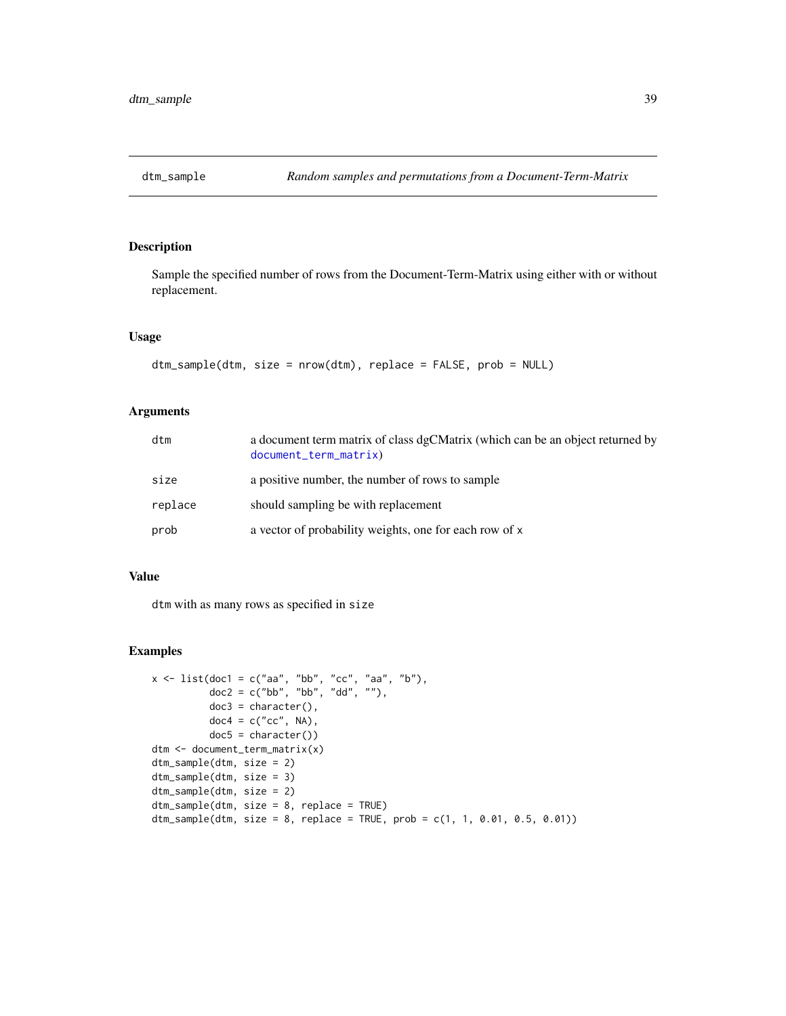Sample the specified number of rows from the Document-Term-Matrix using either with or without replacement.

## Usage

```
dtm_sample(dtm, size = nrow(dtm), replace = FALSE, prob = NULL)
```
# Arguments

| dtm     | a document term matrix of class dgCMatrix (which can be an object returned by<br>document_term_matrix) |
|---------|--------------------------------------------------------------------------------------------------------|
| size    | a positive number, the number of rows to sample                                                        |
| replace | should sampling be with replacement                                                                    |
| prob    | a vector of probability weights, one for each row of x                                                 |

## Value

dtm with as many rows as specified in size

```
x \le - list(doc1 = c("aa", "bb", "cc", "aa", "b"),
          doc2 = c("bb", "bb", "dd", ""),
          doc3 = character(),doc4 = c("cc", NA),
          doc5 = character()dtm <- document_term_matrix(x)
dtm_sample(dtm, size = 2)
dtm_sample(dtm, size = 3)
dtm_sample(dtm, size = 2)
dtm_sample(dtm, size = 8, replace = TRUE)
dtm_sample(dtm, size = 8, replace = TRUE, prob = c(1, 1, 0.01, 0.5, 0.01))
```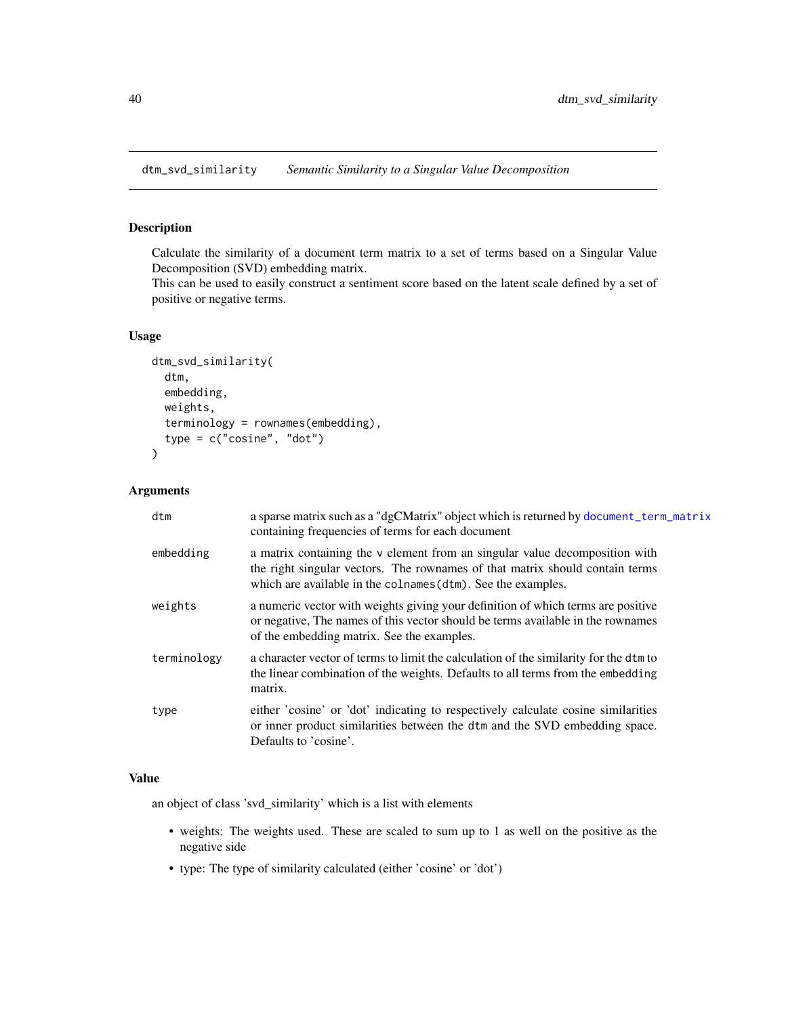dtm\_svd\_similarity *Semantic Similarity to a Singular Value Decomposition*

## Description

Calculate the similarity of a document term matrix to a set of terms based on a Singular Value Decomposition (SVD) embedding matrix.

This can be used to easily construct a sentiment score based on the latent scale defined by a set of positive or negative terms.

# Usage

```
dtm_svd_similarity(
  dtm,
  embedding,
  weights,
  terminology = rownames(embedding),
  type = c("cosine", "dot")
)
```
## Arguments

| dtm         | a sparse matrix such as a "dgCMatrix" object which is returned by document_term_matrix<br>containing frequencies of terms for each document                                                                                 |
|-------------|-----------------------------------------------------------------------------------------------------------------------------------------------------------------------------------------------------------------------------|
| embedding   | a matrix containing the v element from an singular value decomposition with<br>the right singular vectors. The rownames of that matrix should contain terms<br>which are available in the colnames (dtm). See the examples. |
| weights     | a numeric vector with weights giving your definition of which terms are positive<br>or negative. The names of this vector should be terms available in the rownames<br>of the embedding matrix. See the examples.           |
| terminology | a character vector of terms to limit the calculation of the similarity for the dtm to<br>the linear combination of the weights. Defaults to all terms from the embedding<br>matrix.                                         |
| type        | either 'cosine' or 'dot' indicating to respectively calculate cosine similarities<br>or inner product similarities between the dtm and the SVD embedding space.<br>Defaults to 'cosine'.                                    |

## Value

an object of class 'svd\_similarity' which is a list with elements

- weights: The weights used. These are scaled to sum up to 1 as well on the positive as the negative side
- type: The type of similarity calculated (either 'cosine' or 'dot')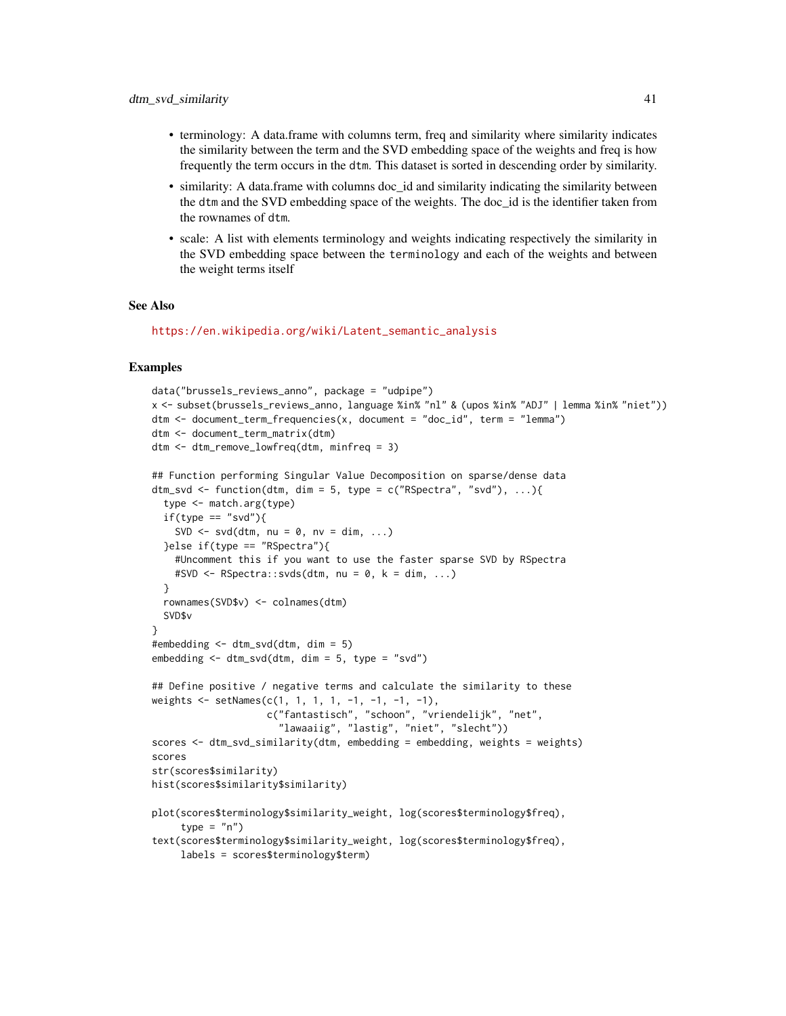- terminology: A data.frame with columns term, freq and similarity where similarity indicates the similarity between the term and the SVD embedding space of the weights and freq is how frequently the term occurs in the dtm. This dataset is sorted in descending order by similarity.
- similarity: A data.frame with columns doc id and similarity indicating the similarity between the dtm and the SVD embedding space of the weights. The doc\_id is the identifier taken from the rownames of dtm.
- scale: A list with elements terminology and weights indicating respectively the similarity in the SVD embedding space between the terminology and each of the weights and between the weight terms itself

#### See Also

```
https://en.wikipedia.org/wiki/Latent_semantic_analysis
```

```
data("brussels_reviews_anno", package = "udpipe")
x <- subset(brussels_reviews_anno, language %in% "nl" & (upos %in% "ADJ" | lemma %in% "niet"))
dtm <- document_term_frequencies(x, document = "doc_id", term = "lemma")
dtm <- document_term_matrix(dtm)
dtm <- dtm_remove_lowfreq(dtm, minfreq = 3)
## Function performing Singular Value Decomposition on sparse/dense data
dtm_svd <- function(dtm, dim = 5, type = c("RSpectra", "svd"), \dots}
 type <- match.arg(type)
 if(type == "svd"){
   SVD \leq svd(dtm, nu = 0, nv = dim, ...)
 }else if(type == "RSpectra"){
    #Uncomment this if you want to use the faster sparse SVD by RSpectra
   #SVD \leftarrow RSpectra::svds(dtm, nu = 0, k = dim, ...)}
 rownames(SVD$v) <- colnames(dtm)
 SVD$v
}
#embedding <- dtm_svd(dtm, dim = 5)
embedding <- dtm_svd(dtm, dim = 5, type = "svd")
## Define positive / negative terms and calculate the similarity to these
weights <- setNames(c(1, 1, 1, 1, -1, -1, -1, -1),
                    c("fantastisch", "schoon", "vriendelijk", "net",
                      "lawaaiig", "lastig", "niet", "slecht"))
scores <- dtm_svd_similarity(dtm, embedding = embedding, weights = weights)
scores
str(scores$similarity)
hist(scores$similarity$similarity)
plot(scores$terminology$similarity_weight, log(scores$terminology$freq),
     type = "n")
text(scores$terminology$similarity_weight, log(scores$terminology$freq),
     labels = scores$terminology$term)
```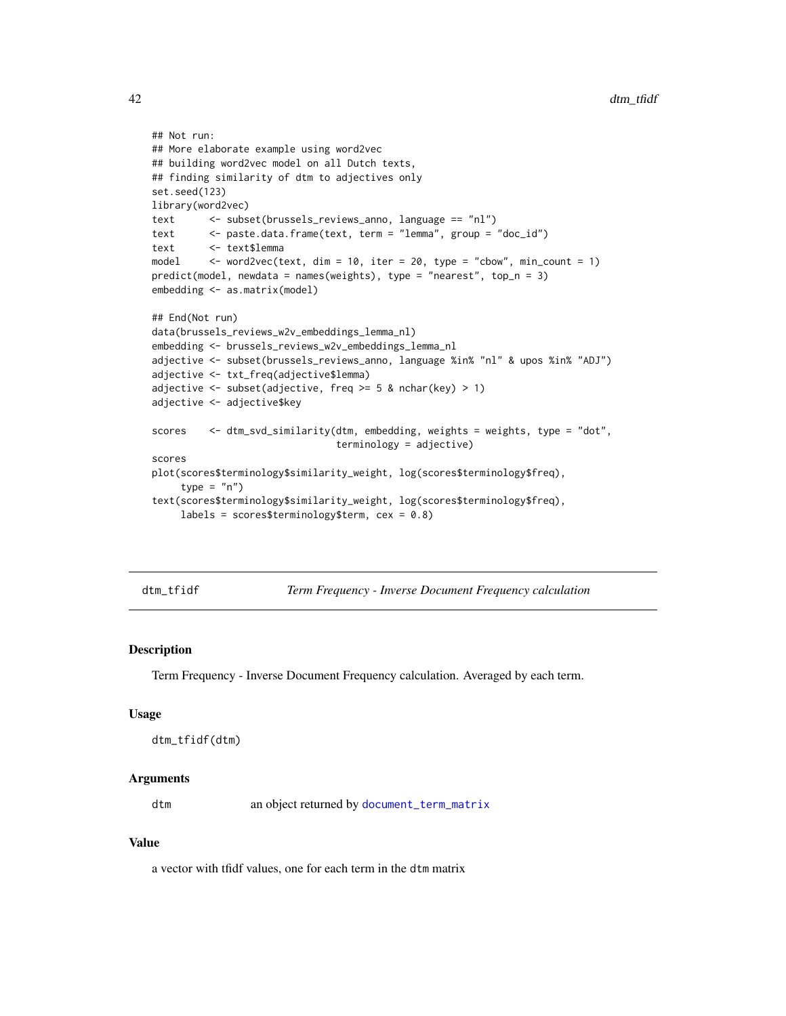```
## Not run:
## More elaborate example using word2vec
## building word2vec model on all Dutch texts,
## finding similarity of dtm to adjectives only
set.seed(123)
library(word2vec)
text <- subset(brussels_reviews_anno, language == "nl")
text <- paste.data.frame(text, term = "lemma", group = "doc_id")
text <- text$lemma
model <- word2vec(text, dim = 10, iter = 20, type = "cbow", min_count = 1)
predict(model, newdata = names(weights), type = "nearest", top_n = 3)
embedding <- as.matrix(model)
## End(Not run)
data(brussels_reviews_w2v_embeddings_lemma_nl)
embedding <- brussels_reviews_w2v_embeddings_lemma_nl
adjective <- subset(brussels_reviews_anno, language %in% "nl" & upos %in% "ADJ")
adjective <- txt_freq(adjective$lemma)
adjective \le subset(adjective, freq \ge 5 & nchar(key) > 1)
adjective <- adjective$key
scores <- dtm_svd_similarity(dtm, embedding, weights = weights, type = "dot",
                               terminology = adjective)
scores
plot(scores$terminology$similarity_weight, log(scores$terminology$freq),
     type = "n")
text(scores$terminology$similarity_weight, log(scores$terminology$freq),
     labels = scores$terminology$term, cex = 0.8)
```
dtm\_tfidf *Term Frequency - Inverse Document Frequency calculation*

## Description

Term Frequency - Inverse Document Frequency calculation. Averaged by each term.

### Usage

```
dtm_tfidf(dtm)
```
#### Arguments

dtm an object returned by [document\\_term\\_matrix](#page-21-0)

## Value

a vector with tfidf values, one for each term in the dtm matrix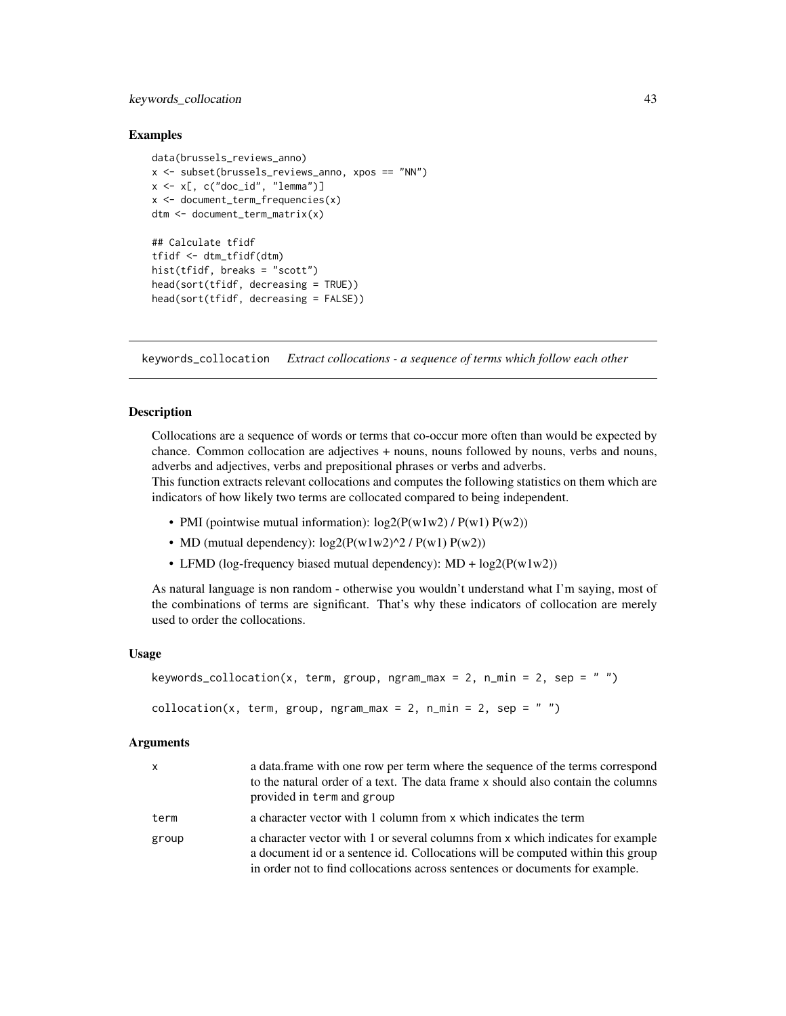# keywords\_collocation 43

## Examples

```
data(brussels_reviews_anno)
x <- subset(brussels_reviews_anno, xpos == "NN")
x \leq x[, c("doc_id", "lemma")]
x \leq - document_term_frequencies(x)
dtm <- document_term_matrix(x)
## Calculate tfidf
tfidf <- dtm_tfidf(dtm)
hist(tfidf, breaks = "scott")
head(sort(tfidf, decreasing = TRUE))
head(sort(tfidf, decreasing = FALSE))
```
keywords\_collocation *Extract collocations - a sequence of terms which follow each other*

## Description

Collocations are a sequence of words or terms that co-occur more often than would be expected by chance. Common collocation are adjectives + nouns, nouns followed by nouns, verbs and nouns, adverbs and adjectives, verbs and prepositional phrases or verbs and adverbs.

This function extracts relevant collocations and computes the following statistics on them which are indicators of how likely two terms are collocated compared to being independent.

- PMI (pointwise mutual information):  $log2(P(w1w2) / P(w1) P(w2))$
- MD (mutual dependency):  $log2(P(w1w2)^2 / P(w1) P(w2))$
- LFMD (log-frequency biased mutual dependency):  $MD + log2(P(w1w2))$

As natural language is non random - otherwise you wouldn't understand what I'm saying, most of the combinations of terms are significant. That's why these indicators of collocation are merely used to order the collocations.

## Usage

```
keywords_collocation(x, term, group, ngram_max = 2, n_min = 2, sep = "")
collocation(x, term, group, ngram_max = 2, n_min = 2, sep = "")
```
#### Arguments

| x     | a data frame with one row per term where the sequence of the terms correspond<br>to the natural order of a text. The data frame x should also contain the columns<br>provided in term and group                                                    |
|-------|----------------------------------------------------------------------------------------------------------------------------------------------------------------------------------------------------------------------------------------------------|
| term  | a character vector with 1 column from x which indicates the term                                                                                                                                                                                   |
| group | a character vector with 1 or several columns from x which indicates for example<br>a document id or a sentence id. Collocations will be computed within this group<br>in order not to find collocations across sentences or documents for example. |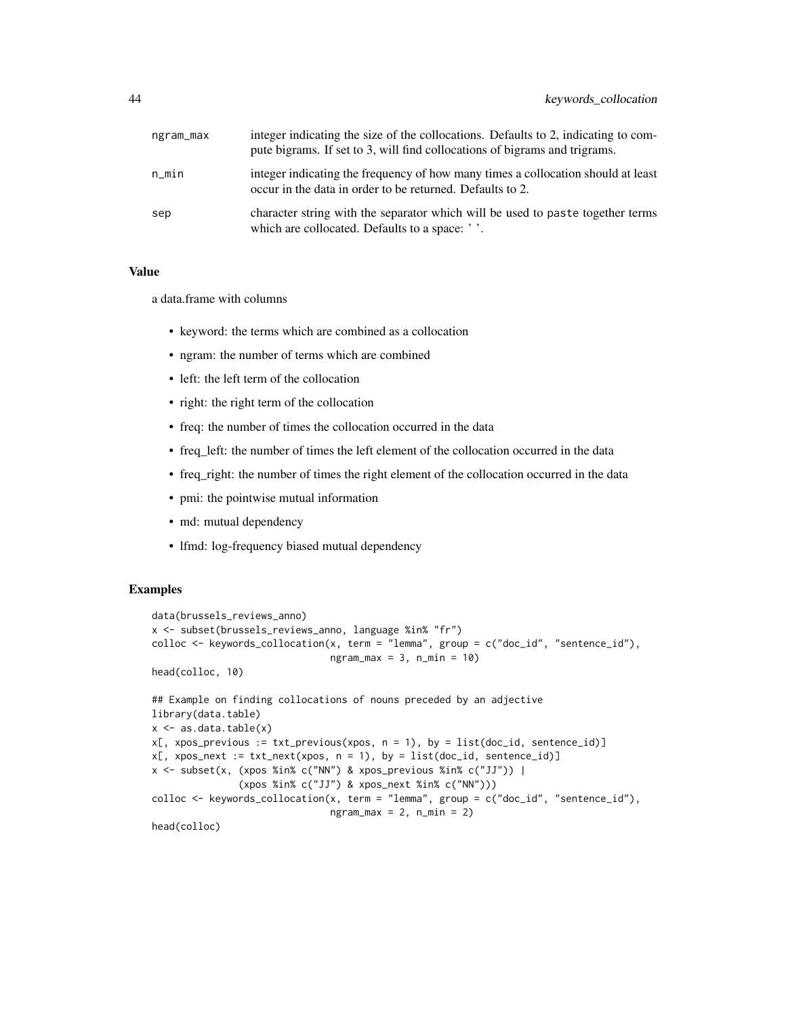| ngram_max | integer indicating the size of the collocations. Defaults to 2, indicating to com-<br>pute bigrams. If set to 3, will find collocations of bigrams and trigrams. |
|-----------|------------------------------------------------------------------------------------------------------------------------------------------------------------------|
| n_min     | integer indicating the frequency of how many times a collocation should at least<br>occur in the data in order to be returned. Defaults to 2.                    |
| sep       | character string with the separator which will be used to paste together terms<br>which are collocated. Defaults to a space: ''.                                 |

## Value

a data.frame with columns

- keyword: the terms which are combined as a collocation
- ngram: the number of terms which are combined
- left: the left term of the collocation
- right: the right term of the collocation
- freq: the number of times the collocation occurred in the data
- freq\_left: the number of times the left element of the collocation occurred in the data
- freq right: the number of times the right element of the collocation occurred in the data
- pmi: the pointwise mutual information
- md: mutual dependency
- lfmd: log-frequency biased mutual dependency

```
data(brussels_reviews_anno)
x <- subset(brussels_reviews_anno, language %in% "fr")
colloc <- keywords_collocation(x, term = "lemma", group = c("doc_id", "sentence_id"),
                               ngram_max = 3, n.min = 10head(colloc, 10)
## Example on finding collocations of nouns preceded by an adjective
library(data.table)
x \leftarrow as.data_table(x)x[, xpos_previous := txt_previous(xpos, n = 1), by = list(doc_id, sentence_id)]
x[, xpos_next := txt_next(xpos, n = 1), by = list(doc_id, sentence_id)]
x \le subset(x, (xpos %in% c("NN") & xpos_previous %in% c("JJ")) |
               (xpos %in% c("JJ") & xpos_next %in% c("NN")))
colloc <- keywords_collocation(x, term = "lemma", group = c("doc_id", "sentence_id"),
                               ngram_max = 2, n.min = 2)head(colloc)
```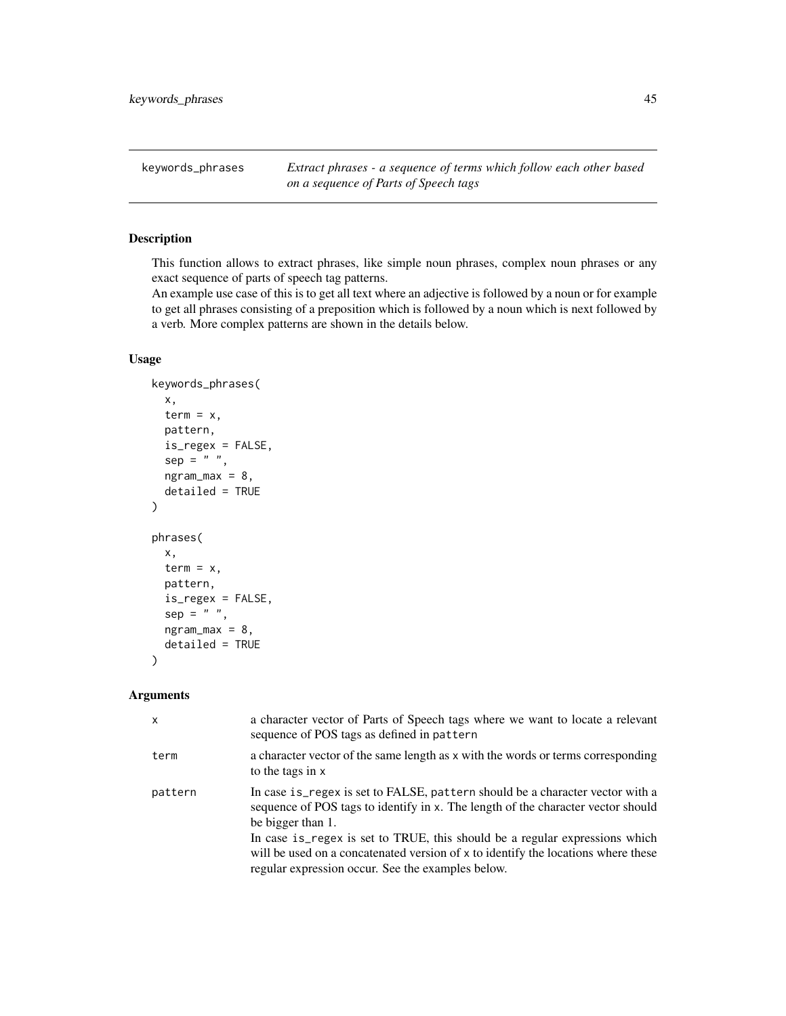keywords\_phrases *Extract phrases - a sequence of terms which follow each other based on a sequence of Parts of Speech tags*

# Description

This function allows to extract phrases, like simple noun phrases, complex noun phrases or any exact sequence of parts of speech tag patterns.

An example use case of this is to get all text where an adjective is followed by a noun or for example to get all phrases consisting of a preposition which is followed by a noun which is next followed by a verb. More complex patterns are shown in the details below.

# Usage

```
keywords_phrases(
  x,
 term = x,
 pattern,
  is_regex = FALSE,
  sep = " " "ngram_max = 8,detailed = TRUE
)
phrases(
 x,
  term = x,
 pattern,
  is_regex = FALSE,
  sep = " "ngram_max = 8,
  detailed = TRUE
)
```
# Arguments

| $\mathsf{x}$ | a character vector of Parts of Speech tags where we want to locate a relevant<br>sequence of POS tags as defined in pattern                                                                                                                                                                                                                                                                                     |
|--------------|-----------------------------------------------------------------------------------------------------------------------------------------------------------------------------------------------------------------------------------------------------------------------------------------------------------------------------------------------------------------------------------------------------------------|
| term         | a character vector of the same length as x with the words or terms corresponding<br>to the tags in x                                                                                                                                                                                                                                                                                                            |
| pattern      | In case is regex is set to FALSE, pattern should be a character vector with a<br>sequence of POS tags to identify in x. The length of the character vector should<br>be bigger than 1.<br>In case is regex is set to TRUE, this should be a regular expressions which<br>will be used on a concatenated version of x to identify the locations where these<br>regular expression occur. See the examples below. |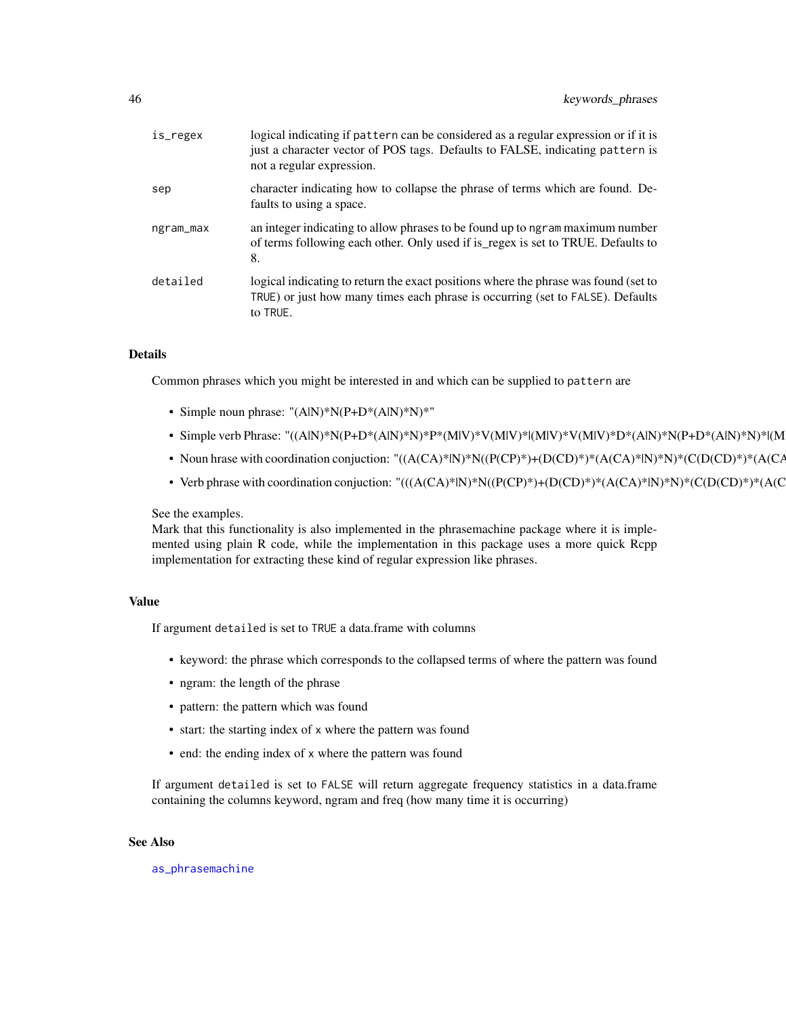| is_regex  | logical indicating if pattern can be considered as a regular expression or if it is<br>just a character vector of POS tags. Defaults to FALSE, indicating pattern is<br>not a regular expression. |
|-----------|---------------------------------------------------------------------------------------------------------------------------------------------------------------------------------------------------|
| sep       | character indicating how to collapse the phrase of terms which are found. De-<br>faults to using a space.                                                                                         |
| ngram_max | an integer indicating to allow phrases to be found up to ngram maximum number<br>of terms following each other. Only used if is_regex is set to TRUE. Defaults to<br>8.                           |
| detailed  | logical indicating to return the exact positions where the phrase was found (set to<br>TRUE) or just how many times each phrase is occurring (set to FALSE). Defaults<br>to TRUE.                 |

# Details

Common phrases which you might be interested in and which can be supplied to pattern are

- Simple noun phrase: "(A|N)\*N(P+D\*(A|N)\*N)\*"
- Simple verb Phrase: "((A|N)\*N(P+D\*(A|N)\*N)\*P\*(M|V)\*V(M|V)\*|(M|V)\*V(M|V)\*D\*(A|N)\*N(P+D\*(A|N)\*N)\*|(M
- Noun hrase with coordination conjuction: "((A(CA)\*|N)\*N((P(CP)\*)+(D(CD)\*)\*(A(CA)\*|N)\*N)\*(C(D(CD)\*)\*(A(CA)\*|N)\*N((P(CP)\*)+(D(CD)\*)\*(A(CA)\*|N)\*N)\*)\*)"
- Verb phrase with coordination conjuction: "(((A(CA)\*lN)\*N((P(CP)\*)+(D(CD)\*)\*(A(CA)\*lN)\*N)\*(C(D(CD)\*)\*(A(C

#### See the examples.

Mark that this functionality is also implemented in the phrasemachine package where it is implemented using plain R code, while the implementation in this package uses a more quick Rcpp implementation for extracting these kind of regular expression like phrases.

## Value

If argument detailed is set to TRUE a data.frame with columns

- keyword: the phrase which corresponds to the collapsed terms of where the pattern was found
- ngram: the length of the phrase
- pattern: the pattern which was found
- start: the starting index of x where the pattern was found
- end: the ending index of x where the pattern was found

If argument detailed is set to FALSE will return aggregate frequency statistics in a data.frame containing the columns keyword, ngram and freq (how many time it is occurring)

## See Also

[as\\_phrasemachine](#page-7-0)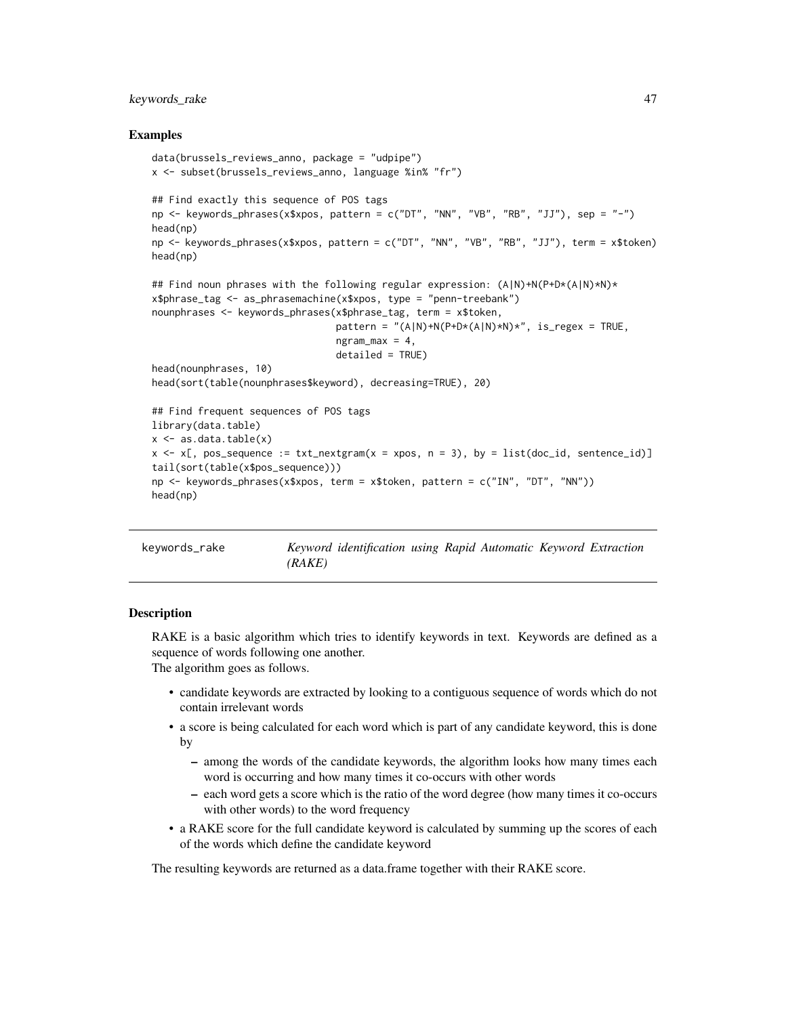# keywords\_rake 47

### Examples

```
data(brussels_reviews_anno, package = "udpipe")
x <- subset(brussels_reviews_anno, language %in% "fr")
## Find exactly this sequence of POS tags
np \leq keywords_phrases(x$xpos, pattern = c("DT", "NN", "VB", "RB", "JJ"), sep = "-")
head(np)
np <- keywords_phrases(x$xpos, pattern = c("DT", "NN", "VB", "RB", "JJ"), term = x$token)
head(np)
## Find noun phrases with the following regular expression: (A|N)+N(P+D*(A|N)*N)*
x$phrase_tag <- as_phrasemachine(x$xpos, type = "penn-treebank")
nounphrases <- keywords_phrases(x$phrase_tag, term = x$token,
                                pattern = "(A|N)+N(P+D*(A|N)*N)*", is_regex = TRUE,
                                ngram_max = 4,
                                detailed = TRUE)
head(nounphrases, 10)
head(sort(table(nounphrases$keyword), decreasing=TRUE), 20)
## Find frequent sequences of POS tags
library(data.table)
x \leftarrow as.data.title(x)x \le x [, pos_sequence := txt_nextgram(x = xpos, n = 3), by = list(doc_id, sentence_id)]
tail(sort(table(x$pos_sequence)))
np <- keywords_phrases(x$xpos, term = x$token, pattern = c("IN", "DT", "NN"))
head(np)
```

```
keywords_rake Keyword identification using Rapid Automatic Keyword Extraction
                      (RAKE)
```
## Description

RAKE is a basic algorithm which tries to identify keywords in text. Keywords are defined as a sequence of words following one another. The algorithm goes as follows.

- candidate keywords are extracted by looking to a contiguous sequence of words which do not contain irrelevant words
- a score is being calculated for each word which is part of any candidate keyword, this is done by
	- among the words of the candidate keywords, the algorithm looks how many times each word is occurring and how many times it co-occurs with other words
	- each word gets a score which is the ratio of the word degree (how many times it co-occurs with other words) to the word frequency
- a RAKE score for the full candidate keyword is calculated by summing up the scores of each of the words which define the candidate keyword

The resulting keywords are returned as a data.frame together with their RAKE score.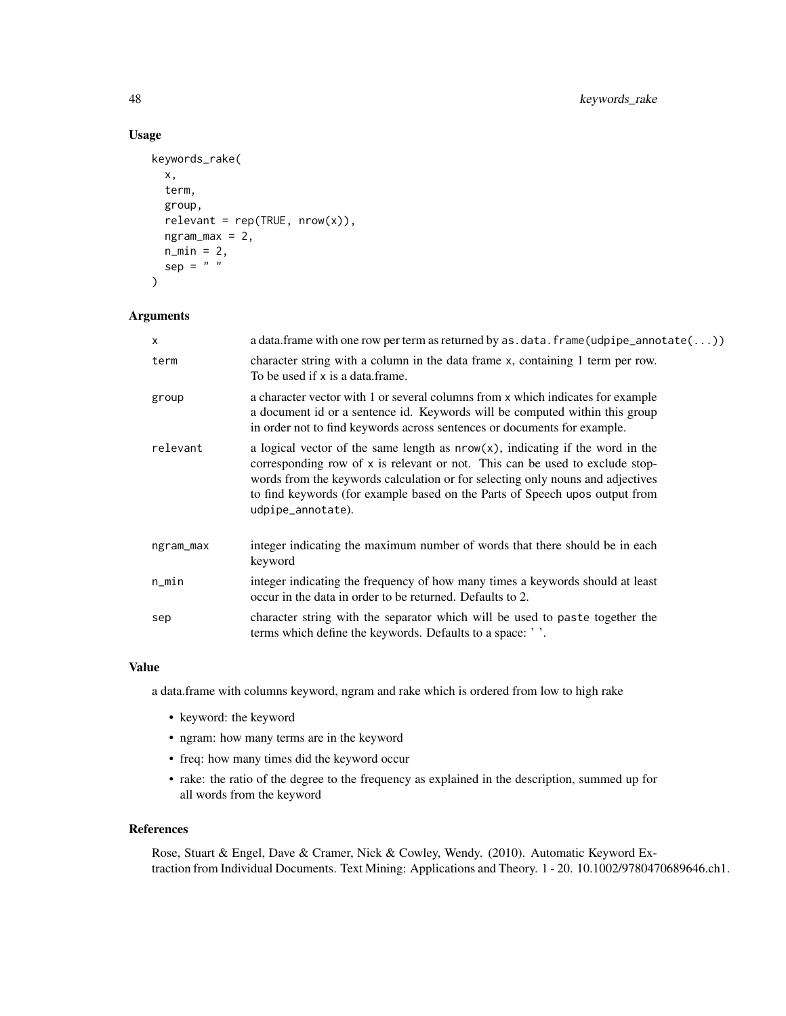# Usage

```
keywords_rake(
  x,
  term,
  group,
  relevant = rep(TRUE, nrow(x)),ngram_max = 2,n_{min} = 2,
  sep = " "\mathcal{L}
```
# Arguments

| X         | a data. frame with one row per term as returned by as $data$ . frame (udpipe_annotate( $\ldots$ ))                                                                                                                                                                                                                                                     |
|-----------|--------------------------------------------------------------------------------------------------------------------------------------------------------------------------------------------------------------------------------------------------------------------------------------------------------------------------------------------------------|
| term      | character string with a column in the data frame x, containing 1 term per row.<br>To be used if x is a data.frame.                                                                                                                                                                                                                                     |
| group     | a character vector with 1 or several columns from x which indicates for example<br>a document id or a sentence id. Keywords will be computed within this group<br>in order not to find keywords across sentences or documents for example.                                                                                                             |
| relevant  | a logical vector of the same length as $nrow(x)$ , indicating if the word in the<br>corresponding row of x is relevant or not. This can be used to exclude stop-<br>words from the keywords calculation or for selecting only nouns and adjectives<br>to find keywords (for example based on the Parts of Speech upos output from<br>udpipe_annotate). |
| ngram_max | integer indicating the maximum number of words that there should be in each<br>keyword                                                                                                                                                                                                                                                                 |
| n_min     | integer indicating the frequency of how many times a keywords should at least<br>occur in the data in order to be returned. Defaults to 2.                                                                                                                                                                                                             |
| sep       | character string with the separator which will be used to paste together the<br>terms which define the keywords. Defaults to a space: '                                                                                                                                                                                                                |
|           |                                                                                                                                                                                                                                                                                                                                                        |

#### Value

a data.frame with columns keyword, ngram and rake which is ordered from low to high rake

- keyword: the keyword
- ngram: how many terms are in the keyword
- freq: how many times did the keyword occur
- rake: the ratio of the degree to the frequency as explained in the description, summed up for all words from the keyword

## References

Rose, Stuart & Engel, Dave & Cramer, Nick & Cowley, Wendy. (2010). Automatic Keyword Extraction from Individual Documents. Text Mining: Applications and Theory. 1 - 20. 10.1002/9780470689646.ch1.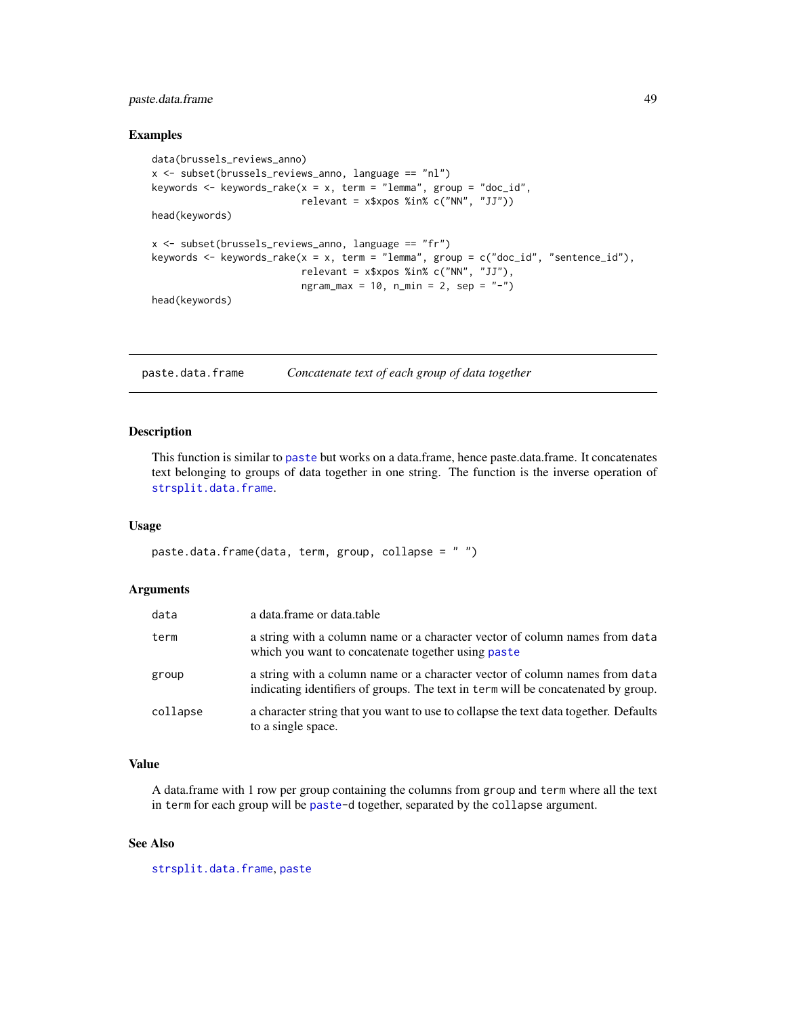# paste.data.frame 49

### Examples

```
data(brussels_reviews_anno)
x <- subset(brussels_reviews_anno, language == "nl")
keywords <- keywords_rake(x = x, term = "lemma", group = "doc_id",
                          relevant = x$xpos %in% c("NN", "JJ")head(keywords)
x \le - subset(brussels_reviews_anno, language == "fr")
keywords <- keywords_rake(x = x, term = "lemma", group = c("doc_id", "sentence_id"),
                          relevant = x$xpos %in% c("NN", "JJ"),
                          ngram_max = 10, n.min = 2, sep = "-")head(keywords)
```
<span id="page-48-0"></span>paste.data.frame *Concatenate text of each group of data together*

#### Description

This function is similar to [paste](#page-0-0) but works on a data.frame, hence paste.data.frame. It concatenates text belonging to groups of data together in one string. The function is the inverse operation of [strsplit.data.frame](#page-51-0).

#### Usage

paste.data.frame(data, term, group, collapse = " ")

#### Arguments

| data     | a data.frame or data.table                                                                                                                                       |
|----------|------------------------------------------------------------------------------------------------------------------------------------------------------------------|
| term     | a string with a column name or a character vector of column names from data<br>which you want to concatenate together using paste                                |
| group    | a string with a column name or a character vector of column names from data<br>indicating identifiers of groups. The text in term will be concatenated by group. |
| collapse | a character string that you want to use to collapse the text data together. Defaults<br>to a single space.                                                       |

# Value

A data.frame with 1 row per group containing the columns from group and term where all the text in term for each group will be [paste-](#page-0-0)d together, separated by the collapse argument.

## See Also

[strsplit.data.frame](#page-51-0), [paste](#page-0-0)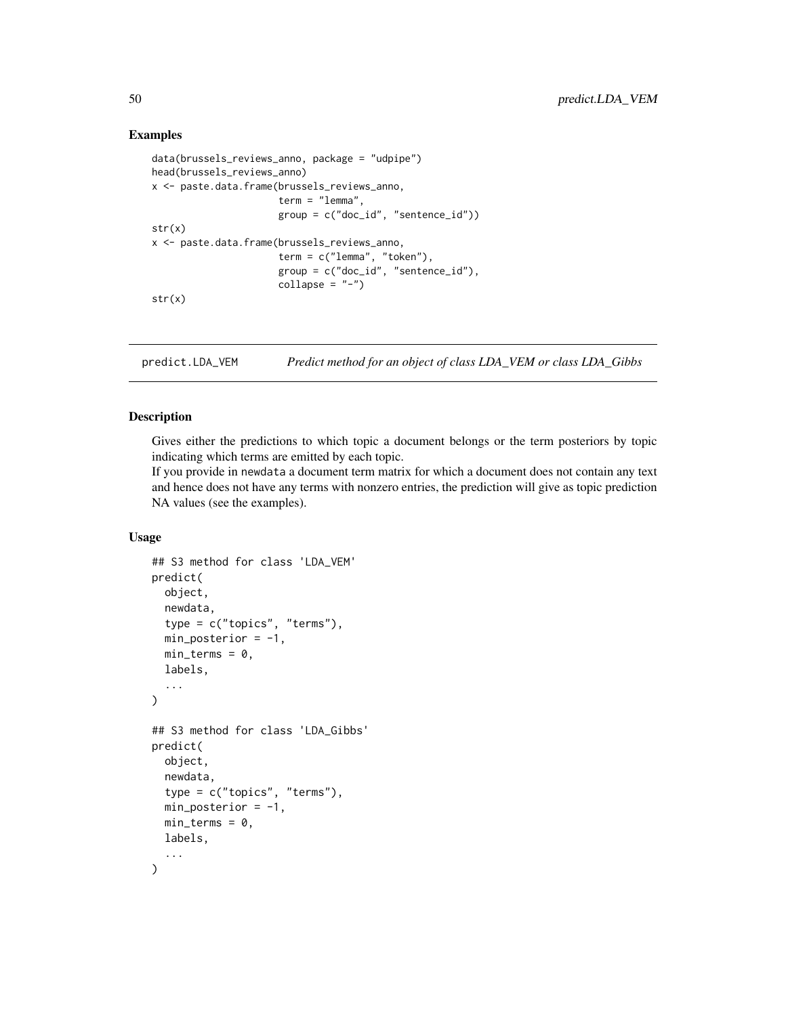## Examples

```
data(brussels_reviews_anno, package = "udpipe")
head(brussels_reviews_anno)
x <- paste.data.frame(brussels_reviews_anno,
                      term = "lemma",
                      group = c("doc_id", "sentence_id"))
str(x)
x <- paste.data.frame(brussels_reviews_anno,
                      term = c("lemma", "token"),
                      group = c("doc_id", "sentence_id"),
                      collapse = "-")str(x)
```
predict.LDA\_VEM *Predict method for an object of class LDA\_VEM or class LDA\_Gibbs*

# Description

Gives either the predictions to which topic a document belongs or the term posteriors by topic indicating which terms are emitted by each topic.

If you provide in newdata a document term matrix for which a document does not contain any text and hence does not have any terms with nonzero entries, the prediction will give as topic prediction NA values (see the examples).

## Usage

```
## S3 method for class 'LDA_VEM'
predict(
  object,
  newdata,
  type = c("topics", "terms"),
  min\_posterior = -1,
 min\_terms = 0,
  labels,
  ...
\lambda## S3 method for class 'LDA_Gibbs'
predict(
  object,
  newdata,
  type = c("topics", "terms"),
  min\_posterior = -1,
  min_{\text{terms}} = 0,
  labels,
  ...
)
```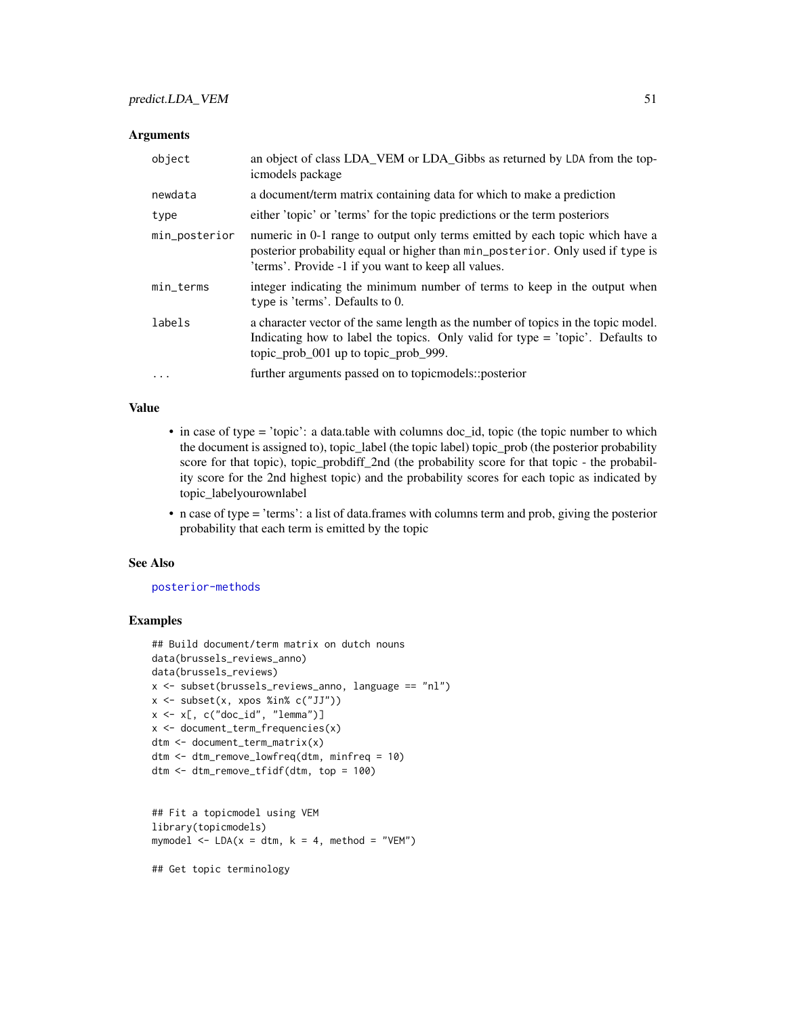## **Arguments**

| object        | an object of class LDA_VEM or LDA_Gibbs as returned by LDA from the top-<br>icmodels package                                                                                                                          |
|---------------|-----------------------------------------------------------------------------------------------------------------------------------------------------------------------------------------------------------------------|
| newdata       | a document/term matrix containing data for which to make a prediction                                                                                                                                                 |
| type          | either 'topic' or 'terms' for the topic predictions or the term posteriors                                                                                                                                            |
| min_posterior | numeric in 0-1 range to output only terms emitted by each topic which have a<br>posterior probability equal or higher than min_posterior. Only used if type is<br>'terms'. Provide -1 if you want to keep all values. |
| min_terms     | integer indicating the minimum number of terms to keep in the output when<br>type is 'terms'. Defaults to 0.                                                                                                          |
| labels        | a character vector of the same length as the number of topics in the topic model.<br>Indicating how to label the topics. Only valid for type $=$ 'topic'. Defaults to<br>topic_prob_001 up to topic_prob_999.         |
| $\ddotsc$     | further arguments passed on to topic models:: posterior                                                                                                                                                               |

# Value

- in case of type = 'topic': a data.table with columns doc\_id, topic (the topic number to which the document is assigned to), topic\_label (the topic label) topic\_prob (the posterior probability score for that topic), topic\_probdiff\_2nd (the probability score for that topic - the probability score for the 2nd highest topic) and the probability scores for each topic as indicated by topic\_labelyourownlabel
- n case of type = 'terms': a list of data.frames with columns term and prob, giving the posterior probability that each term is emitted by the topic

#### See Also

#### [posterior-methods](#page-0-0)

# Examples

```
## Build document/term matrix on dutch nouns
data(brussels_reviews_anno)
data(brussels_reviews)
x <- subset(brussels_reviews_anno, language == "nl")
x \leftarrow subset(x, xpos %in% c("JJ"))
x \leq x[, c("doc_id", "lemma")]
x <- document_term_frequencies(x)
dtm <- document_term_matrix(x)
dtm <- dtm_remove_lowfreq(dtm, minfreq = 10)
dtm <- dtm_remove_tfidf(dtm, top = 100)
```

```
## Fit a topicmodel using VEM
library(topicmodels)
mymodel \leq LDA(x = dtm, k = 4, method = "VEM")
```
## Get topic terminology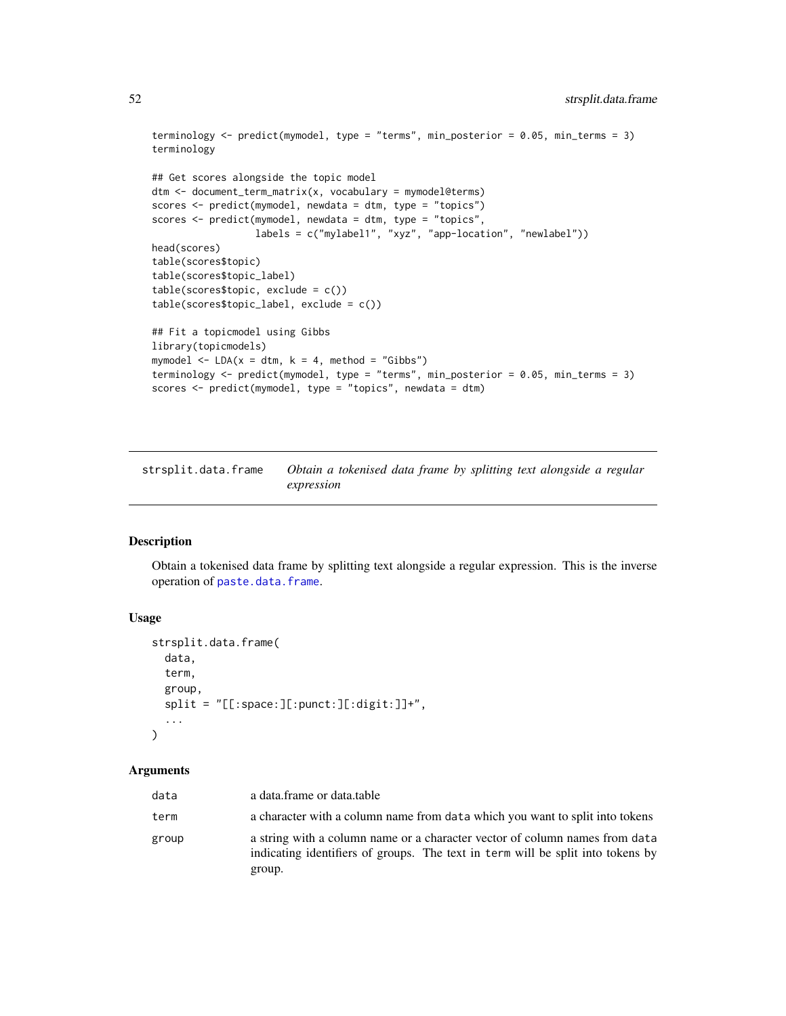```
terminology <- predict(mymodel, type = "terms", min_posterior = 0.05, min_terms = 3)
terminology
## Get scores alongside the topic model
dtm <- document_term_matrix(x, vocabulary = mymodel@terms)
scores <- predict(mymodel, newdata = dtm, type = "topics")
scores <- predict(mymodel, newdata = dtm, type = "topics",
                  labels = c("mylabel1", "xyz", "app-location", "newlabel"))
head(scores)
table(scores$topic)
table(scores$topic_label)
table(scores$topic, exclude = c())
table(scores$topic_label, exclude = c())
## Fit a topicmodel using Gibbs
library(topicmodels)
mymodel \leq LDA(x = dtm, k = 4, method = "Gibbs")
terminology <- predict(mymodel, type = "terms", min_posterior = 0.05, min_terms = 3)
scores <- predict(mymodel, type = "topics", newdata = dtm)
```
<span id="page-51-0"></span>strsplit.data.frame *Obtain a tokenised data frame by splitting text alongside a regular expression*

## Description

Obtain a tokenised data frame by splitting text alongside a regular expression. This is the inverse operation of [paste.data.frame](#page-48-0).

#### Usage

```
strsplit.data.frame(
  data,
  term,
  group,
  split = "[[:space:][:punct:][:digit:]]^{+"},...
\mathcal{L}
```
#### **Arguments**

| data  | a data.frame or data.table                                                                                                                                               |
|-------|--------------------------------------------------------------------------------------------------------------------------------------------------------------------------|
| term  | a character with a column name from data which you want to split into tokens                                                                                             |
| group | a string with a column name or a character vector of column names from data<br>indicating identifiers of groups. The text in term will be split into tokens by<br>group. |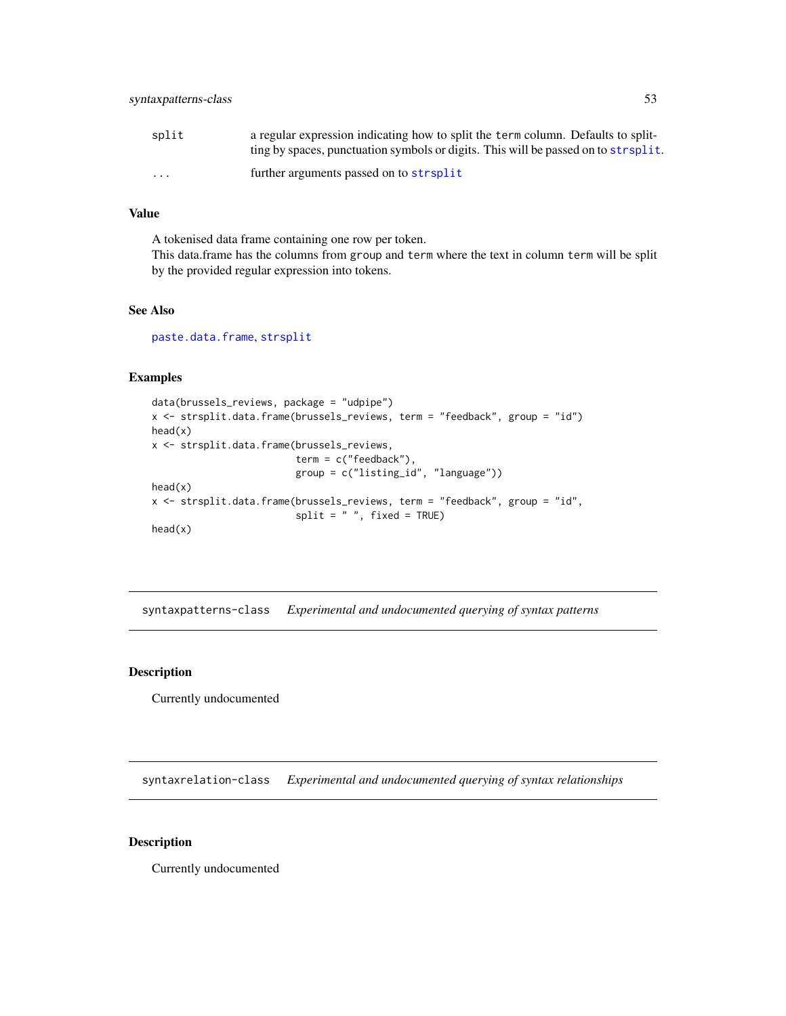| split                   | a regular expression indicating how to split the term column. Defaults to split-    |
|-------------------------|-------------------------------------------------------------------------------------|
|                         | ting by spaces, punctuation symbols or digits. This will be passed on to strisplit. |
| $\cdot$ $\cdot$ $\cdot$ | further arguments passed on to strsplit                                             |

## Value

A tokenised data frame containing one row per token. This data.frame has the columns from group and term where the text in column term will be split by the provided regular expression into tokens.

# See Also

[paste.data.frame](#page-48-0), [strsplit](#page-0-0)

## Examples

```
data(brussels_reviews, package = "udpipe")
x <- strsplit.data.frame(brussels_reviews, term = "feedback", group = "id")
head(x)
x <- strsplit.data.frame(brussels_reviews,
                         term = c("feedback"),
                         group = c("listing_id", "language"))
head(x)
x <- strsplit.data.frame(brussels_reviews, term = "feedback", group = "id",
                         split = " " , fixed = TRUE)head(x)
```
syntaxpatterns-class *Experimental and undocumented querying of syntax patterns*

# Description

Currently undocumented

syntaxrelation-class *Experimental and undocumented querying of syntax relationships*

## Description

Currently undocumented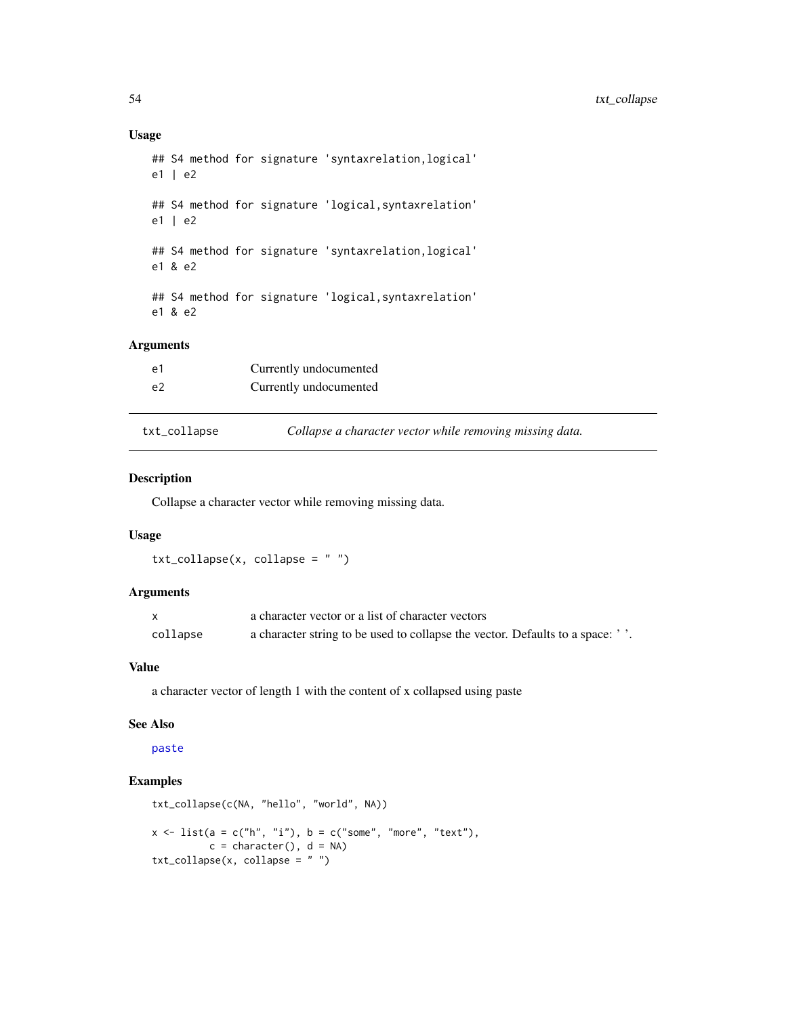## Usage

```
## S4 method for signature 'syntaxrelation,logical'
e1 | e2
## S4 method for signature 'logical,syntaxrelation'
e1 | e2
## S4 method for signature 'syntaxrelation,logical'
e1 & e2
## S4 method for signature 'logical,syntaxrelation'
e1 & e2
```
# Arguments

| e l          | Currently undocumented                                   |
|--------------|----------------------------------------------------------|
| e2           | Currently undocumented                                   |
|              |                                                          |
| txt_collapse | Collapse a character vector while removing missing data. |

## Description

Collapse a character vector while removing missing data.

# Usage

```
txt_collapse(x, collapse = "")
```
## Arguments

|          | a character vector or a list of character vectors                            |
|----------|------------------------------------------------------------------------------|
| collapse | a character string to be used to collapse the vector. Defaults to a space: ' |

#### Value

a character vector of length 1 with the content of x collapsed using paste

#### See Also

[paste](#page-0-0)

```
txt_collapse(c(NA, "hello", "world", NA))
x \le -\text{list}(a = c("h", "i"), b = c("some", "more", "text"),c = character(), d = NAtxt_collapse(x, collapse = " ")
```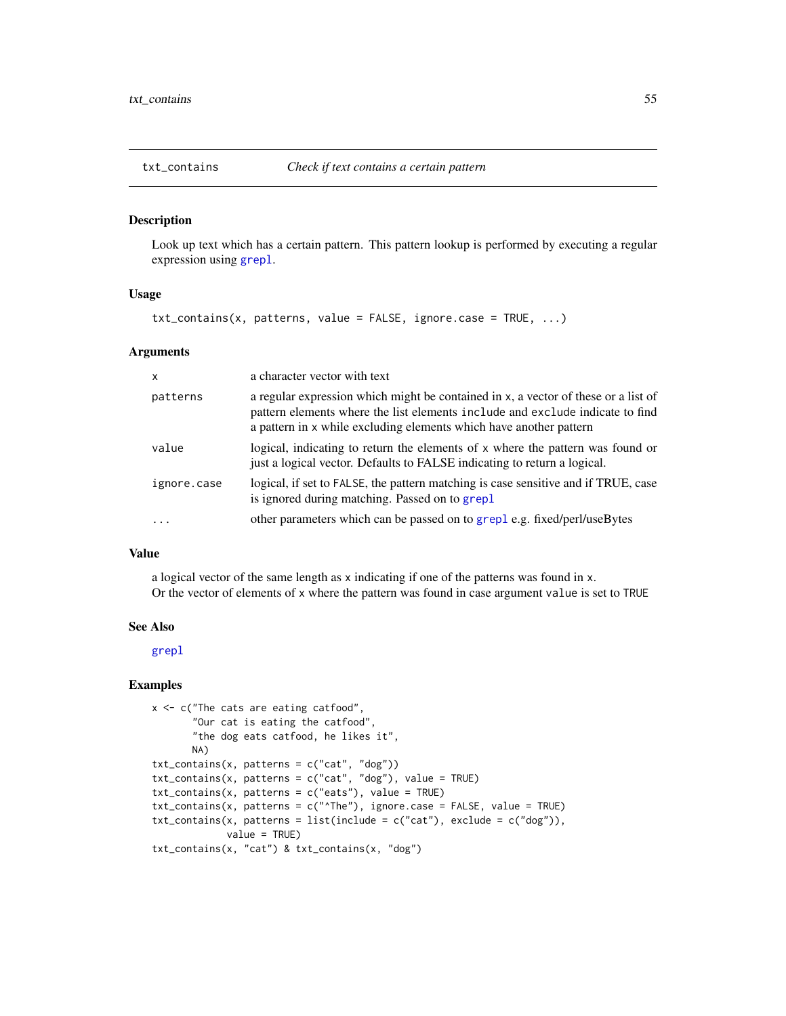Look up text which has a certain pattern. This pattern lookup is performed by executing a regular expression using [grepl](#page-0-0).

## Usage

 $txt_contains(x, patterns, value = FALSE, ignore-case = TRUE, ...)$ 

## Arguments

| $\mathsf{x}$ | a character vector with text                                                                                                                                                                                                              |
|--------------|-------------------------------------------------------------------------------------------------------------------------------------------------------------------------------------------------------------------------------------------|
| patterns     | a regular expression which might be contained in x, a vector of these or a list of<br>pattern elements where the list elements include and exclude indicate to find<br>a pattern in x while excluding elements which have another pattern |
| value        | logical, indicating to return the elements of x where the pattern was found or<br>just a logical vector. Defaults to FALSE indicating to return a logical.                                                                                |
| ignore.case  | logical, if set to FALSE, the pattern matching is case sensitive and if TRUE, case<br>is ignored during matching. Passed on to grep1                                                                                                      |
|              | other parameters which can be passed on to grepl e.g. fixed/perl/useBytes                                                                                                                                                                 |

## Value

a logical vector of the same length as x indicating if one of the patterns was found in x. Or the vector of elements of x where the pattern was found in case argument value is set to TRUE

## See Also

[grepl](#page-0-0)

```
x <- c("The cats are eating catfood",
       "Our cat is eating the catfood",
       "the dog eats catfood, he likes it",
       NA)
txt_contains(x, patterns = c("cat", "dog"))
txtxt_{\text{contains}}(x, patterns = c("cat", "dog"), value = TRUE)txt_contains(x, patterns = c("eats"), value = TRUE)txt_contains(x, patterns = c("^The"), ignore.case = FALSE, value = TRUE)
txt_contains(x, patterns = list(include = c("cat"), exclude = c("dog")),
             value = TRUE)
txt_contains(x, "cat") & txt_contains(x, "dog")
```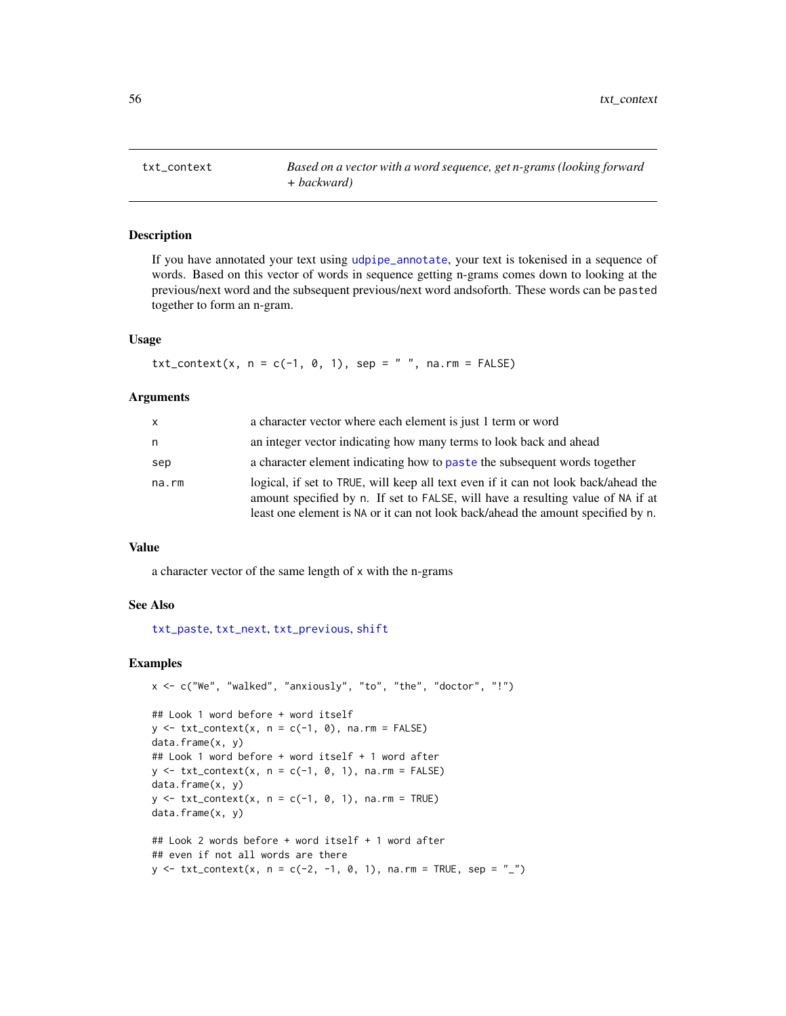txt\_context *Based on a vector with a word sequence, get n-grams (looking forward + backward)*

## Description

If you have annotated your text using [udpipe\\_annotate](#page-76-0), your text is tokenised in a sequence of words. Based on this vector of words in sequence getting n-grams comes down to looking at the previous/next word and the subsequent previous/next word andsoforth. These words can be pasted together to form an n-gram.

# Usage

 $txt_countext(x, n = c(-1, 0, 1), sep = " ", na.rm = FALSE)$ 

#### **Arguments**

| x     | a character vector where each element is just 1 term or word                                                                                                                                                                                              |
|-------|-----------------------------------------------------------------------------------------------------------------------------------------------------------------------------------------------------------------------------------------------------------|
| n     | an integer vector indicating how many terms to look back and ahead                                                                                                                                                                                        |
| sep   | a character element indicating how to paste the subsequent words together                                                                                                                                                                                 |
| na.rm | logical, if set to TRUE, will keep all text even if it can not look back/ahead the<br>amount specified by n. If set to FALSE, will have a resulting value of NA if at<br>least one element is NA or it can not look back/ahead the amount specified by n. |

## Value

a character vector of the same length of x with the n-grams

## See Also

[txt\\_paste](#page-62-0), [txt\\_next](#page-59-0), [txt\\_previous](#page-63-0), [shift](#page-0-0)

```
x <- c("We", "walked", "anxiously", "to", "the", "doctor", "!")
## Look 1 word before + word itself
y \le -txt\_{context}(x, n = c(-1, 0), na.m = FALSE)data.frame(x, y)
## Look 1 word before + word itself + 1 word after
y \le -txt\_{context}(x, n = c(-1, 0, 1), n = r = FALSE)data.frame(x, y)
y \le -txt\_{context}(x, n = c(-1, 0, 1), n = r = TRUE)data.frame(x, y)
## Look 2 words before + word itself + 1 word after
## even if not all words are there
y \le - txt_context(x, n = c(-2, -1, 0, 1), na.rm = TRUE, sep = "_")
```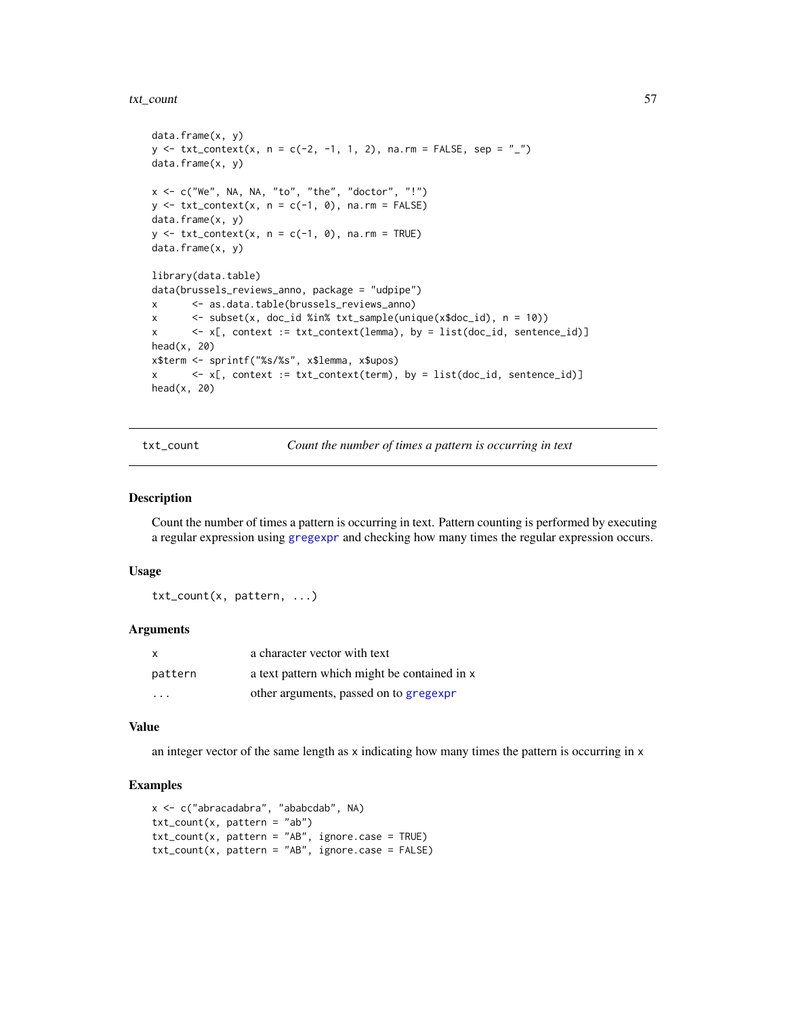#### txt\_count 57

```
data.frame(x, y)
y \le - txt_context(x, n = c(-2, -1, 1, 2), na.rm = FALSE, sep = "_")
data.frame(x, y)
x \leq c ("We", NA, NA, "to", "the", "doctor", "!")
y \le -txt\_{context}(x, n = c(-1, 0), n a. rm = FALSE)data.frame(x, y)
y \le -txt{\_}context(x, n = c(-1, 0), n a.rm = TRUE)data.frame(x, y)
library(data.table)
data(brussels_reviews_anno, package = "udpipe")
x <- as.data.table(brussels_reviews_anno)
x <- subset(x, doc_id %in% txt_sample(unique(x$doc_id), n = 10))
x <- x[, context := txt_context(lemma), by = list(doc_id, sentence_id)]
head(x, 20)
x$term <- sprintf("%s/%s", x$lemma, x$upos)
x \leq x[, context := txt_context(term), by = list(doc_id, sentence_id)]
head(x, 20)
```
txt\_count *Count the number of times a pattern is occurring in text*

#### Description

Count the number of times a pattern is occurring in text. Pattern counting is performed by executing a regular expression using [gregexpr](#page-0-0) and checking how many times the regular expression occurs.

### Usage

txt\_count(x, pattern, ...)

#### Arguments

| X                       | a character vector with text                 |
|-------------------------|----------------------------------------------|
| pattern                 | a text pattern which might be contained in x |
| $\cdot$ $\cdot$ $\cdot$ | other arguments, passed on to gregexpr       |

#### Value

an integer vector of the same length as x indicating how many times the pattern is occurring in x

```
x <- c("abracadabra", "ababcdab", NA)
txt_count(x, pattern = "ab")txt_count(x, pattern = "AB", ignore-case = TRUE)txt_count(x, pattern = "AB", ignore-case = FALSE)
```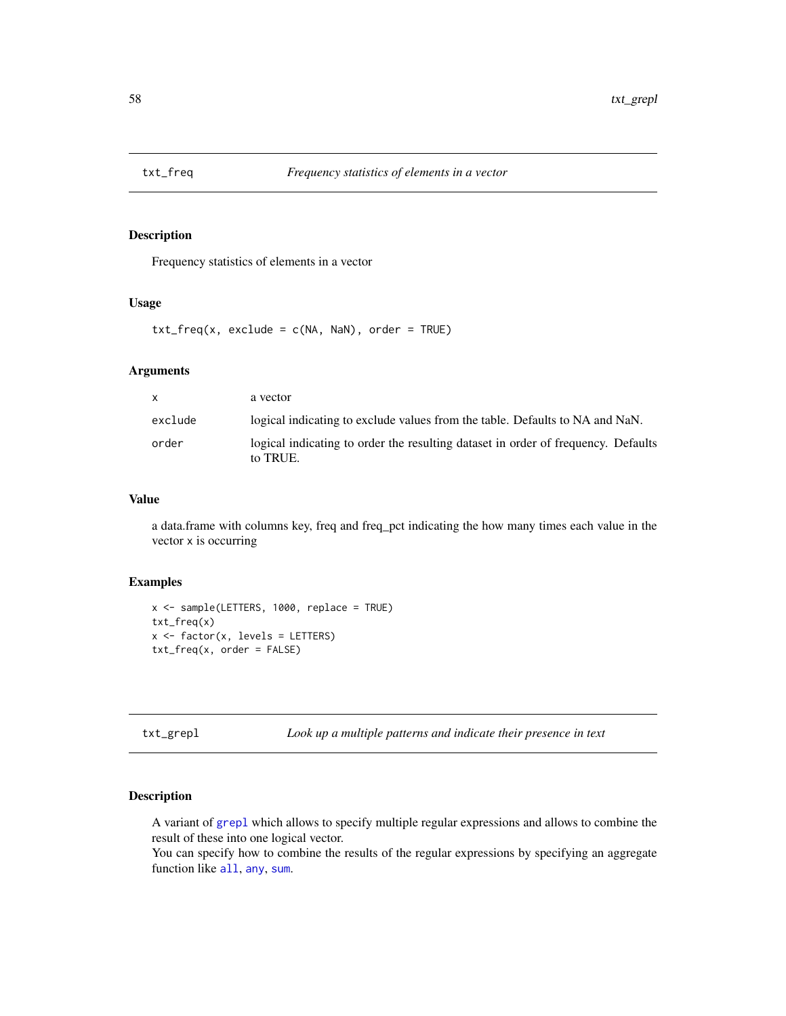Frequency statistics of elements in a vector

# Usage

 $txt_freq(x, exclude = c(NA, NaN), order = TRUE)$ 

# Arguments

| $\mathbf{x}$ | a vector                                                                                      |
|--------------|-----------------------------------------------------------------------------------------------|
| exclude      | logical indicating to exclude values from the table. Defaults to NA and NaN.                  |
| order        | logical indicating to order the resulting dataset in order of frequency. Defaults<br>to TRUE. |

# Value

a data.frame with columns key, freq and freq\_pct indicating the how many times each value in the vector x is occurring

#### Examples

```
x <- sample(LETTERS, 1000, replace = TRUE)
txt_freq(x)
x <- factor(x, levels = LETTERS)
txt_freq(x, order = FALSE)
```
txt\_grepl *Look up a multiple patterns and indicate their presence in text*

# Description

A variant of [grepl](#page-0-0) which allows to specify multiple regular expressions and allows to combine the result of these into one logical vector.

You can specify how to combine the results of the regular expressions by specifying an aggregate function like [all](#page-0-0), [any](#page-0-0), [sum](#page-0-0).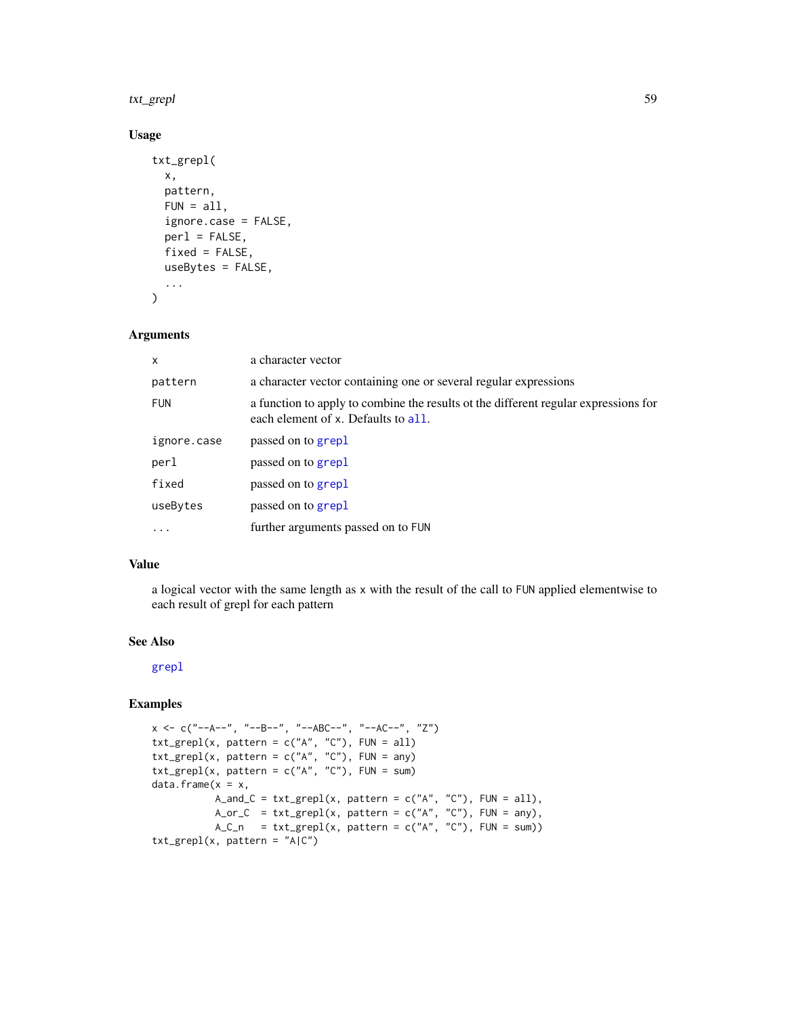#### txt\_grepl 59

# Usage

```
txt_grepl(
  x,
  pattern,
  FUN = all,ignore.case = FALSE,
  perl = FALSE,fixed = FALSE,useBytes = FALSE,
  ...
\mathcal{L}
```
## Arguments

| X           | a character vector                                                                                                         |
|-------------|----------------------------------------------------------------------------------------------------------------------------|
| pattern     | a character vector containing one or several regular expressions                                                           |
| <b>FUN</b>  | a function to apply to combine the results of the different regular expressions for<br>each element of x. Defaults to all. |
| ignore.case | passed on to grepl                                                                                                         |
| perl        | passed on to grepl                                                                                                         |
| fixed       | passed on to grepl                                                                                                         |
| useBytes    | passed on to grepl                                                                                                         |
| $\ddotsc$   | further arguments passed on to FUN                                                                                         |

# Value

a logical vector with the same length as x with the result of the call to FUN applied elementwise to each result of grepl for each pattern

# See Also

#### [grepl](#page-0-0)

```
x \leq c("--A--", "--B--", "-ABC--", "--AC--", "Z")txt\_grepl(x, pattern = c("A", "C"), FUN = all)txt\_grepl(x, pattern = c("A", "C"), FUN = any)txt_grepl(x, pattern = c("A", "C"), FUN = sum)
data.frame(x = x,A_and_C = txt_grepl(x, pattern = c("A", "C"), FUN = all),
           A_orr_C = txt\_grepl(x, pattern = c("A", "C"), FUN = any),A_C_n = tx_1 = tx_2 = h(x, pattern = c("A", "C"), FUN = sum)txt_grepl(x, pattern = "A|C")
```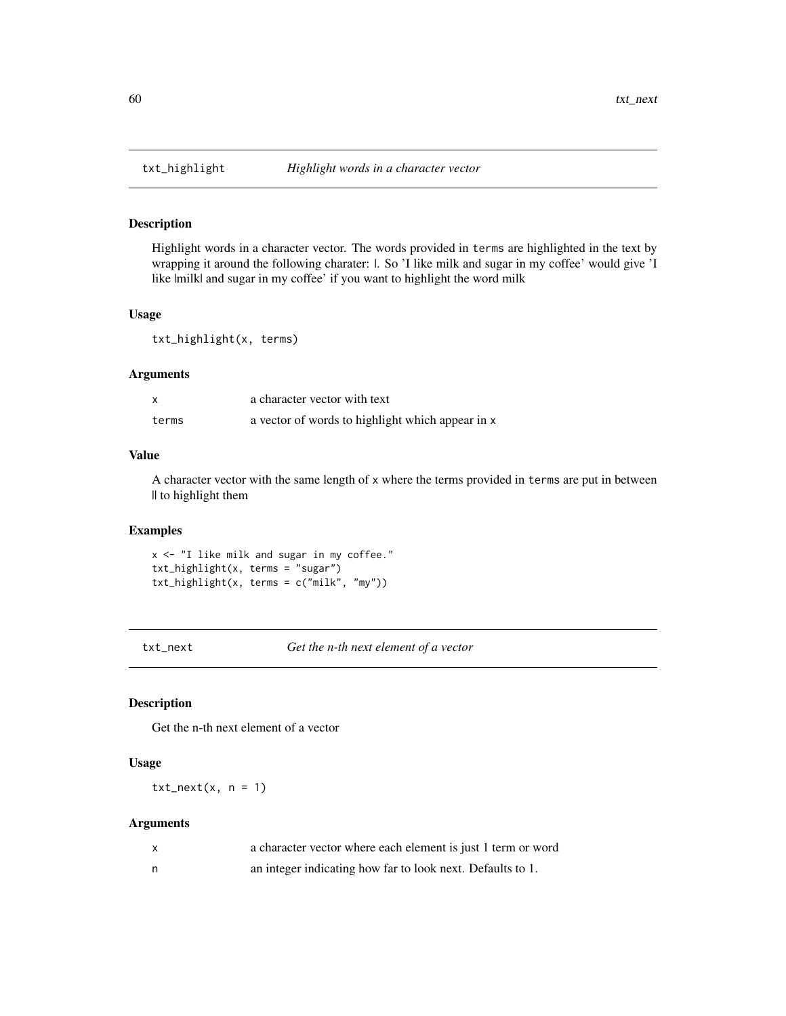Highlight words in a character vector. The words provided in terms are highlighted in the text by wrapping it around the following charater:  $\vert$ . So 'I like milk and sugar in my coffee' would give 'I like  $|$ milk $|$  and sugar in my coffee' if you want to highlight the word milk

## Usage

txt\_highlight(x, terms)

# Arguments

|       | a character vector with text                     |
|-------|--------------------------------------------------|
| terms | a vector of words to highlight which appear in x |

# Value

A character vector with the same length of x where the terms provided in terms are put in between || to highlight them

## Examples

x <- "I like milk and sugar in my coffee." txt\_highlight(x, terms = "sugar") txt\_highlight(x, terms = c("milk", "my"))

<span id="page-59-0"></span>txt\_next *Get the n-th next element of a vector*

# Description

Get the n-th next element of a vector

# Usage

 $txt\_next(x, n = 1)$ 

#### Arguments

| a character vector where each element is just 1 term or word |
|--------------------------------------------------------------|
| an integer indicating how far to look next. Defaults to 1.   |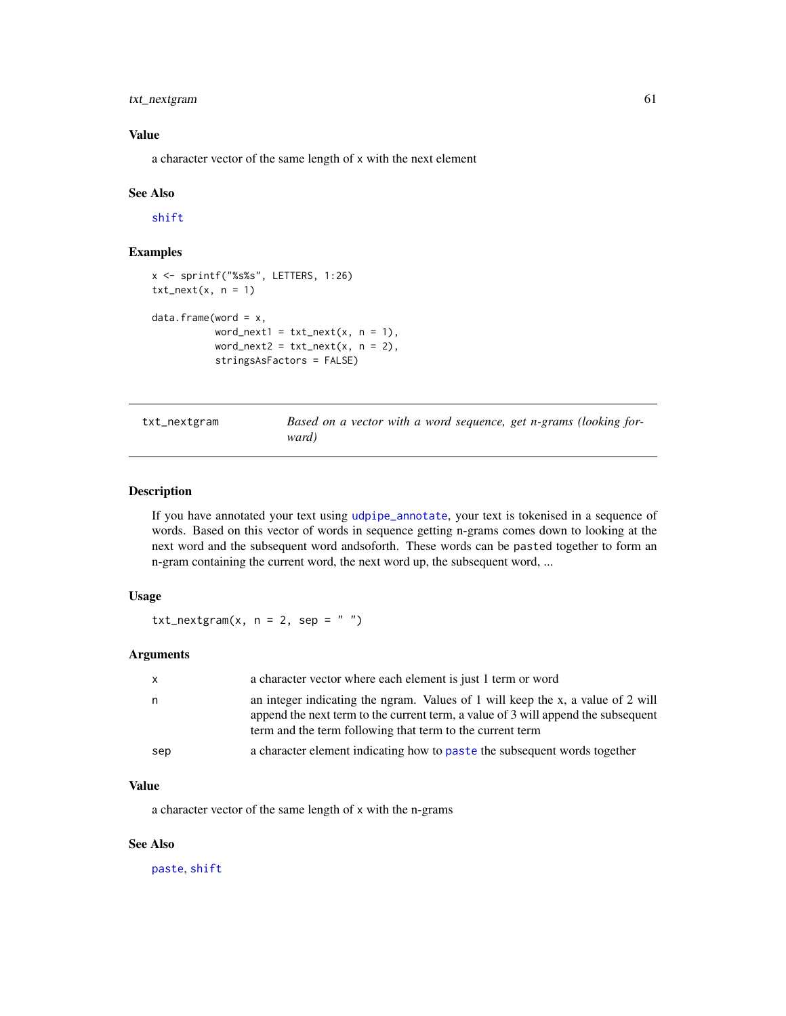# txt\_nextgram 61

# Value

a character vector of the same length of x with the next element

## See Also

[shift](#page-0-0)

# Examples

```
x <- sprintf("%s%s", LETTERS, 1:26)
txt\_next(x, n = 1)data.frame(word = x,
           word_next1 = txt\_next(x, n = 1),
           word_next2 = txt\_next(x, n = 2),
           stringsAsFactors = FALSE)
```
<span id="page-60-0"></span>txt\_nextgram *Based on a vector with a word sequence, get n-grams (looking forward)*

## Description

If you have annotated your text using [udpipe\\_annotate](#page-76-0), your text is tokenised in a sequence of words. Based on this vector of words in sequence getting n-grams comes down to looking at the next word and the subsequent word andsoforth. These words can be pasted together to form an n-gram containing the current word, the next word up, the subsequent word, ...

# Usage

txt\_nextgram(x,  $n = 2$ , sep = "")

# Arguments

| $\mathsf{X}$ | a character vector where each element is just 1 term or word                                                                                                                                                                      |
|--------------|-----------------------------------------------------------------------------------------------------------------------------------------------------------------------------------------------------------------------------------|
| n.           | an integer indicating the ngram. Values of 1 will keep the x, a value of 2 will<br>append the next term to the current term, a value of 3 will append the subsequent<br>term and the term following that term to the current term |
| sep          | a character element indicating how to paste the subsequent words together                                                                                                                                                         |

#### Value

a character vector of the same length of x with the n-grams

# See Also

[paste](#page-0-0), [shift](#page-0-0)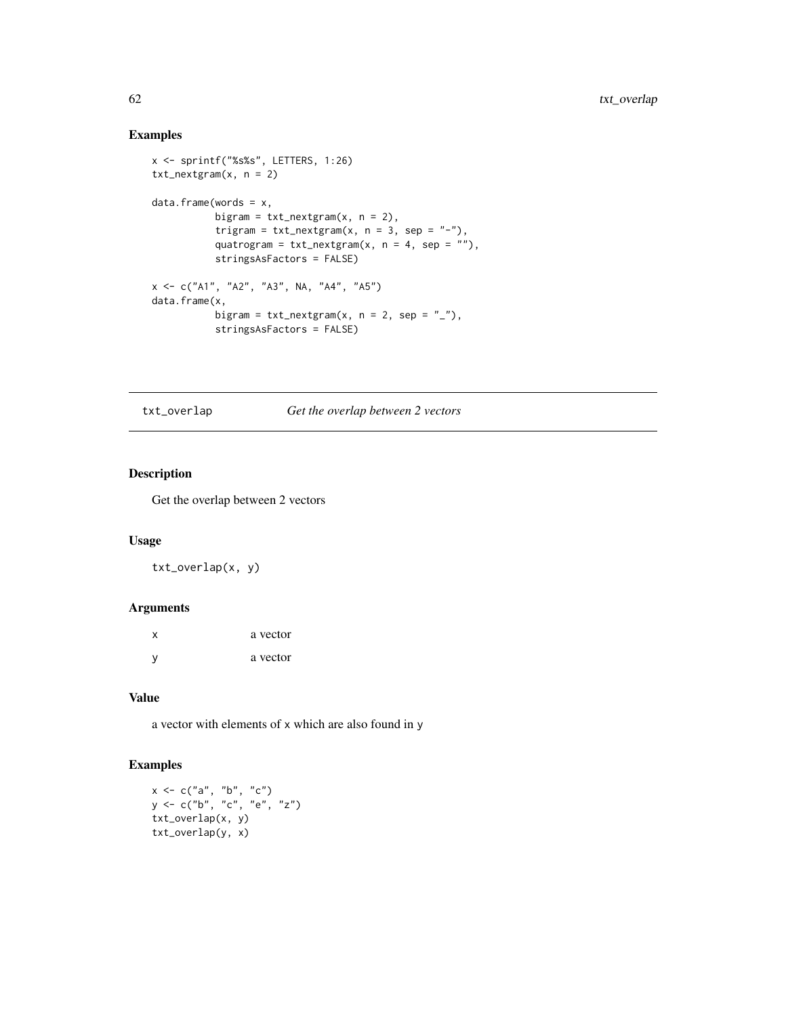# Examples

```
x <- sprintf("%s%s", LETTERS, 1:26)
txt_nextgram(x, n = 2)
data.frame(words = x,
           bigram = txt\_nextgram(x, n = 2),
           trigram = txt\_nextgram(x, n = 3, sep = "-"),
           quatrogram = txt\_nextgram(x, n = 4, sep = ""),
           stringsAsFactors = FALSE)
x <- c("A1", "A2", "A3", NA, "A4", "A5")
data.frame(x,
           bigram = txt\_nextgram(x, n = 2, sep = "__"),
           stringsAsFactors = FALSE)
```
txt\_overlap *Get the overlap between 2 vectors*

## Description

Get the overlap between 2 vectors

## Usage

txt\_overlap(x, y)

## Arguments

| X | a vector |
|---|----------|
| y | a vector |

# Value

a vector with elements of x which are also found in y

```
x < -c("a", "b", "c")y <- c("b", "c", "e", "z")
txt_overlap(x, y)
txt_overlap(y, x)
```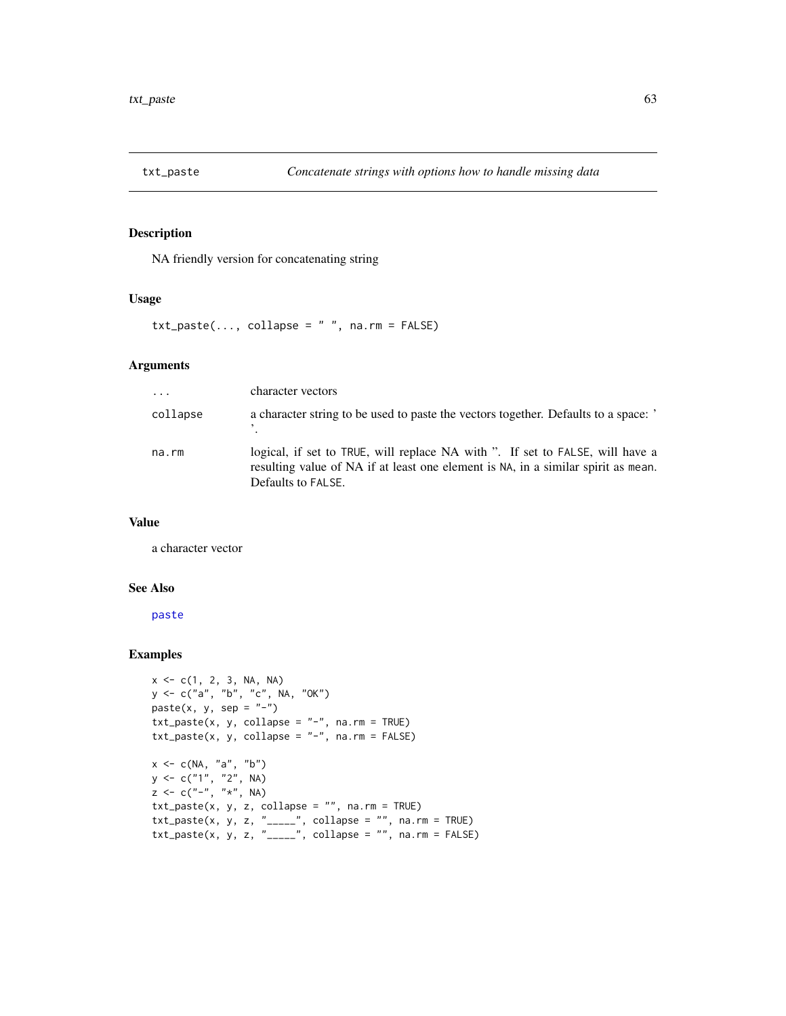<span id="page-62-0"></span>

NA friendly version for concatenating string

## Usage

 $txt\_paste(..., collapse = " ", na.rm = FALSE)$ 

### Arguments

| $\cdot$  | character vectors                                                                                                                                                                        |
|----------|------------------------------------------------------------------------------------------------------------------------------------------------------------------------------------------|
| collapse | a character string to be used to paste the vectors together. Defaults to a space: '                                                                                                      |
| na.rm    | logical, if set to TRUE, will replace NA with ". If set to FALSE, will have a<br>resulting value of NA if at least one element is NA, in a similar spirit as mean.<br>Defaults to FALSE. |

# Value

a character vector

# See Also

[paste](#page-0-0)

```
x \leq -c(1, 2, 3, NA, NA)y <- c("a", "b", "c", NA, "OK")
paste(x, y, sep = "-")txt_paste(x, y, collapse = "-", na.rm = TRUE)
txt\_paste(x, y, collapse = "-", na.rm = FALSE)x < -c(NA, 'a'', 'b'')y <- c("1", "2", NA)
z <- c("-", "*", NA)
txt_paste(x, y, z, collapse = "", na.rm = TRUE)
txt\_paste(x, y, z, "-----", collapse = "", na.rm = TRUE)txt\_paste(x, y, z, "____", collapse = "", na.rm = FALSE)
```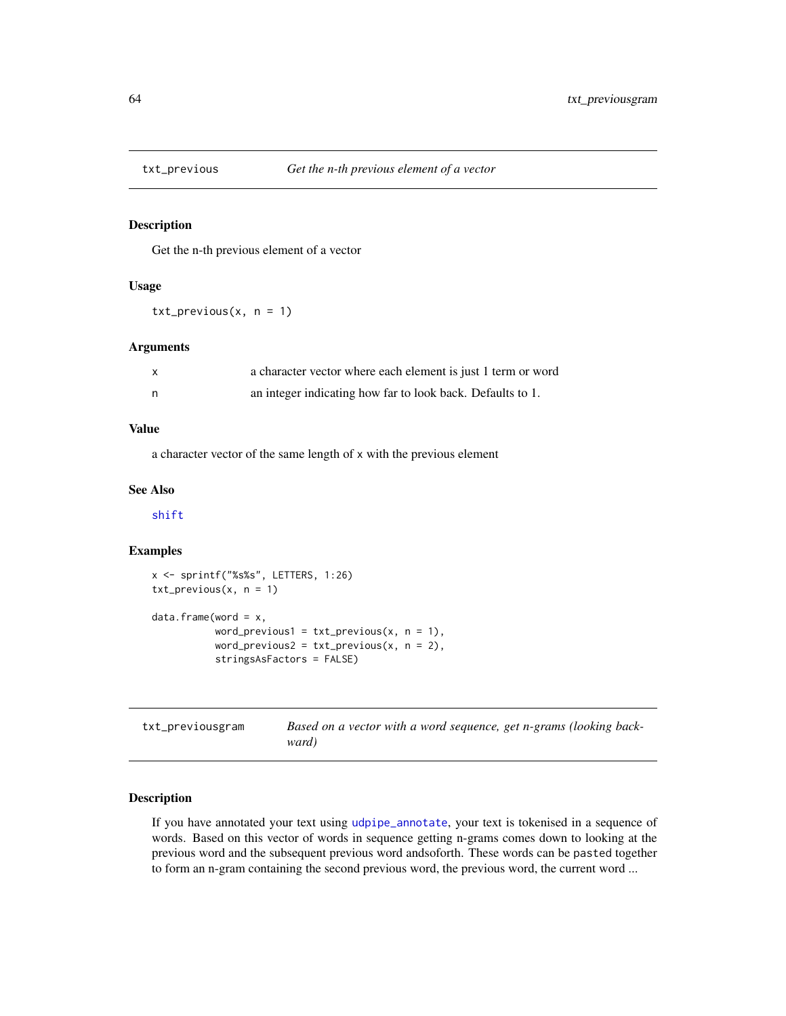<span id="page-63-0"></span>

Get the n-th previous element of a vector

## Usage

 $txt\_previous(x, n = 1)$ 

## Arguments

| a character vector where each element is just 1 term or word |
|--------------------------------------------------------------|
| an integer indicating how far to look back. Defaults to 1.   |

## Value

a character vector of the same length of x with the previous element

#### See Also

[shift](#page-0-0)

# Examples

```
x <- sprintf("%s%s", LETTERS, 1:26)
txt\_previous(x, n = 1)data.frame(word = x,
           word_previous1 = txt\_previous(x, n = 1),
           word_previous2 = txt\_previous(x, n = 2),
           stringsAsFactors = FALSE)
```

| txt_previousgram | Based on a vector with a word sequence, get n-grams (looking back- |
|------------------|--------------------------------------------------------------------|
|                  | ward)                                                              |

# Description

If you have annotated your text using [udpipe\\_annotate](#page-76-0), your text is tokenised in a sequence of words. Based on this vector of words in sequence getting n-grams comes down to looking at the previous word and the subsequent previous word andsoforth. These words can be pasted together to form an n-gram containing the second previous word, the previous word, the current word ...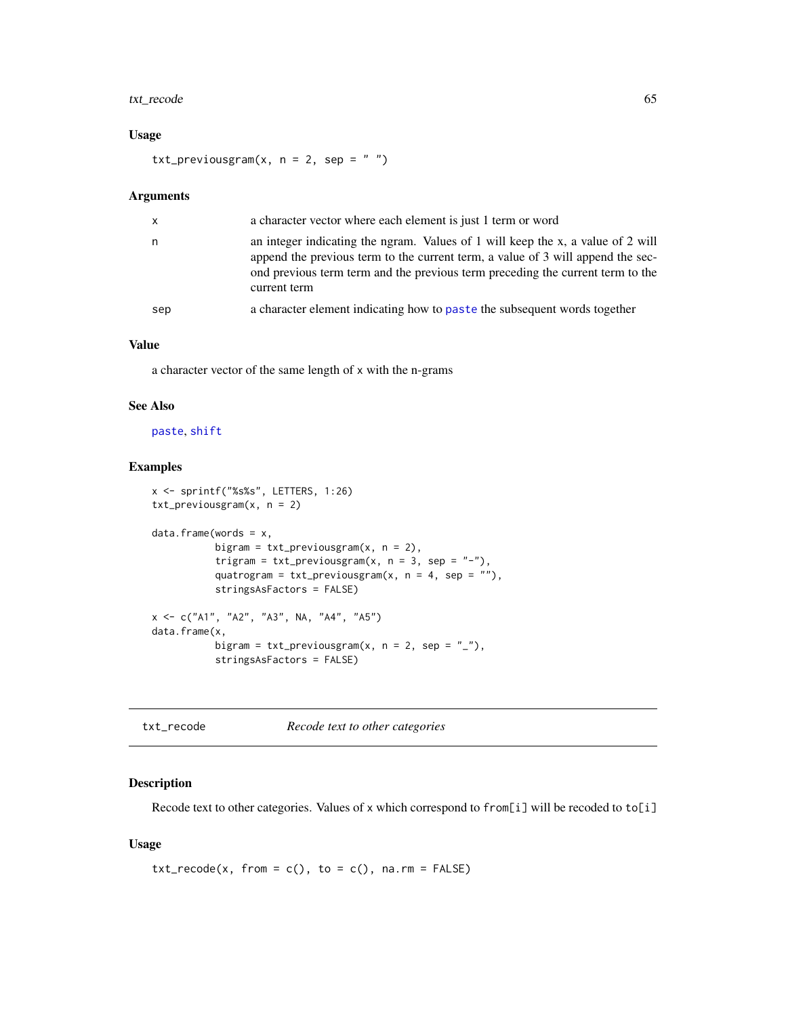# txt\_recode 65

# Usage

txt\_previousgram(x,  $n = 2$ , sep = "")

#### Arguments

| $\mathsf{x}$ | a character vector where each element is just 1 term or word                                                                                                                                                                                                         |
|--------------|----------------------------------------------------------------------------------------------------------------------------------------------------------------------------------------------------------------------------------------------------------------------|
| n            | an integer indicating the ngram. Values of 1 will keep the x, a value of 2 will<br>append the previous term to the current term, a value of 3 will append the sec-<br>ond previous term term and the previous term preceding the current term to the<br>current term |
| sep          | a character element indicating how to paste the subsequent words together                                                                                                                                                                                            |

# Value

a character vector of the same length of x with the n-grams

#### See Also

## [paste](#page-0-0), [shift](#page-0-0)

## Examples

```
x <- sprintf("%s%s", LETTERS, 1:26)
txt_previousgram(x, n = 2)
data.frame(words = x,
           bigram = txt_previousgram(x, n = 2),
           trigram = txt\_previousgram(x, n = 3, sep = "-'"),quatrogram = txt\_previousgram(x, n = 4, sep = ""),
           stringsAsFactors = FALSE)
x <- c("A1", "A2", "A3", NA, "A4", "A5")
data.frame(x,
          bigram = txt\_previousgram(x, n = 2, sep = "__"),
           stringsAsFactors = FALSE)
```
txt\_recode *Recode text to other categories*

# Description

Recode text to other categories. Values of x which correspond to from[i] will be recoded to to[i]

## Usage

```
txt_recode(x, from = c(), to = c(), na.rm = FALSE)
```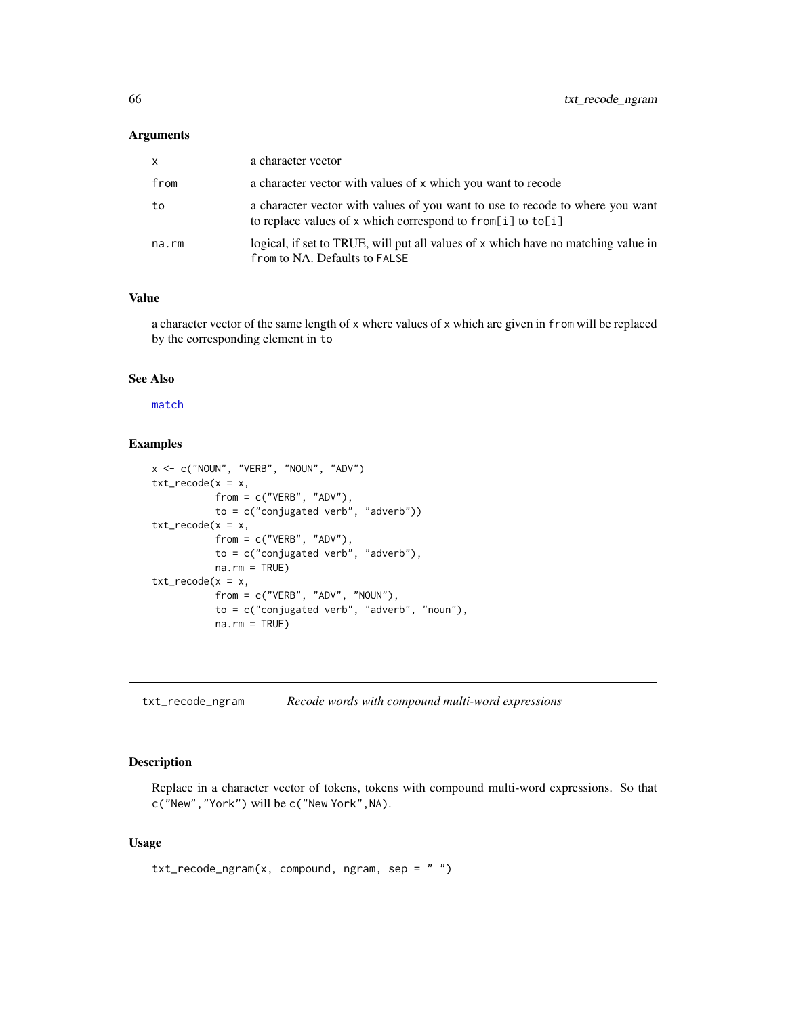#### Arguments

| $\mathsf{x}$ | a character vector                                                                                                                               |
|--------------|--------------------------------------------------------------------------------------------------------------------------------------------------|
| from         | a character vector with values of x which you want to recode                                                                                     |
| to           | a character vector with values of you want to use to recode to where you want<br>to replace values of x which correspond to from [i] to $to$ [i] |
| na.rm        | logical, if set to TRUE, will put all values of x which have no matching value in<br>from to NA. Defaults to FALSE                               |

# Value

a character vector of the same length of x where values of x which are given in from will be replaced by the corresponding element in to

## See Also

[match](#page-0-0)

# Examples

```
x \le -c("NOUN", "VERB", "NOUN", "ADV")txt_recode(x = x,from = c("VERB", "ADV"),
           to = c("conjugated verb", "adverb"))
txt_recode(x = x,from = c("VERB", "ADV");to = c("conjugated verb", "adverb"),
           na.rm = TRUE)
txt_recode(x = x,from = c("VERB", "ADV", "NOUN"),
           to = c("conjugated verb", "adverb", "noun"),
           na.rm = TRUE)
```
txt\_recode\_ngram *Recode words with compound multi-word expressions*

# Description

Replace in a character vector of tokens, tokens with compound multi-word expressions. So that c("New","York") will be c("New York",NA).

## Usage

 $txt_recode_ngram(x, compound, ngram, sep = "")$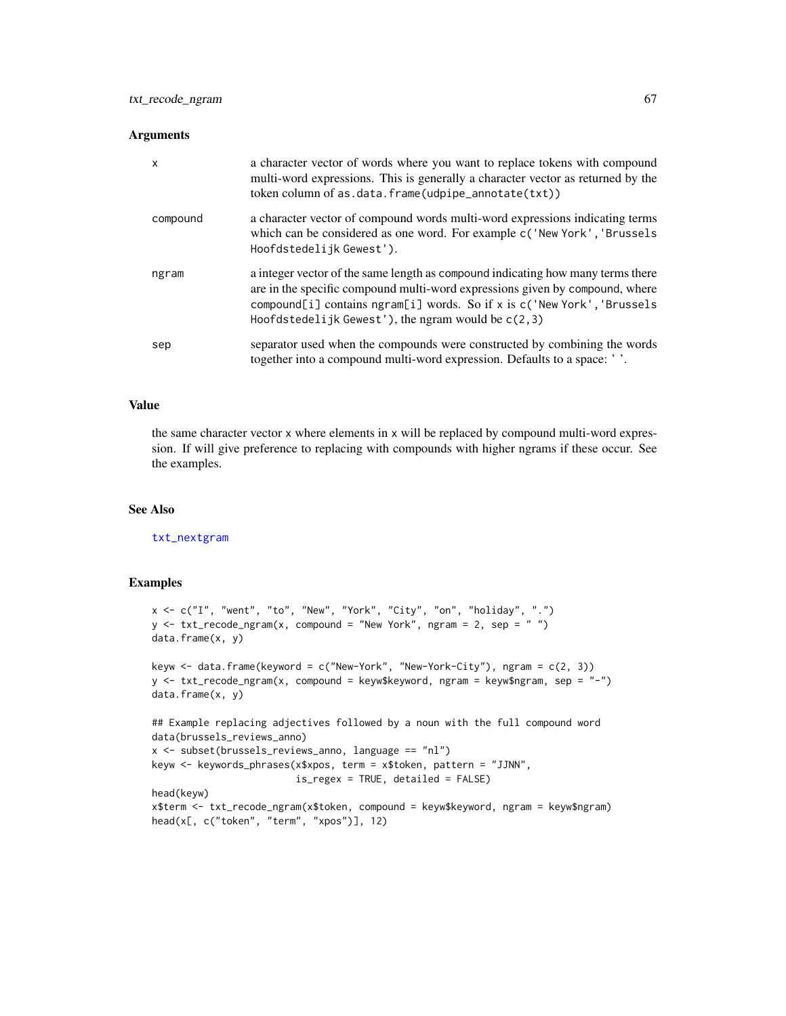#### **Arguments**

| $\mathsf{x}$ | a character vector of words where you want to replace tokens with compound<br>multi-word expressions. This is generally a character vector as returned by the<br>token column of as.data.frame(udpipe_annotate(txt))                                                                               |
|--------------|----------------------------------------------------------------------------------------------------------------------------------------------------------------------------------------------------------------------------------------------------------------------------------------------------|
| compound     | a character vector of compound words multi-word expressions indicating terms<br>which can be considered as one word. For example c('New York', 'Brussels<br>Hoofdstedelijk Gewest').                                                                                                               |
| ngram        | a integer vector of the same length as compound indicating how many terms there<br>are in the specific compound multi-word expressions given by compound, where<br>compound[i] contains ngram[i] words. So if x is c('New York', 'Brussels<br>Hoofdstedelijk Gewest'), the ngram would be $c(2,3)$ |
| sep          | separator used when the compounds were constructed by combining the words<br>together into a compound multi-word expression. Defaults to a space: ''.                                                                                                                                              |

## Value

the same character vector x where elements in x will be replaced by compound multi-word expression. If will give preference to replacing with compounds with higher ngrams if these occur. See the examples.

## See Also

[txt\\_nextgram](#page-60-0)

```
x <- c("I", "went", "to", "New", "York", "City", "on", "holiday", ".")
y \le -txt_recode_ngram(x, compound = "New York", ngram = 2, sep = "")data.frame(x, y)
keyw \le data.frame(keyword = c("New-York", "New-York-City"), ngram = c(2, 3))
y <- txt_recode_ngram(x, compound = keyw$keyword, ngram = keyw$ngram, sep = "-")
data.frame(x, y)
## Example replacing adjectives followed by a noun with the full compound word
data(brussels_reviews_anno)
x <- subset(brussels_reviews_anno, language == "nl")
keyw <- keywords_phrases(x$xpos, term = x$token, pattern = "JJNN",
                         is_regex = TRUE, detailed = FALSE)
head(keyw)
x$term <- txt_recode_ngram(x$token, compound = keyw$keyword, ngram = keyw$ngram)
head(x[, c("token", "term", "xpos")], 12)
```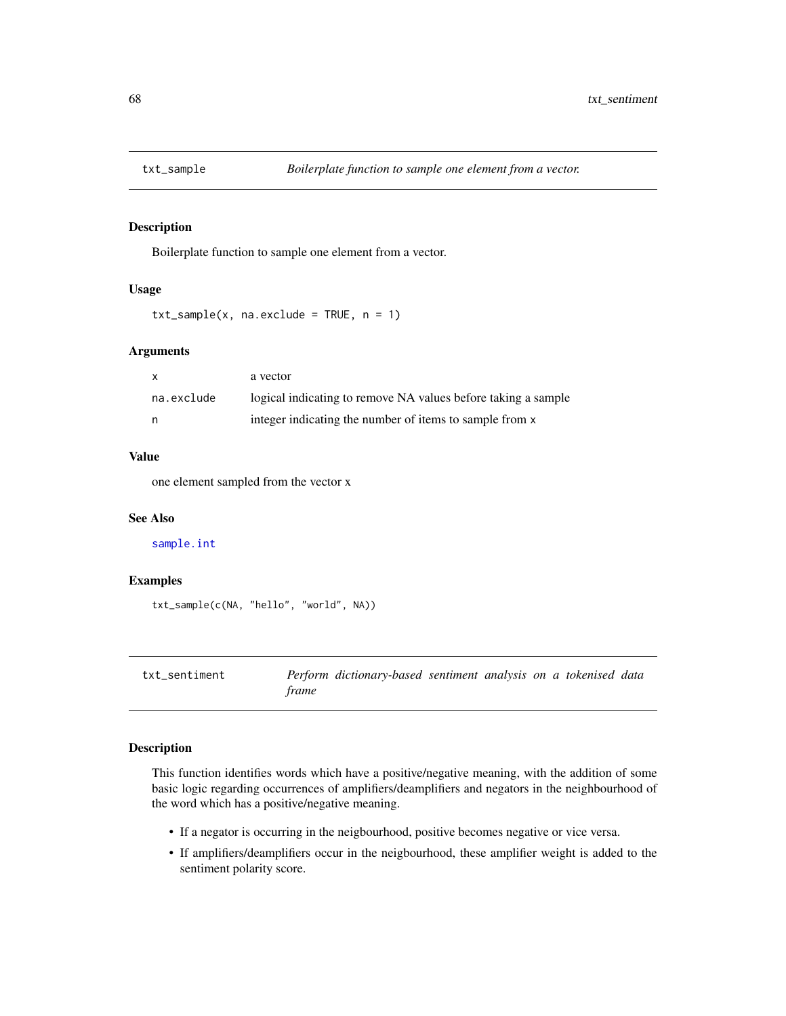<span id="page-67-0"></span>

Boilerplate function to sample one element from a vector.

## Usage

```
txt_sample(x, naexclude = TRUE, n = 1)
```
#### **Arguments**

| X.         | a vector                                                      |
|------------|---------------------------------------------------------------|
| na.exclude | logical indicating to remove NA values before taking a sample |
|            | integer indicating the number of items to sample from x       |

#### Value

one element sampled from the vector x

#### See Also

[sample.int](#page-0-0)

## Examples

```
txt_sample(c(NA, "hello", "world", NA))
```
txt\_sentiment *Perform dictionary-based sentiment analysis on a tokenised data frame*

# Description

This function identifies words which have a positive/negative meaning, with the addition of some basic logic regarding occurrences of amplifiers/deamplifiers and negators in the neighbourhood of the word which has a positive/negative meaning.

- If a negator is occurring in the neigbourhood, positive becomes negative or vice versa.
- If amplifiers/deamplifiers occur in the neigbourhood, these amplifier weight is added to the sentiment polarity score.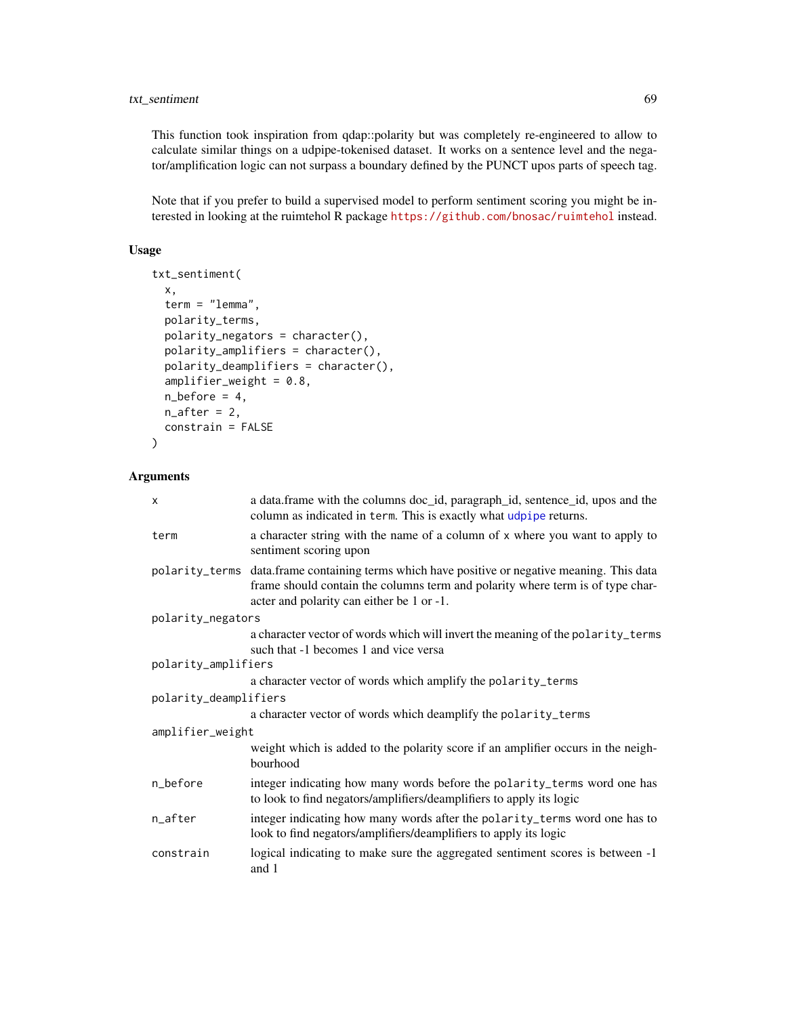# txt\_sentiment 69

This function took inspiration from qdap::polarity but was completely re-engineered to allow to calculate similar things on a udpipe-tokenised dataset. It works on a sentence level and the negator/amplification logic can not surpass a boundary defined by the PUNCT upos parts of speech tag.

Note that if you prefer to build a supervised model to perform sentiment scoring you might be interested in looking at the ruimtehol R package <https://github.com/bnosac/ruimtehol> instead.

## Usage

```
txt_sentiment(
  x,
  term = "lemma",
 polarity_terms,
 polarity_negators = character(),
 polarity_amplifiers = character(),
 polarity_deamplifiers = character(),
  amplifier_weight = 0.8,
 n_b before = 4,
 n_{a}fter = 2,
  constrain = FALSE
)
```
## Arguments

| $\times$              | a data.frame with the columns doc_id, paragraph_id, sentence_id, upos and the<br>column as indicated in term. This is exactly what udpipe returns.                                                                           |
|-----------------------|------------------------------------------------------------------------------------------------------------------------------------------------------------------------------------------------------------------------------|
| term                  | a character string with the name of a column of x where you want to apply to<br>sentiment scoring upon                                                                                                                       |
|                       | polarity_terms data.frame containing terms which have positive or negative meaning. This data<br>frame should contain the columns term and polarity where term is of type char-<br>acter and polarity can either be 1 or -1. |
| polarity_negators     |                                                                                                                                                                                                                              |
|                       | a character vector of words which will invert the meaning of the polarity_terms<br>such that -1 becomes 1 and vice versa                                                                                                     |
| polarity_amplifiers   |                                                                                                                                                                                                                              |
|                       | a character vector of words which amplify the polarity_terms                                                                                                                                                                 |
| polarity_deamplifiers |                                                                                                                                                                                                                              |
|                       | a character vector of words which deamplify the polarity_terms                                                                                                                                                               |
| amplifier_weight      |                                                                                                                                                                                                                              |
|                       | weight which is added to the polarity score if an amplifier occurs in the neigh-<br>bourhood                                                                                                                                 |
| n_before              | integer indicating how many words before the polarity_terms word one has<br>to look to find negators/amplifiers/deamplifiers to apply its logic                                                                              |
| n_after               | integer indicating how many words after the polarity_terms word one has to<br>look to find negators/amplifiers/deamplifiers to apply its logic                                                                               |
| constrain             | logical indicating to make sure the aggregated sentiment scores is between -1<br>and 1                                                                                                                                       |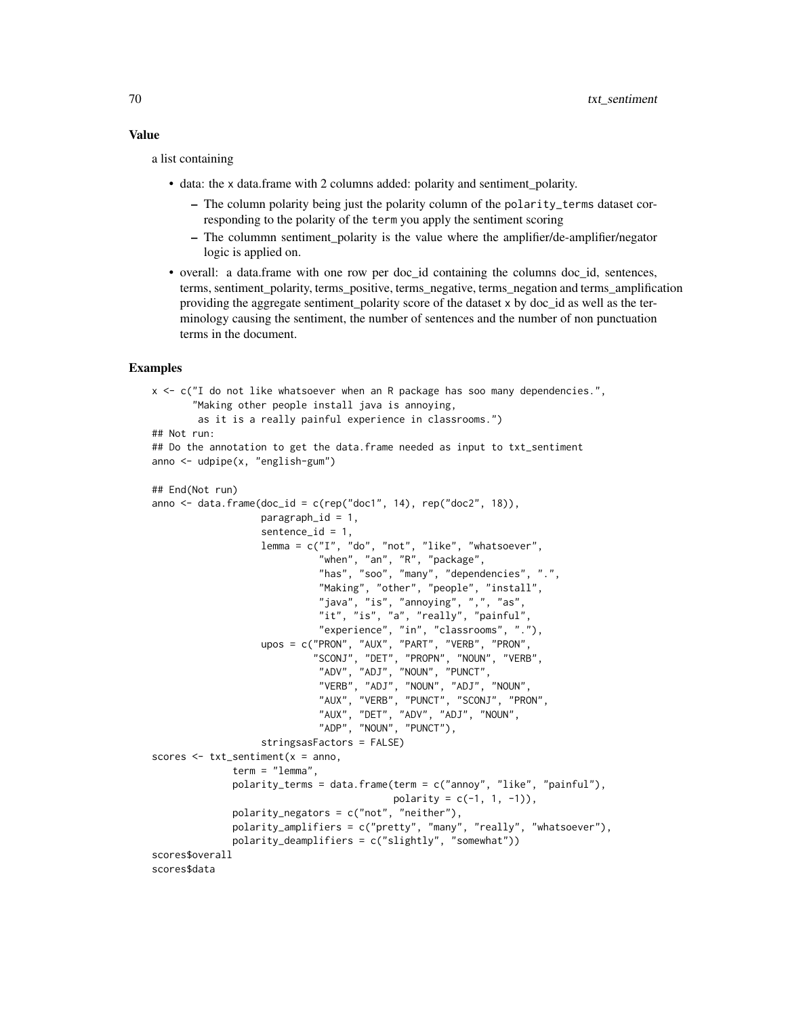#### Value

a list containing

- data: the x data.frame with 2 columns added: polarity and sentiment\_polarity.
	- The column polarity being just the polarity column of the polarity\_terms dataset corresponding to the polarity of the term you apply the sentiment scoring
	- The colummn sentiment\_polarity is the value where the amplifier/de-amplifier/negator logic is applied on.
- overall: a data.frame with one row per doc\_id containing the columns doc\_id, sentences, terms, sentiment\_polarity, terms\_positive, terms\_negative, terms\_negation and terms\_amplification providing the aggregate sentiment\_polarity score of the dataset x by doc\_id as well as the terminology causing the sentiment, the number of sentences and the number of non punctuation terms in the document.

```
x <- c("I do not like whatsoever when an R package has soo many dependencies.",
       "Making other people install java is annoying,
        as it is a really painful experience in classrooms.")
## Not run:
## Do the annotation to get the data.frame needed as input to txt_sentiment
anno <- udpipe(x, "english-gum")
```

```
## End(Not run)
anno \leq data.frame(doc_id = c(rep("doc1", 14), rep("doc2", 18)),
                   param<sub>1</sub>,<br/>sentence_id = 1,
                   lemma = c("I", "do", "not", "like", "whatsoever",
                             "when", "an", "R", "package",
                             "has", "soo", "many", "dependencies", ".",
                             "Making", "other", "people", "install",
                             "java", "is", "annoying", ",", "as",
                             "it", "is", "a", "really", "painful",
                              "experience", "in", "classrooms", "."),
                   upos = c("PRON", "AUX", "PART", "VERB", "PRON",
                             "SCONJ", "DET", "PROPN", "NOUN", "VERB",
                             "ADV", "ADJ", "NOUN", "PUNCT",
                             "VERB", "ADJ", "NOUN", "ADJ", "NOUN",
                              "AUX", "VERB", "PUNCT", "SCONJ", "PRON",
                              "AUX", "DET", "ADV", "ADJ", "NOUN",
                             "ADP", "NOUN", "PUNCT"),
                   stringsasFactors = FALSE)
scores \leq txt_sentiment(x =anno,
              term = "lemma",
              polarity_terms = data.frame(term = c("annoy", "like", "painful"),
                                          polarity = c(-1, 1, -1)),polarity_negators = c("not", "neither"),
              polarity_amplifiers = c("pretty", "many", "really", "whatsoever"),
              polarity_deamplifiers = c("slightly", "somewhat"))
scores$overall
scores$data
```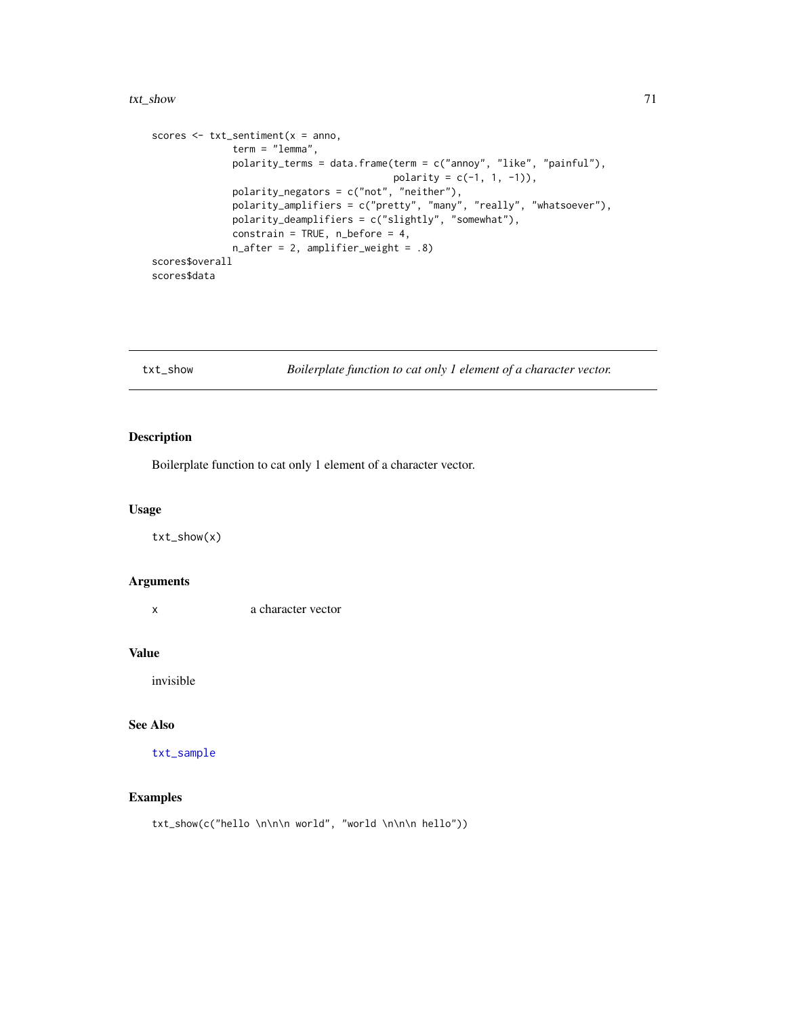#### txt\_show 71

```
scores \leq txt_sentiment(x = anno,
             term = "lemma",
             polarity_terms = data.frame(term = c("annoy", "like", "painful"),
                                         polarity = c(-1, 1, -1)),polarity_negators = c("not", "neither"),
             polarity_amplifiers = c("pretty", "many", "really", "whatsoever"),
             polarity_deamplifiers = c("slightly", "somewhat"),
             constrain = TRUE, n_b before = 4,
             n_after = 2, amplifier_weight = .8)
scores$overall
scores$data
```
txt\_show *Boilerplate function to cat only 1 element of a character vector.*

# Description

Boilerplate function to cat only 1 element of a character vector.

## Usage

txt\_show(x)

#### Arguments

x a character vector

#### Value

invisible

#### See Also

[txt\\_sample](#page-67-0)

# Examples

txt\_show(c("hello \n\n\n world", "world \n\n\n hello"))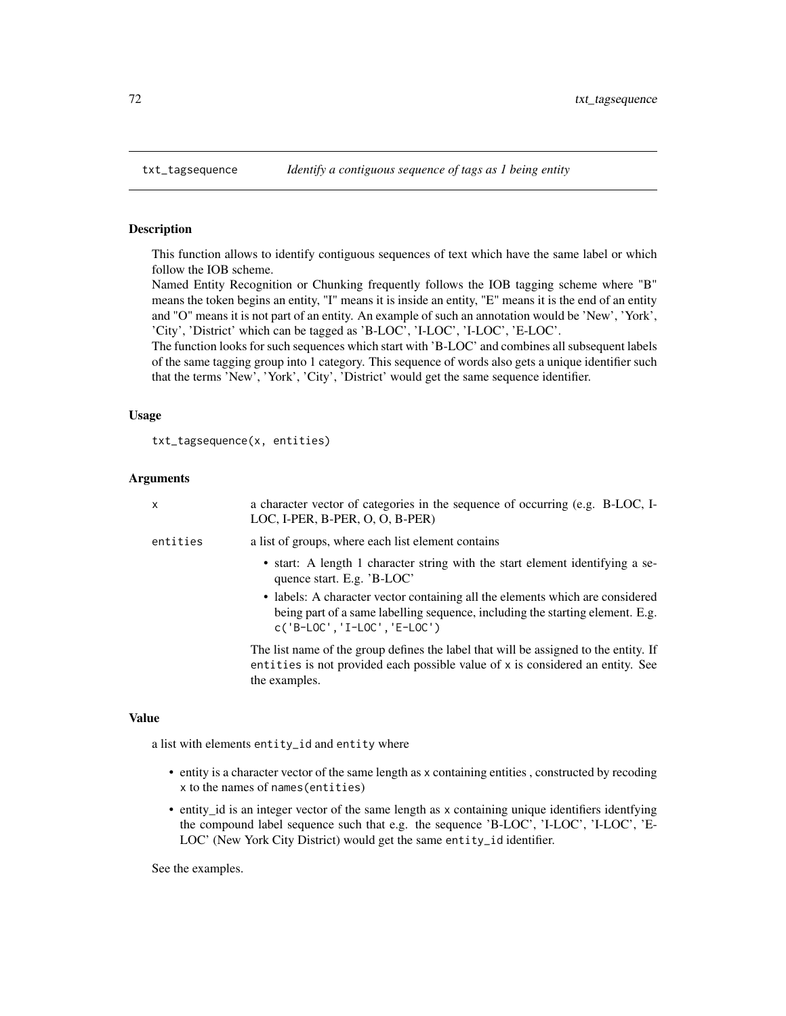This function allows to identify contiguous sequences of text which have the same label or which follow the IOB scheme.

Named Entity Recognition or Chunking frequently follows the IOB tagging scheme where "B" means the token begins an entity, "I" means it is inside an entity, "E" means it is the end of an entity and "O" means it is not part of an entity. An example of such an annotation would be 'New', 'York', 'City', 'District' which can be tagged as 'B-LOC', 'I-LOC', 'I-LOC', 'E-LOC'.

The function looks for such sequences which start with 'B-LOC' and combines all subsequent labels of the same tagging group into 1 category. This sequence of words also gets a unique identifier such that the terms 'New', 'York', 'City', 'District' would get the same sequence identifier.

## Usage

```
txt_tagsequence(x, entities)
```
## Arguments

| $\mathsf{x}$ | a character vector of categories in the sequence of occurring (e.g. B-LOC, I-<br>LOC, I-PER, B-PER, O, O, B-PER)                                                                                 |
|--------------|--------------------------------------------------------------------------------------------------------------------------------------------------------------------------------------------------|
| entities     | a list of groups, where each list element contains                                                                                                                                               |
|              | • start: A length 1 character string with the start element identifying a se-<br>quence start. E.g. 'B-LOC'                                                                                      |
|              | • labels: A character vector containing all the elements which are considered<br>being part of a same labelling sequence, including the starting element. E.g.<br>$c('B-LOC', 'I-LOC', 'E-LOC')$ |
|              | The list name of the group defines the label that will be assigned to the entity. If<br>entities is not provided each possible value of x is considered an entity. See<br>the examples.          |

## Value

a list with elements entity\_id and entity where

- entity is a character vector of the same length as x containing entities , constructed by recoding x to the names of names(entities)
- entity\_id is an integer vector of the same length as x containing unique identifiers identfying the compound label sequence such that e.g. the sequence 'B-LOC', 'I-LOC', 'I-LOC', 'E-LOC' (New York City District) would get the same entity\_id identifier.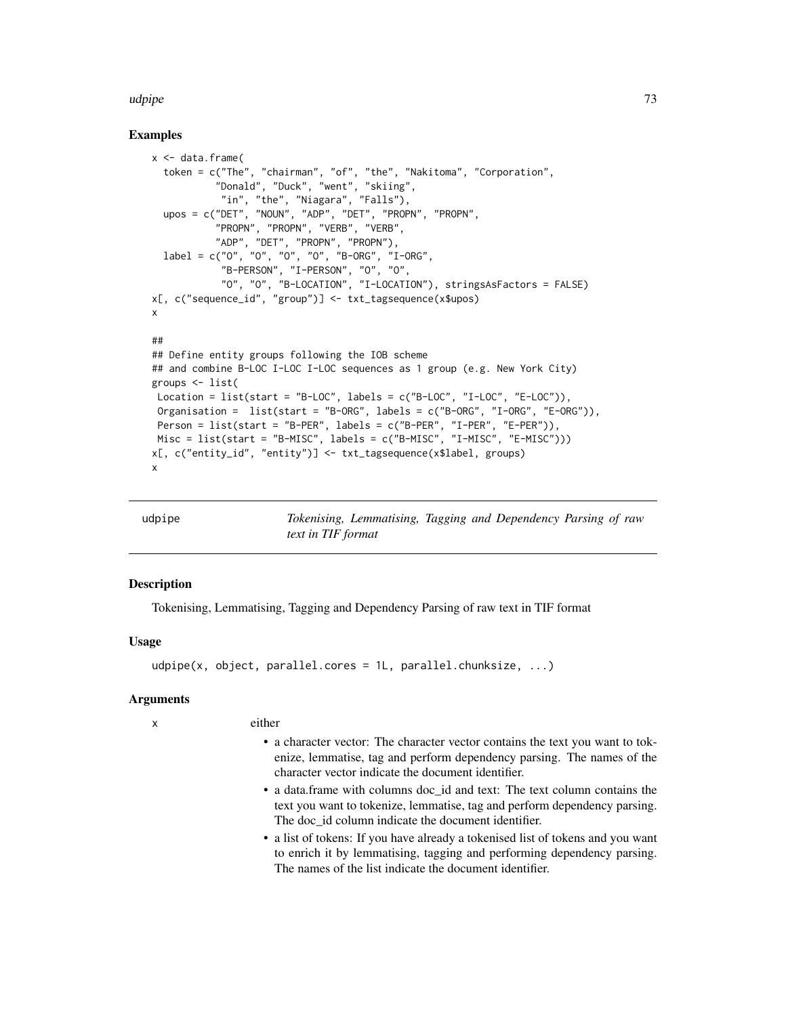#### <span id="page-72-0"></span>udpipe 73

## Examples

```
x <- data.frame(
  token = c("The", "chairman", "of", "the", "Nakitoma", "Corporation",
           "Donald", "Duck", "went", "skiing",
            "in", "the", "Niagara", "Falls"),
 upos = c("DET", "NOUN", "ADP", "DET", "PROPN", "PROPN",
           "PROPN", "PROPN", "VERB", "VERB",
           "ADP", "DET", "PROPN", "PROPN"),
 label = c("O", "O", "O", "O", "B-ORG", "I-ORG",
            "B-PERSON", "I-PERSON", "O", "O",
            "O", "O", "B-LOCATION", "I-LOCATION"), stringsAsFactors = FALSE)
x[, c("sequence_id", "group")] <- txt_tagsequence(x$upos)
x
##
## Define entity groups following the IOB scheme
## and combine B-LOC I-LOC I-LOC sequences as 1 group (e.g. New York City)
groups <- list(
Location = list(start = "B-LOC", labels = c("B-LOC", "I-LOC", "E-LOC")),
Organisation = list(start = "B-ORG", labels = c("B-ORG", "I-ORG", "E-ORG")),
Person = list(start = "B-PER", labels = c("B-PER", "I-PER", "E-PER")),
Misc = list(start = "B-MISC", labels = c("B-MISC", "I-MISC", "E-MISC")))
x[, c("entity_id", "entity")] <- txt_tagsequence(x$label, groups)
x
```
udpipe *Tokenising, Lemmatising, Tagging and Dependency Parsing of raw text in TIF format*

## Description

Tokenising, Lemmatising, Tagging and Dependency Parsing of raw text in TIF format

#### Usage

```
udpipe(x, object, parallel.cores = 1L, parallel.chunksize, ...)
```
#### Arguments

| I<br>٦ |  |  |
|--------|--|--|
|        |  |  |
|        |  |  |
|        |  |  |

either

- a character vector: The character vector contains the text you want to tokenize, lemmatise, tag and perform dependency parsing. The names of the character vector indicate the document identifier.
- a data.frame with columns doc\_id and text: The text column contains the text you want to tokenize, lemmatise, tag and perform dependency parsing. The doc id column indicate the document identifier.
- a list of tokens: If you have already a tokenised list of tokens and you want to enrich it by lemmatising, tagging and performing dependency parsing. The names of the list indicate the document identifier.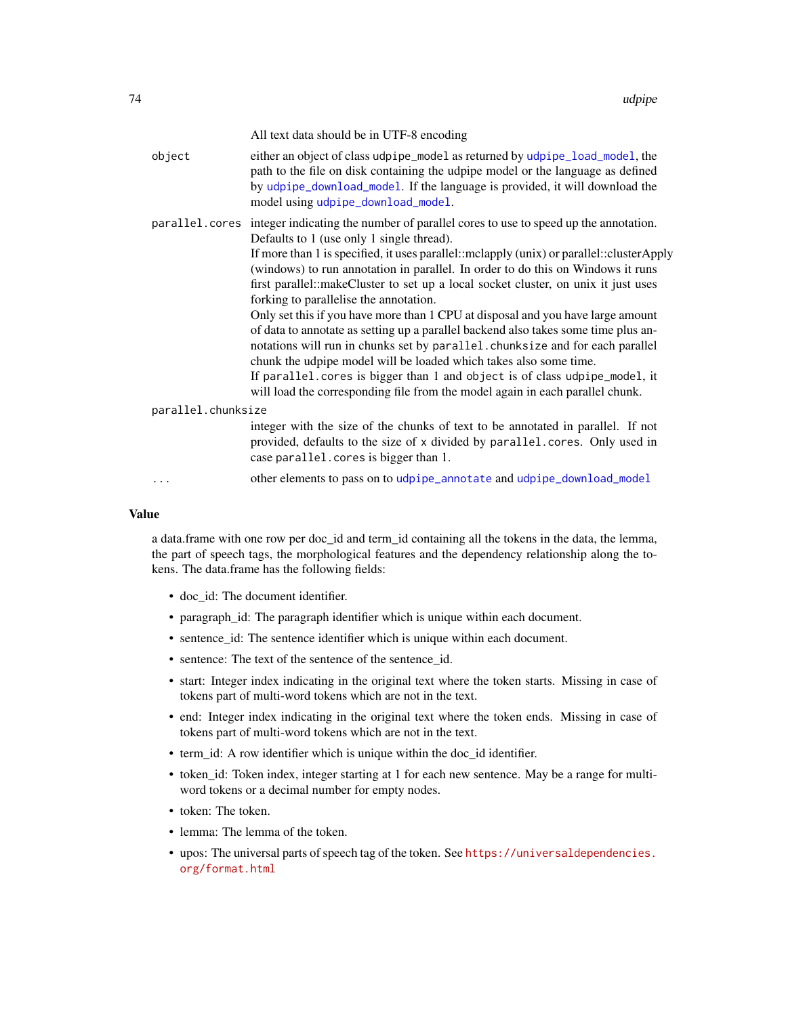<span id="page-73-0"></span>

|                    |        | All text data should be in UTF-8 encoding                                                                                                                                                                                                                                                                                                                                                                                                                                                                                                                                                                                                                                                                                                                                                                                                                                                                                                                     |
|--------------------|--------|---------------------------------------------------------------------------------------------------------------------------------------------------------------------------------------------------------------------------------------------------------------------------------------------------------------------------------------------------------------------------------------------------------------------------------------------------------------------------------------------------------------------------------------------------------------------------------------------------------------------------------------------------------------------------------------------------------------------------------------------------------------------------------------------------------------------------------------------------------------------------------------------------------------------------------------------------------------|
|                    | object | either an object of class udpipe_model as returned by udpipe_load_model, the<br>path to the file on disk containing the udpipe model or the language as defined<br>by udpipe_download_model. If the language is provided, it will download the<br>model using udpipe_download_model.                                                                                                                                                                                                                                                                                                                                                                                                                                                                                                                                                                                                                                                                          |
|                    |        | parallel. cores integer indicating the number of parallel cores to use to speed up the annotation.<br>Defaults to 1 (use only 1 single thread).<br>If more than 1 is specified, it uses parallel::mclapply (unix) or parallel::clusterApply<br>(windows) to run annotation in parallel. In order to do this on Windows it runs<br>first parallel::makeCluster to set up a local socket cluster, on unix it just uses<br>forking to parallelise the annotation.<br>Only set this if you have more than 1 CPU at disposal and you have large amount<br>of data to annotate as setting up a parallel backend also takes some time plus an-<br>notations will run in chunks set by parallel. chunksize and for each parallel<br>chunk the udpipe model will be loaded which takes also some time.<br>If parallel. cores is bigger than 1 and object is of class udpipe_model, it<br>will load the corresponding file from the model again in each parallel chunk. |
| parallel.chunksize |        |                                                                                                                                                                                                                                                                                                                                                                                                                                                                                                                                                                                                                                                                                                                                                                                                                                                                                                                                                               |
|                    |        | integer with the size of the chunks of text to be annotated in parallel. If not<br>provided, defaults to the size of x divided by parallel.cores. Only used in<br>case parallel. cores is bigger than 1.                                                                                                                                                                                                                                                                                                                                                                                                                                                                                                                                                                                                                                                                                                                                                      |
|                    | .      | other elements to pass on to udpipe_annotate and udpipe_download_model                                                                                                                                                                                                                                                                                                                                                                                                                                                                                                                                                                                                                                                                                                                                                                                                                                                                                        |
|                    |        |                                                                                                                                                                                                                                                                                                                                                                                                                                                                                                                                                                                                                                                                                                                                                                                                                                                                                                                                                               |

#### Value

a data.frame with one row per doc\_id and term\_id containing all the tokens in the data, the lemma, the part of speech tags, the morphological features and the dependency relationship along the tokens. The data.frame has the following fields:

- doc\_id: The document identifier.
- paragraph\_id: The paragraph identifier which is unique within each document.
- sentence\_id: The sentence identifier which is unique within each document.
- sentence: The text of the sentence of the sentence\_id.
- start: Integer index indicating in the original text where the token starts. Missing in case of tokens part of multi-word tokens which are not in the text.
- end: Integer index indicating in the original text where the token ends. Missing in case of tokens part of multi-word tokens which are not in the text.
- term\_id: A row identifier which is unique within the doc\_id identifier.
- token\_id: Token index, integer starting at 1 for each new sentence. May be a range for multiword tokens or a decimal number for empty nodes.
- token: The token.
- lemma: The lemma of the token.
- upos: The universal parts of speech tag of the token. See [https://universaldependencies.](https://universaldependencies.org/format.html) [org/format.html](https://universaldependencies.org/format.html)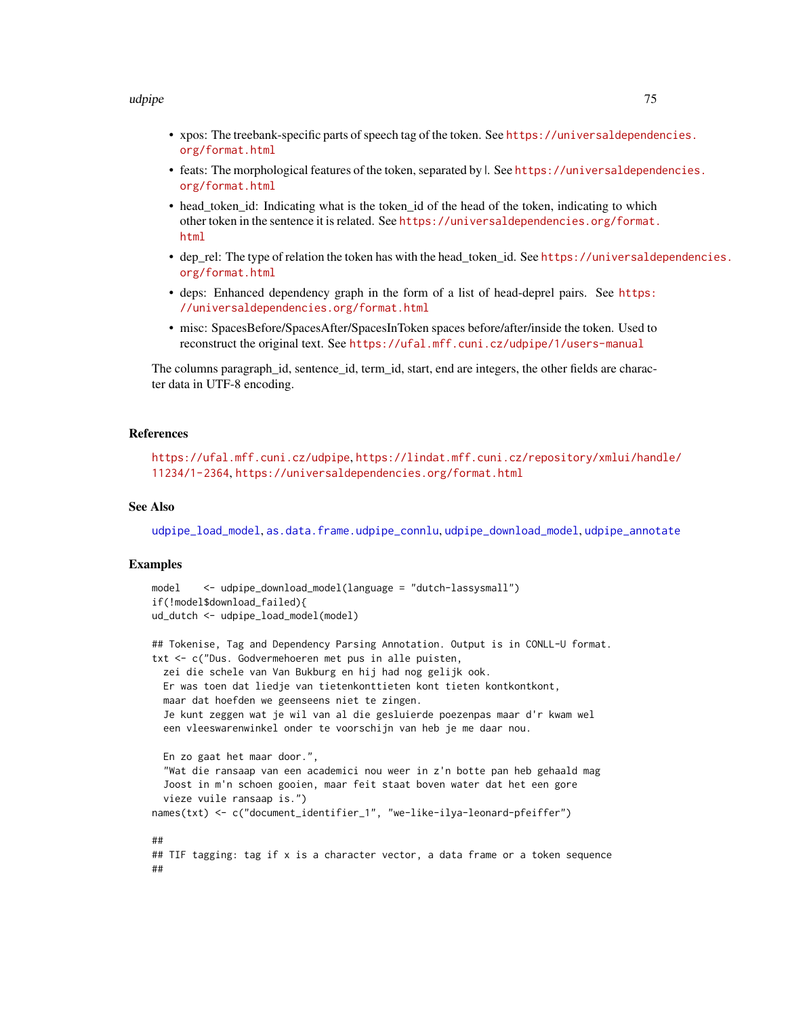#### <span id="page-74-0"></span>udpipe 75

- xpos: The treebank-specific parts of speech tag of the token. See [https://universaldepende](https://universaldependencies.org/format.html)ncies. [org/format.html](https://universaldependencies.org/format.html)
- feats: The morphological features of the token, separated by |. See [https://universaldepend](https://universaldependencies.org/format.html)encies. [org/format.html](https://universaldependencies.org/format.html)
- head\_token\_id: Indicating what is the token\_id of the head of the token, indicating to which other token in the sentence it is related. See [https://universaldependencies.org/format.](https://universaldependencies.org/format.html) [html](https://universaldependencies.org/format.html)
- dep\_rel: The type of relation the token has with the head token id. See [https://universalde](https://universaldependencies.org/format.html)pendencies. [org/format.html](https://universaldependencies.org/format.html)
- deps: Enhanced dependency graph in the form of a list of head-deprel pairs. See [https:](https://universaldependencies.org/format.html) [//universaldependencies.org/format.html](https://universaldependencies.org/format.html)
- misc: SpacesBefore/SpacesAfter/SpacesInToken spaces before/after/inside the token. Used to reconstruct the original text. See <https://ufal.mff.cuni.cz/udpipe/1/users-manual>

The columns paragraph id, sentence id, term id, start, end are integers, the other fields are character data in UTF-8 encoding.

#### References

<https://ufal.mff.cuni.cz/udpipe>, [https://lindat.mff.cuni.cz/repository/xmlui/hand](https://lindat.mff.cuni.cz/repository/xmlui/handle/11234/1-2364)le/ [11234/1-2364](https://lindat.mff.cuni.cz/repository/xmlui/handle/11234/1-2364), <https://universaldependencies.org/format.html>

## See Also

[udpipe\\_load\\_model](#page-85-0), [as.data.frame.udpipe\\_connlu](#page-2-0), [udpipe\\_download\\_model](#page-79-0), [udpipe\\_annotate](#page-76-0)

#### Examples

```
model <- udpipe_download_model(language = "dutch-lassysmall")
if(!model$download_failed){
ud_dutch <- udpipe_load_model(model)
## Tokenise, Tag and Dependency Parsing Annotation. Output is in CONLL-U format.
txt <- c("Dus. Godvermehoeren met pus in alle puisten,
 zei die schele van Van Bukburg en hij had nog gelijk ook.
 Er was toen dat liedje van tietenkonttieten kont tieten kontkontkont,
 maar dat hoefden we geenseens niet te zingen.
 Je kunt zeggen wat je wil van al die gesluierde poezenpas maar d'r kwam wel
 een vleeswarenwinkel onder te voorschijn van heb je me daar nou.
 En zo gaat het maar door.",
  "Wat die ransaap van een academici nou weer in z'n botte pan heb gehaald mag
 Joost in m'n schoen gooien, maar feit staat boven water dat het een gore
  vieze vuile ransaap is.")
names(txt) <- c("document_identifier_1", "we-like-ilya-leonard-pfeiffer")
##
## TIF tagging: tag if x is a character vector, a data frame or a token sequence
##
```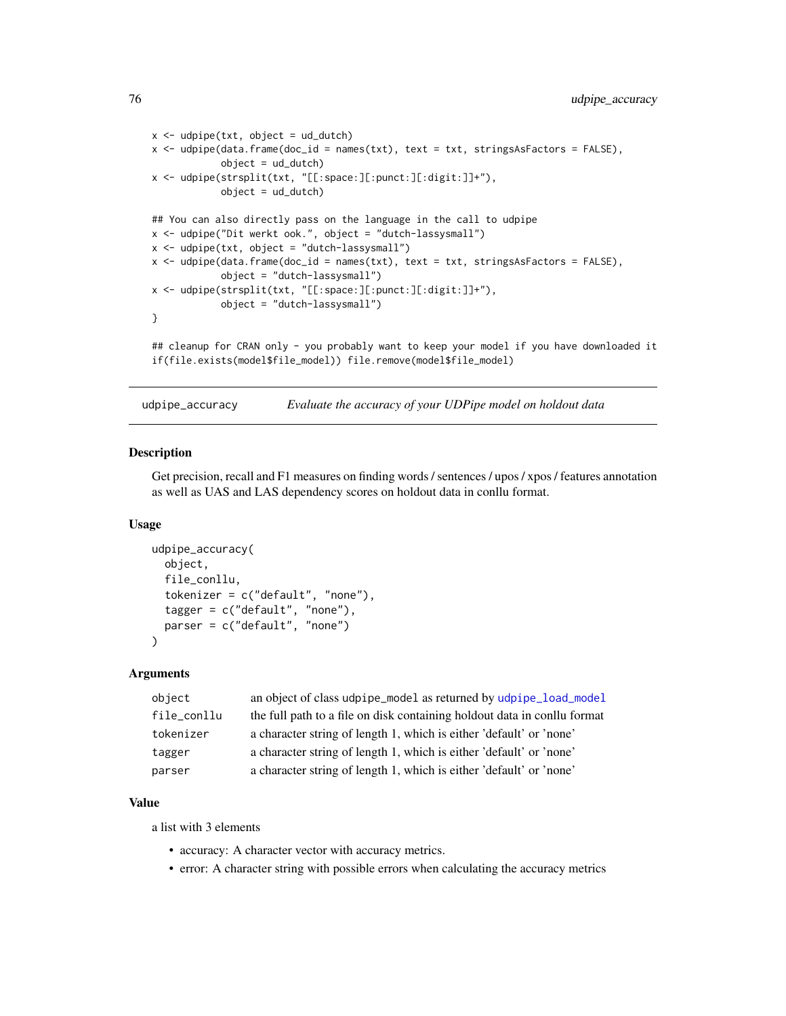```
x \leq -\text{udpipe}(\text{txt}, \text{object} = \text{ud}_\text{dutch})x <- udpipe(data.frame(doc_id = names(txt), text = txt, stringsAsFactors = FALSE),
            object = ud_dutch)x <- udpipe(strsplit(txt, "[[:space:][:punct:][:digit:]]+"),
            object = ud_dutch)## You can also directly pass on the language in the call to udpipe
x <- udpipe("Dit werkt ook.", object = "dutch-lassysmall")
x \le - udpipe(txt, object = "dutch-lassysmall")
x <- udpipe(data.frame(doc_id = names(txt), text = txt, stringsAsFactors = FALSE),
            object = "dutch-lassysmall")
x <- udpipe(strsplit(txt, "[[:space:][:punct:][:digit:]]+"),
            object = "dutch-lassysmall")
}
## cleanup for CRAN only - you probably want to keep your model if you have downloaded it
if(file.exists(model$file_model)) file.remove(model$file_model)
```

```
udpipe_accuracy Evaluate the accuracy of your UDPipe model on holdout data
```
## Description

Get precision, recall and F1 measures on finding words / sentences / upos / xpos / features annotation as well as UAS and LAS dependency scores on holdout data in conllu format.

#### Usage

```
udpipe_accuracy(
  object,
  file_conllu,
  tokenizer = c("default", "none"),
  tagger = c("default", "none"),
  parser = c("default", "none")
\lambda
```
### Arguments

| object      | an object of class udpipe_model as returned by udpipe_load_model         |
|-------------|--------------------------------------------------------------------------|
| file conllu | the full path to a file on disk containing holdout data in conllu format |
| tokenizer   | a character string of length 1, which is either 'default' or 'none'      |
| tagger      | a character string of length 1, which is either 'default' or 'none'      |
| parser      | a character string of length 1, which is either 'default' or 'none'      |

## Value

a list with 3 elements

- accuracy: A character vector with accuracy metrics.
- error: A character string with possible errors when calculating the accuracy metrics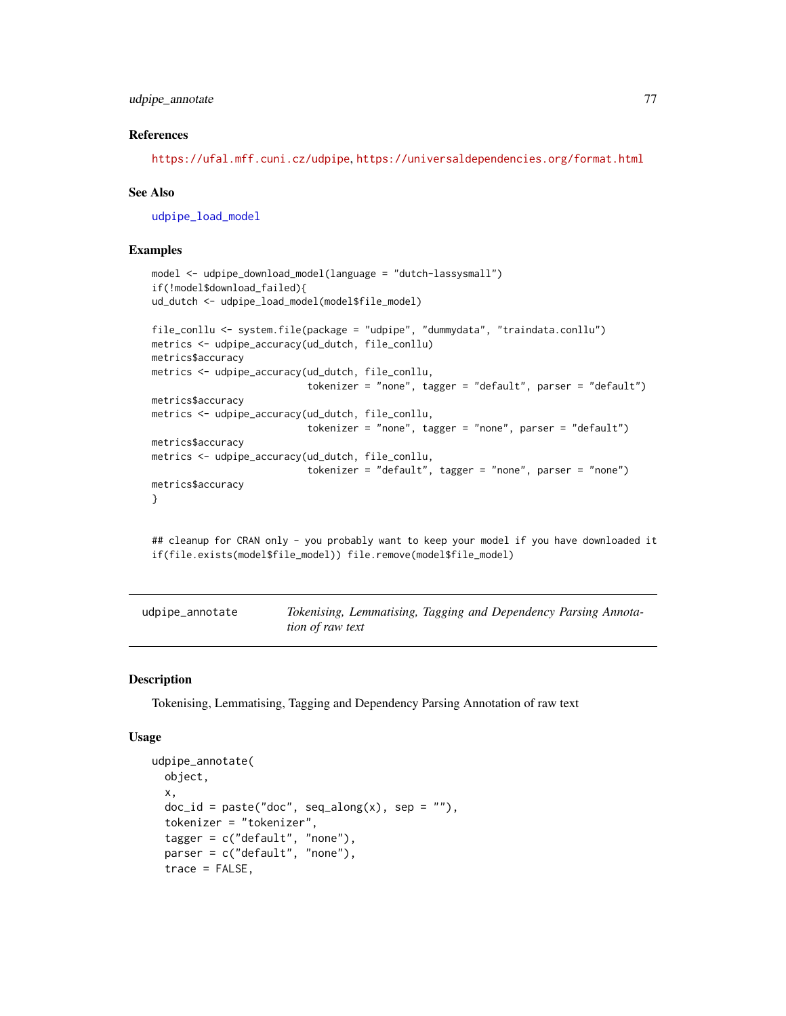## <span id="page-76-1"></span>udpipe\_annotate 77

#### References

<https://ufal.mff.cuni.cz/udpipe>, <https://universaldependencies.org/format.html>

#### See Also

[udpipe\\_load\\_model](#page-85-0)

## Examples

```
model <- udpipe_download_model(language = "dutch-lassysmall")
if(!model$download_failed){
ud_dutch <- udpipe_load_model(model$file_model)
file_conllu <- system.file(package = "udpipe", "dummydata", "traindata.conllu")
metrics <- udpipe_accuracy(ud_dutch, file_conllu)
metrics$accuracy
metrics <- udpipe_accuracy(ud_dutch, file_conllu,
                           tokenizer = "none", tagger = "default", parser = "default")
metrics$accuracy
metrics <- udpipe_accuracy(ud_dutch, file_conllu,
                           tokenizer = "none", tagger = "none", parser = "default")
metrics$accuracy
metrics <- udpipe_accuracy(ud_dutch, file_conllu,
                          tokenizer = "default", tagger = "none", parser = "none")
metrics$accuracy
}
```
## cleanup for CRAN only - you probably want to keep your model if you have downloaded it if(file.exists(model\$file\_model)) file.remove(model\$file\_model)

<span id="page-76-0"></span>

| udpipe_annotate | Tokenising, Lemmatising, Tagging and Dependency Parsing Annota- |
|-----------------|-----------------------------------------------------------------|
|                 | <i>tion of raw text</i>                                         |

#### Description

Tokenising, Lemmatising, Tagging and Dependency Parsing Annotation of raw text

### Usage

```
udpipe_annotate(
  object,
  x,
  doc_id = paste("doc", seq_along(x), sep = ""),tokenizer = "tokenizer",
  tagger = c("default", "none"),
  parser = c("default", "none"),
  trace = FALSE,
```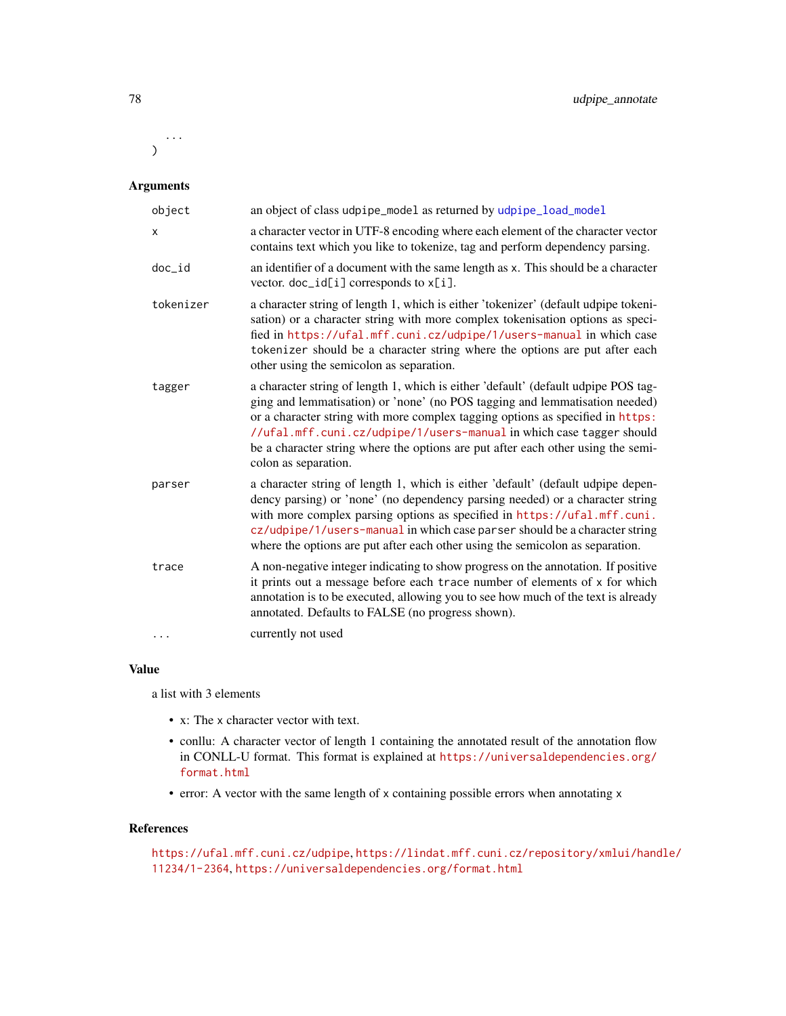... )

# Arguments

| object       | an object of class udpipe_model as returned by udpipe_load_model                                                                                                                                                                                                                                                                                                                                                                        |
|--------------|-----------------------------------------------------------------------------------------------------------------------------------------------------------------------------------------------------------------------------------------------------------------------------------------------------------------------------------------------------------------------------------------------------------------------------------------|
| $\mathsf{x}$ | a character vector in UTF-8 encoding where each element of the character vector<br>contains text which you like to tokenize, tag and perform dependency parsing.                                                                                                                                                                                                                                                                        |
| $doc_id$     | an identifier of a document with the same length as x. This should be a character<br>vector. doc_id[i] corresponds to x[i].                                                                                                                                                                                                                                                                                                             |
| tokenizer    | a character string of length 1, which is either 'tokenizer' (default udpipe tokeni-<br>sation) or a character string with more complex tokenisation options as speci-<br>fied in https://ufal.mff.cuni.cz/udpipe/1/users-manual in which case<br>tokenizer should be a character string where the options are put after each<br>other using the semicolon as separation.                                                                |
| tagger       | a character string of length 1, which is either 'default' (default udpipe POS tag-<br>ging and lemmatisation) or 'none' (no POS tagging and lemmatisation needed)<br>or a character string with more complex tagging options as specified in https:<br>//ufal.mff.cuni.cz/udpipe/1/users-manual in which case tagger should<br>be a character string where the options are put after each other using the semi-<br>colon as separation. |
| parser       | a character string of length 1, which is either 'default' (default udpipe depen-<br>dency parsing) or 'none' (no dependency parsing needed) or a character string<br>with more complex parsing options as specified in https://ufal.mff.cuni.<br>cz/udpipe/1/users-manual in which case parser should be a character string<br>where the options are put after each other using the semicolon as separation.                            |
| trace        | A non-negative integer indicating to show progress on the annotation. If positive<br>it prints out a message before each trace number of elements of x for which<br>annotation is to be executed, allowing you to see how much of the text is already<br>annotated. Defaults to FALSE (no progress shown).                                                                                                                              |
| $\cdots$     | currently not used                                                                                                                                                                                                                                                                                                                                                                                                                      |

## Value

a list with 3 elements

- x: The x character vector with text.
- conllu: A character vector of length 1 containing the annotated result of the annotation flow in CONLL-U format. This format is explained at [https://universaldependencies.org/](https://universaldependencies.org/format.html) [format.html](https://universaldependencies.org/format.html)
- error: A vector with the same length of x containing possible errors when annotating x

#### References

```
https://ufal.mff.cuni.cz/udpipe, https://lindat.mff.cuni.cz/repository/xmlui/handle/
11234/1-2364, https://universaldependencies.org/format.html
```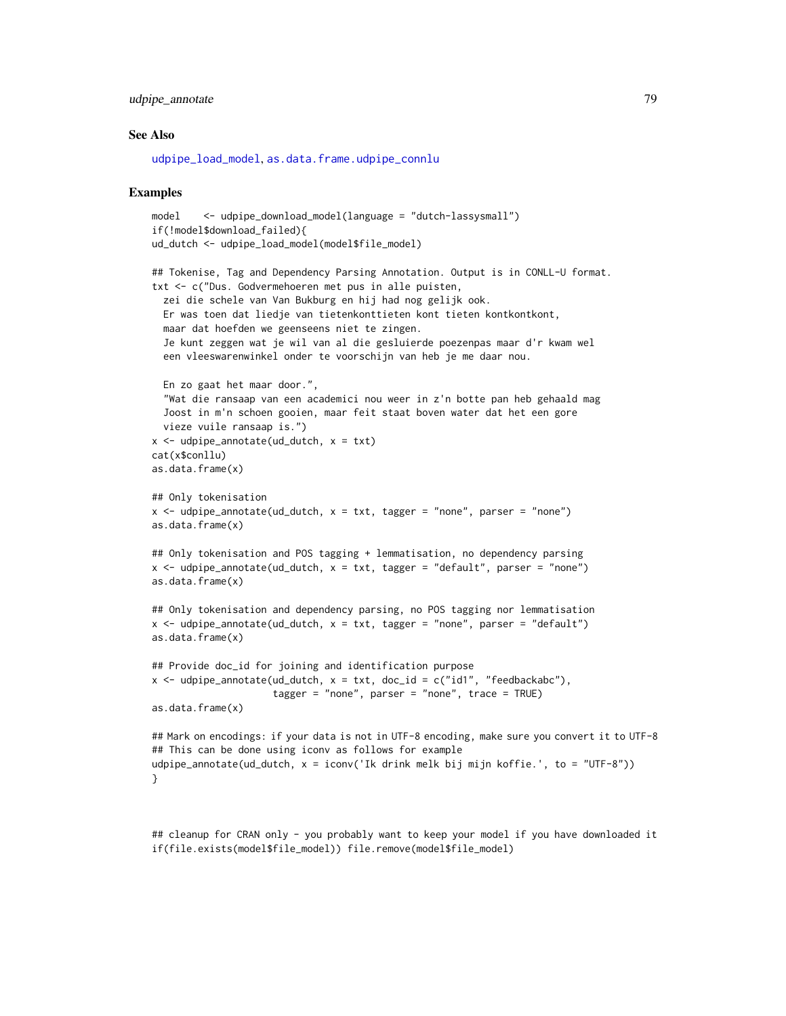## <span id="page-78-0"></span>udpipe\_annotate 79

#### See Also

[udpipe\\_load\\_model](#page-85-0), [as.data.frame.udpipe\\_connlu](#page-2-0)

#### Examples

```
model <- udpipe_download_model(language = "dutch-lassysmall")
if(!model$download_failed){
ud_dutch <- udpipe_load_model(model$file_model)
## Tokenise, Tag and Dependency Parsing Annotation. Output is in CONLL-U format.
txt <- c("Dus. Godvermehoeren met pus in alle puisten,
 zei die schele van Van Bukburg en hij had nog gelijk ook.
 Er was toen dat liedje van tietenkonttieten kont tieten kontkontkont,
 maar dat hoefden we geenseens niet te zingen.
 Je kunt zeggen wat je wil van al die gesluierde poezenpas maar d'r kwam wel
 een vleeswarenwinkel onder te voorschijn van heb je me daar nou.
 En zo gaat het maar door.",
  "Wat die ransaap van een academici nou weer in z'n botte pan heb gehaald mag
 Joost in m'n schoen gooien, maar feit staat boven water dat het een gore
 vieze vuile ransaap is.")
x \leq - udpipe_annotate(ud_dutch, x = txt)
cat(x$conllu)
as.data.frame(x)
## Only tokenisation
x \le - udpipe_annotate(ud_dutch, x = txt, tagger = "none", parser = "none")
as.data.frame(x)
## Only tokenisation and POS tagging + lemmatisation, no dependency parsing
x <- udpipe_annotate(ud_dutch, x = txt, tagger = "default", parser = "none")
as.data.frame(x)
## Only tokenisation and dependency parsing, no POS tagging nor lemmatisation
x <- udpipe_annotate(ud_dutch, x = tx, tagger = "none", parser = "default")
as.data.frame(x)
## Provide doc_id for joining and identification purpose
x <- udpipe_annotate(ud_dutch, x = txt, doc_id = c("id1", "feedbackabc"),
                     tagger = "none", parser = "none", trace = TRUE)
as.data.frame(x)
## Mark on encodings: if your data is not in UTF-8 encoding, make sure you convert it to UTF-8
## This can be done using iconv as follows for example
udpipe_annotate(ud_dutch, x = iconv('Ik drink melk bij mijn koffie.', to = "UTF-8"))
}
```
## cleanup for CRAN only - you probably want to keep your model if you have downloaded it if(file.exists(model\$file\_model)) file.remove(model\$file\_model)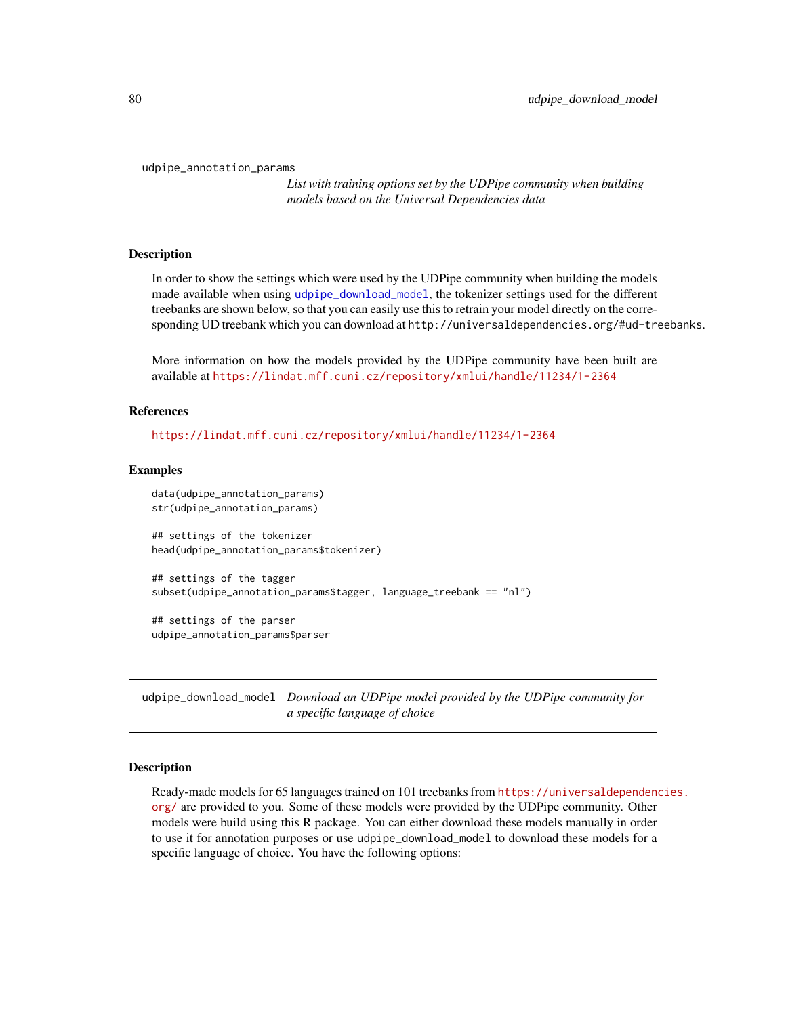<span id="page-79-2"></span><span id="page-79-1"></span>udpipe\_annotation\_params

*List with training options set by the UDPipe community when building models based on the Universal Dependencies data*

## Description

In order to show the settings which were used by the UDPipe community when building the models made available when using [udpipe\\_download\\_model](#page-79-0), the tokenizer settings used for the different treebanks are shown below, so that you can easily use this to retrain your model directly on the corresponding UD treebank which you can download at http://universaldependencies.org/#ud-treebanks.

More information on how the models provided by the UDPipe community have been built are available at <https://lindat.mff.cuni.cz/repository/xmlui/handle/11234/1-2364>

#### References

<https://lindat.mff.cuni.cz/repository/xmlui/handle/11234/1-2364>

#### Examples

```
data(udpipe_annotation_params)
str(udpipe_annotation_params)
## settings of the tokenizer
head(udpipe_annotation_params$tokenizer)
## settings of the tagger
subset(udpipe_annotation_params$tagger, language_treebank == "nl")
## settings of the parser
udpipe_annotation_params$parser
```
<span id="page-79-0"></span>udpipe\_download\_model *Download an UDPipe model provided by the UDPipe community for a specific language of choice*

#### Description

Ready-made models for 65 languages trained on 101 treebanks from [https://universaldependenc](https://universaldependencies.org/)ies. [org/](https://universaldependencies.org/) are provided to you. Some of these models were provided by the UDPipe community. Other models were build using this R package. You can either download these models manually in order to use it for annotation purposes or use udpipe\_download\_model to download these models for a specific language of choice. You have the following options: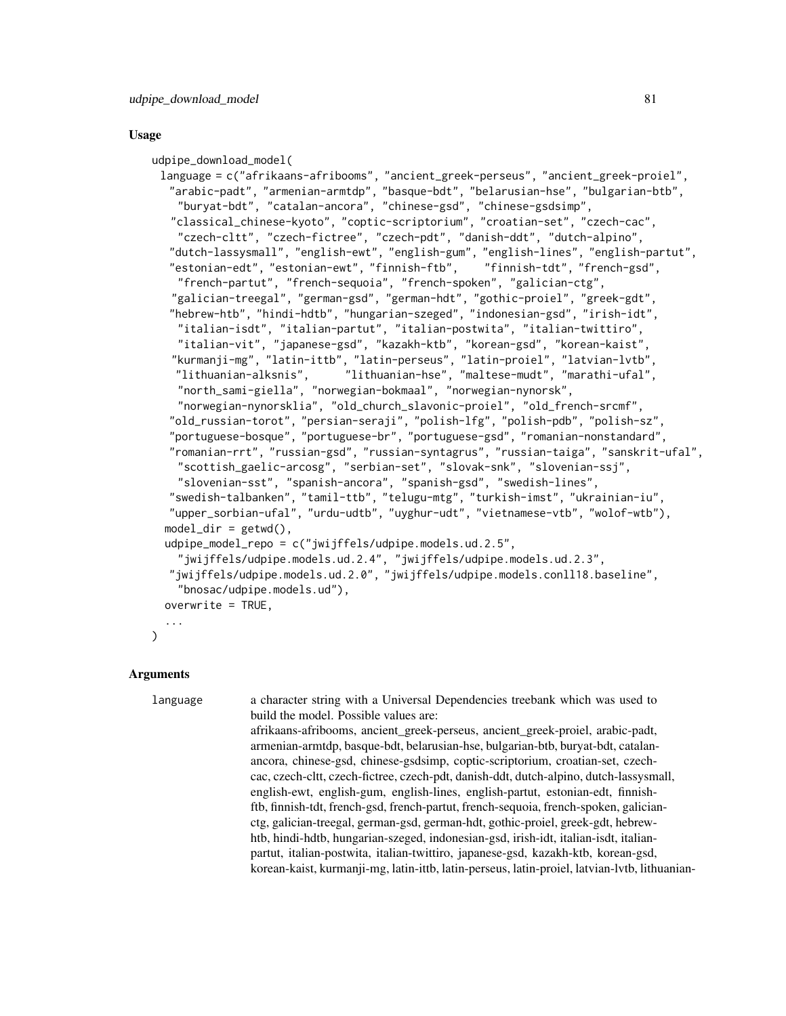#### Usage

```
udpipe_download_model(
 language = c("afrikaans-afribooms", "ancient_greek-perseus", "ancient_greek-proiel",
  "arabic-padt", "armenian-armtdp", "basque-bdt", "belarusian-hse", "bulgarian-btb",
   "buryat-bdt", "catalan-ancora", "chinese-gsd", "chinese-gsdsimp",
  "classical_chinese-kyoto", "coptic-scriptorium", "croatian-set", "czech-cac",
    "czech-cltt", "czech-fictree", "czech-pdt", "danish-ddt", "dutch-alpino",
  "dutch-lassysmall", "english-ewt", "english-gum", "english-lines", "english-partut",
  "estonian-edt", "estonian-ewt", "finnish-ftb", "finnish-tdt", "french-gsd",
    "french-partut", "french-sequoia", "french-spoken", "galician-ctg",
   "galician-treegal", "german-gsd", "german-hdt", "gothic-proiel", "greek-gdt",
  "hebrew-htb", "hindi-hdtb", "hungarian-szeged", "indonesian-gsd", "irish-idt",
   "italian-isdt", "italian-partut", "italian-postwita", "italian-twittiro",
    "italian-vit", "japanese-gsd", "kazakh-ktb", "korean-gsd", "korean-kaist",
   "kurmanji-mg", "latin-ittb", "latin-perseus", "latin-proiel", "latvian-lvtb",
   "lithuanian-alksnis", "lithuanian-hse", "maltese-mudt", "marathi-ufal",
    "north_sami-giella", "norwegian-bokmaal", "norwegian-nynorsk",
    "norwegian-nynorsklia", "old_church_slavonic-proiel", "old_french-srcmf",
  "old_russian-torot", "persian-seraji", "polish-lfg", "polish-pdb", "polish-sz",
  "portuguese-bosque", "portuguese-br", "portuguese-gsd", "romanian-nonstandard",
  "romanian-rrt", "russian-gsd", "russian-syntagrus", "russian-taiga", "sanskrit-ufal",
    "scottish_gaelic-arcosg", "serbian-set", "slovak-snk", "slovenian-ssj",
    "slovenian-sst", "spanish-ancora", "spanish-gsd", "swedish-lines",
  "swedish-talbanken", "tamil-ttb", "telugu-mtg", "turkish-imst", "ukrainian-iu",
  "upper_sorbian-ufal", "urdu-udtb", "uyghur-udt", "vietnamese-vtb", "wolof-wtb"),
 model\_dir = getwd(),
 udpipe_model_repo = c("jwijffels/udpipe.models.ud.2.5",
    "jwijffels/udpipe.models.ud.2.4", "jwijffels/udpipe.models.ud.2.3",
  "jwijffels/udpipe.models.ud.2.0", "jwijffels/udpipe.models.conll18.baseline",
    "bnosac/udpipe.models.ud"),
 overwrite = TRUE,
  ...
```
## **Arguments**

)

language a character string with a Universal Dependencies treebank which was used to build the model. Possible values are:

> afrikaans-afribooms, ancient\_greek-perseus, ancient\_greek-proiel, arabic-padt, armenian-armtdp, basque-bdt, belarusian-hse, bulgarian-btb, buryat-bdt, catalanancora, chinese-gsd, chinese-gsdsimp, coptic-scriptorium, croatian-set, czechcac, czech-cltt, czech-fictree, czech-pdt, danish-ddt, dutch-alpino, dutch-lassysmall, english-ewt, english-gum, english-lines, english-partut, estonian-edt, finnishftb, finnish-tdt, french-gsd, french-partut, french-sequoia, french-spoken, galicianctg, galician-treegal, german-gsd, german-hdt, gothic-proiel, greek-gdt, hebrewhtb, hindi-hdtb, hungarian-szeged, indonesian-gsd, irish-idt, italian-isdt, italianpartut, italian-postwita, italian-twittiro, japanese-gsd, kazakh-ktb, korean-gsd, korean-kaist, kurmanji-mg, latin-ittb, latin-perseus, latin-proiel, latvian-lvtb, lithuanian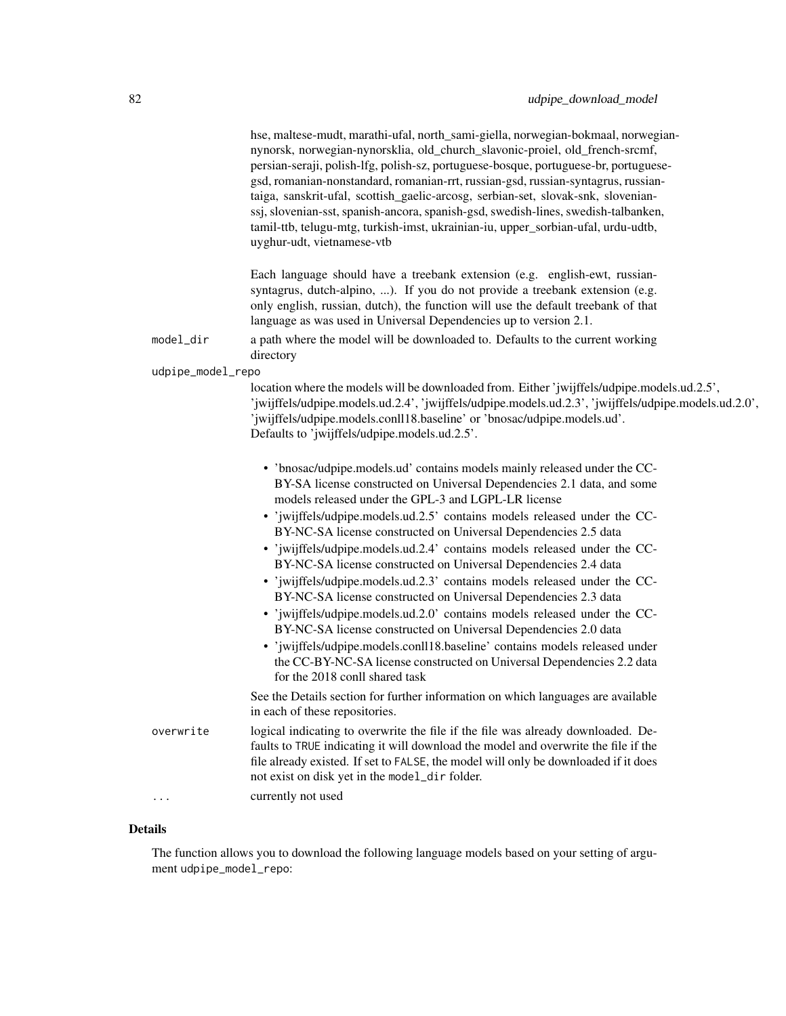hse, maltese-mudt, marathi-ufal, north\_sami-giella, norwegian-bokmaal, norwegiannynorsk, norwegian-nynorsklia, old\_church\_slavonic-proiel, old\_french-srcmf, persian-seraji, polish-lfg, polish-sz, portuguese-bosque, portuguese-br, portuguesegsd, romanian-nonstandard, romanian-rrt, russian-gsd, russian-syntagrus, russiantaiga, sanskrit-ufal, scottish\_gaelic-arcosg, serbian-set, slovak-snk, slovenianssj, slovenian-sst, spanish-ancora, spanish-gsd, swedish-lines, swedish-talbanken, tamil-ttb, telugu-mtg, turkish-imst, ukrainian-iu, upper\_sorbian-ufal, urdu-udtb, uyghur-udt, vietnamese-vtb

|                   | Each language should have a treebank extension (e.g. english-ewt, russian-<br>syntagrus, dutch-alpino, ). If you do not provide a treebank extension (e.g.<br>only english, russian, dutch), the function will use the default treebank of that<br>language as was used in Universal Dependencies up to version 2.1.                                                                                                                                                                                                                                                                                                                                                                                                                                                                                                                                                                                                                                                                                  |
|-------------------|-------------------------------------------------------------------------------------------------------------------------------------------------------------------------------------------------------------------------------------------------------------------------------------------------------------------------------------------------------------------------------------------------------------------------------------------------------------------------------------------------------------------------------------------------------------------------------------------------------------------------------------------------------------------------------------------------------------------------------------------------------------------------------------------------------------------------------------------------------------------------------------------------------------------------------------------------------------------------------------------------------|
| model_dir         | a path where the model will be downloaded to. Defaults to the current working<br>directory                                                                                                                                                                                                                                                                                                                                                                                                                                                                                                                                                                                                                                                                                                                                                                                                                                                                                                            |
| udpipe_model_repo |                                                                                                                                                                                                                                                                                                                                                                                                                                                                                                                                                                                                                                                                                                                                                                                                                                                                                                                                                                                                       |
|                   | location where the models will be downloaded from. Either 'jwijffels/udpipe.models.ud.2.5',<br>'jwijffels/udpipe.models.ud.2.4', 'jwijffels/udpipe.models.ud.2.3', 'jwijffels/udpipe.models.ud.2.0',<br>'jwijffels/udpipe.models.conll18.baseline' or 'bnosac/udpipe.models.ud'.<br>Defaults to 'jwijffels/udpipe.models.ud.2.5'.                                                                                                                                                                                                                                                                                                                                                                                                                                                                                                                                                                                                                                                                     |
|                   | • 'bnosac/udpipe.models.ud' contains models mainly released under the CC-<br>BY-SA license constructed on Universal Dependencies 2.1 data, and some<br>models released under the GPL-3 and LGPL-LR license<br>• 'jwijffels/udpipe.models.ud.2.5' contains models released under the CC-<br>BY-NC-SA license constructed on Universal Dependencies 2.5 data<br>• 'jwijffels/udpipe.models.ud.2.4' contains models released under the CC-<br>BY-NC-SA license constructed on Universal Dependencies 2.4 data<br>• 'jwijffels/udpipe.models.ud.2.3' contains models released under the CC-<br>BY-NC-SA license constructed on Universal Dependencies 2.3 data<br>• 'jwijffels/udpipe.models.ud.2.0' contains models released under the CC-<br>BY-NC-SA license constructed on Universal Dependencies 2.0 data<br>• 'jwijffels/udpipe.models.conll18.baseline' contains models released under<br>the CC-BY-NC-SA license constructed on Universal Dependencies 2.2 data<br>for the 2018 conll shared task |
|                   | See the Details section for further information on which languages are available<br>in each of these repositories.                                                                                                                                                                                                                                                                                                                                                                                                                                                                                                                                                                                                                                                                                                                                                                                                                                                                                    |
| overwrite         | logical indicating to overwrite the file if the file was already downloaded. De-<br>faults to TRUE indicating it will download the model and overwrite the file if the<br>file already existed. If set to FALSE, the model will only be downloaded if it does<br>not exist on disk yet in the model_dir folder.                                                                                                                                                                                                                                                                                                                                                                                                                                                                                                                                                                                                                                                                                       |
| $\cdots$          | currently not used                                                                                                                                                                                                                                                                                                                                                                                                                                                                                                                                                                                                                                                                                                                                                                                                                                                                                                                                                                                    |

#### Details

The function allows you to download the following language models based on your setting of argument udpipe\_model\_repo: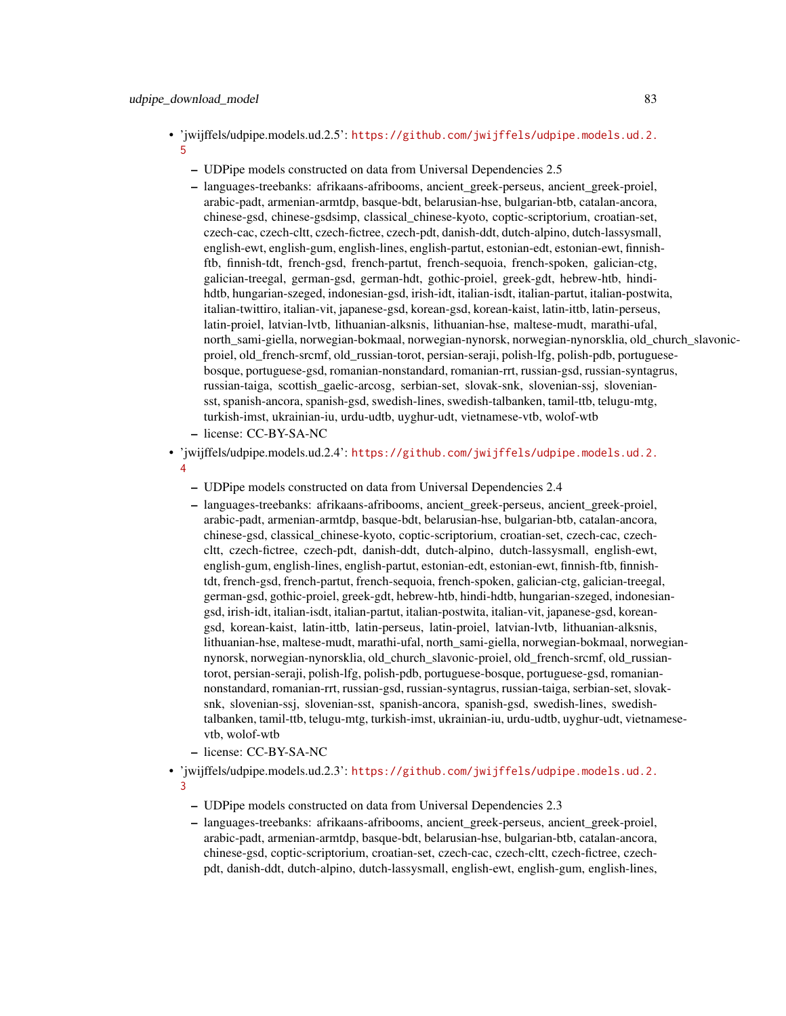- 'jwijffels/udpipe.models.ud.2.5': [https://github.com/jwijffels/udpipe.models.ud.2.](https://github.com/jwijffels/udpipe.models.ud.2.5) [5](https://github.com/jwijffels/udpipe.models.ud.2.5)
	- UDPipe models constructed on data from Universal Dependencies 2.5
	- languages-treebanks: afrikaans-afribooms, ancient\_greek-perseus, ancient\_greek-proiel, arabic-padt, armenian-armtdp, basque-bdt, belarusian-hse, bulgarian-btb, catalan-ancora, chinese-gsd, chinese-gsdsimp, classical\_chinese-kyoto, coptic-scriptorium, croatian-set, czech-cac, czech-cltt, czech-fictree, czech-pdt, danish-ddt, dutch-alpino, dutch-lassysmall, english-ewt, english-gum, english-lines, english-partut, estonian-edt, estonian-ewt, finnishftb, finnish-tdt, french-gsd, french-partut, french-sequoia, french-spoken, galician-ctg, galician-treegal, german-gsd, german-hdt, gothic-proiel, greek-gdt, hebrew-htb, hindihdtb, hungarian-szeged, indonesian-gsd, irish-idt, italian-isdt, italian-partut, italian-postwita, italian-twittiro, italian-vit, japanese-gsd, korean-gsd, korean-kaist, latin-ittb, latin-perseus, latin-proiel, latvian-lvtb, lithuanian-alksnis, lithuanian-hse, maltese-mudt, marathi-ufal, north\_sami-giella, norwegian-bokmaal, norwegian-nynorsk, norwegian-nynorsklia, old\_church\_slavonicproiel, old\_french-srcmf, old\_russian-torot, persian-seraji, polish-lfg, polish-pdb, portuguesebosque, portuguese-gsd, romanian-nonstandard, romanian-rrt, russian-gsd, russian-syntagrus, russian-taiga, scottish\_gaelic-arcosg, serbian-set, slovak-snk, slovenian-ssj, sloveniansst, spanish-ancora, spanish-gsd, swedish-lines, swedish-talbanken, tamil-ttb, telugu-mtg, turkish-imst, ukrainian-iu, urdu-udtb, uyghur-udt, vietnamese-vtb, wolof-wtb
	- license: CC-BY-SA-NC
- 'jwijffels/udpipe.models.ud.2.4': [https://github.com/jwijffels/udpipe.models.ud.2.](https://github.com/jwijffels/udpipe.models.ud.2.4) [4](https://github.com/jwijffels/udpipe.models.ud.2.4)
	- UDPipe models constructed on data from Universal Dependencies 2.4
	- languages-treebanks: afrikaans-afribooms, ancient\_greek-perseus, ancient\_greek-proiel, arabic-padt, armenian-armtdp, basque-bdt, belarusian-hse, bulgarian-btb, catalan-ancora, chinese-gsd, classical\_chinese-kyoto, coptic-scriptorium, croatian-set, czech-cac, czechcltt, czech-fictree, czech-pdt, danish-ddt, dutch-alpino, dutch-lassysmall, english-ewt, english-gum, english-lines, english-partut, estonian-edt, estonian-ewt, finnish-ftb, finnishtdt, french-gsd, french-partut, french-sequoia, french-spoken, galician-ctg, galician-treegal, german-gsd, gothic-proiel, greek-gdt, hebrew-htb, hindi-hdtb, hungarian-szeged, indonesiangsd, irish-idt, italian-isdt, italian-partut, italian-postwita, italian-vit, japanese-gsd, koreangsd, korean-kaist, latin-ittb, latin-perseus, latin-proiel, latvian-lvtb, lithuanian-alksnis, lithuanian-hse, maltese-mudt, marathi-ufal, north\_sami-giella, norwegian-bokmaal, norwegiannynorsk, norwegian-nynorsklia, old\_church\_slavonic-proiel, old\_french-srcmf, old\_russiantorot, persian-seraji, polish-lfg, polish-pdb, portuguese-bosque, portuguese-gsd, romaniannonstandard, romanian-rrt, russian-gsd, russian-syntagrus, russian-taiga, serbian-set, slovaksnk, slovenian-ssj, slovenian-sst, spanish-ancora, spanish-gsd, swedish-lines, swedishtalbanken, tamil-ttb, telugu-mtg, turkish-imst, ukrainian-iu, urdu-udtb, uyghur-udt, vietnamesevtb, wolof-wtb
	- license: CC-BY-SA-NC
- 'jwijffels/udpipe.models.ud.2.3': [https://github.com/jwijffels/udpipe.models.ud.2.](https://github.com/jwijffels/udpipe.models.ud.2.3) [3](https://github.com/jwijffels/udpipe.models.ud.2.3)
	- UDPipe models constructed on data from Universal Dependencies 2.3
	- languages-treebanks: afrikaans-afribooms, ancient\_greek-perseus, ancient\_greek-proiel, arabic-padt, armenian-armtdp, basque-bdt, belarusian-hse, bulgarian-btb, catalan-ancora, chinese-gsd, coptic-scriptorium, croatian-set, czech-cac, czech-cltt, czech-fictree, czechpdt, danish-ddt, dutch-alpino, dutch-lassysmall, english-ewt, english-gum, english-lines,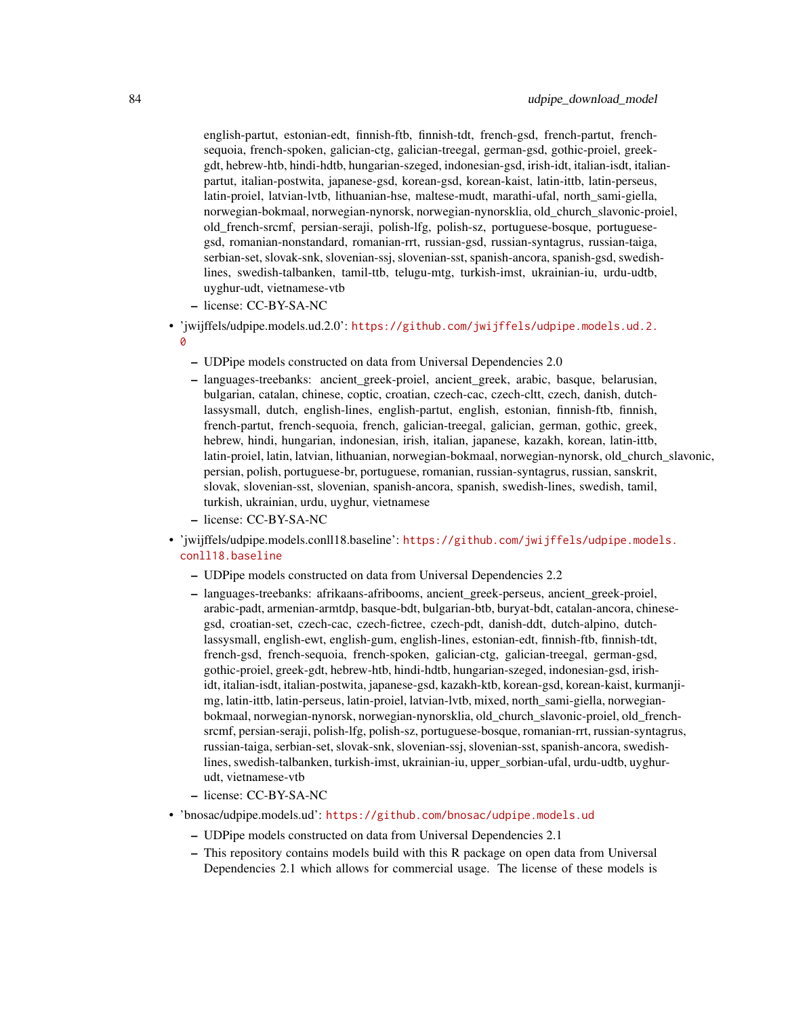english-partut, estonian-edt, finnish-ftb, finnish-tdt, french-gsd, french-partut, frenchsequoia, french-spoken, galician-ctg, galician-treegal, german-gsd, gothic-proiel, greekgdt, hebrew-htb, hindi-hdtb, hungarian-szeged, indonesian-gsd, irish-idt, italian-isdt, italianpartut, italian-postwita, japanese-gsd, korean-gsd, korean-kaist, latin-ittb, latin-perseus, latin-proiel, latvian-lvtb, lithuanian-hse, maltese-mudt, marathi-ufal, north\_sami-giella, norwegian-bokmaal, norwegian-nynorsk, norwegian-nynorsklia, old\_church\_slavonic-proiel, old\_french-srcmf, persian-seraji, polish-lfg, polish-sz, portuguese-bosque, portuguesegsd, romanian-nonstandard, romanian-rrt, russian-gsd, russian-syntagrus, russian-taiga, serbian-set, slovak-snk, slovenian-ssj, slovenian-sst, spanish-ancora, spanish-gsd, swedishlines, swedish-talbanken, tamil-ttb, telugu-mtg, turkish-imst, ukrainian-iu, urdu-udtb, uyghur-udt, vietnamese-vtb

- license: CC-BY-SA-NC
- 'jwijffels/udpipe.models.ud.2.0': [https://github.com/jwijffels/udpipe.models.ud.2.](https://github.com/jwijffels/udpipe.models.ud.2.0) [0](https://github.com/jwijffels/udpipe.models.ud.2.0)
	- UDPipe models constructed on data from Universal Dependencies 2.0
	- languages-treebanks: ancient\_greek-proiel, ancient\_greek, arabic, basque, belarusian, bulgarian, catalan, chinese, coptic, croatian, czech-cac, czech-cltt, czech, danish, dutchlassysmall, dutch, english-lines, english-partut, english, estonian, finnish-ftb, finnish, french-partut, french-sequoia, french, galician-treegal, galician, german, gothic, greek, hebrew, hindi, hungarian, indonesian, irish, italian, japanese, kazakh, korean, latin-ittb, latin-proiel, latin, latvian, lithuanian, norwegian-bokmaal, norwegian-nynorsk, old\_church\_slavonic, persian, polish, portuguese-br, portuguese, romanian, russian-syntagrus, russian, sanskrit, slovak, slovenian-sst, slovenian, spanish-ancora, spanish, swedish-lines, swedish, tamil, turkish, ukrainian, urdu, uyghur, vietnamese
	- license: CC-BY-SA-NC
- 'jwijffels/udpipe.models.conll18.baseline': [https://github.com/jwijffels/udpipe.mode](https://github.com/jwijffels/udpipe.models.conll18.baseline)ls. [conll18.baseline](https://github.com/jwijffels/udpipe.models.conll18.baseline)
	- UDPipe models constructed on data from Universal Dependencies 2.2
	- languages-treebanks: afrikaans-afribooms, ancient\_greek-perseus, ancient\_greek-proiel, arabic-padt, armenian-armtdp, basque-bdt, bulgarian-btb, buryat-bdt, catalan-ancora, chinesegsd, croatian-set, czech-cac, czech-fictree, czech-pdt, danish-ddt, dutch-alpino, dutchlassysmall, english-ewt, english-gum, english-lines, estonian-edt, finnish-ftb, finnish-tdt, french-gsd, french-sequoia, french-spoken, galician-ctg, galician-treegal, german-gsd, gothic-proiel, greek-gdt, hebrew-htb, hindi-hdtb, hungarian-szeged, indonesian-gsd, irishidt, italian-isdt, italian-postwita, japanese-gsd, kazakh-ktb, korean-gsd, korean-kaist, kurmanjimg, latin-ittb, latin-perseus, latin-proiel, latvian-lvtb, mixed, north\_sami-giella, norwegianbokmaal, norwegian-nynorsk, norwegian-nynorsklia, old\_church\_slavonic-proiel, old\_frenchsrcmf, persian-seraji, polish-lfg, polish-sz, portuguese-bosque, romanian-rrt, russian-syntagrus, russian-taiga, serbian-set, slovak-snk, slovenian-ssj, slovenian-sst, spanish-ancora, swedishlines, swedish-talbanken, turkish-imst, ukrainian-iu, upper\_sorbian-ufal, urdu-udtb, uyghurudt, vietnamese-vtb
	- license: CC-BY-SA-NC
- 'bnosac/udpipe.models.ud': <https://github.com/bnosac/udpipe.models.ud>
	- UDPipe models constructed on data from Universal Dependencies 2.1
	- This repository contains models build with this R package on open data from Universal Dependencies 2.1 which allows for commercial usage. The license of these models is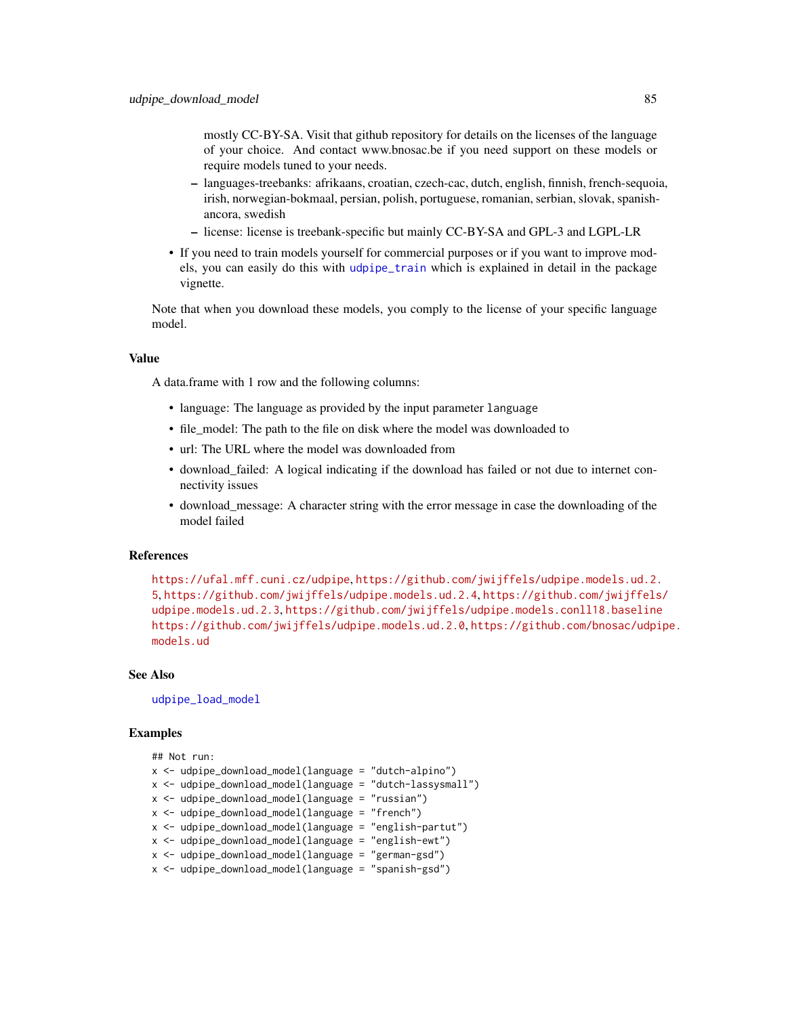<span id="page-84-0"></span>mostly CC-BY-SA. Visit that github repository for details on the licenses of the language of your choice. And contact www.bnosac.be if you need support on these models or require models tuned to your needs.

- languages-treebanks: afrikaans, croatian, czech-cac, dutch, english, finnish, french-sequoia, irish, norwegian-bokmaal, persian, polish, portuguese, romanian, serbian, slovak, spanishancora, swedish
- license: license is treebank-specific but mainly CC-BY-SA and GPL-3 and LGPL-LR
- If you need to train models yourself for commercial purposes or if you want to improve models, you can easily do this with [udpipe\\_train](#page-87-0) which is explained in detail in the package vignette.

Note that when you download these models, you comply to the license of your specific language model.

#### Value

A data.frame with 1 row and the following columns:

- language: The language as provided by the input parameter language
- file\_model: The path to the file on disk where the model was downloaded to
- url: The URL where the model was downloaded from
- download\_failed: A logical indicating if the download has failed or not due to internet connectivity issues
- download\_message: A character string with the error message in case the downloading of the model failed

#### References

<https://ufal.mff.cuni.cz/udpipe>, [https://github.com/jwijffels/udpipe.models.ud.2.](https://github.com/jwijffels/udpipe.models.ud.2.5) [5](https://github.com/jwijffels/udpipe.models.ud.2.5), <https://github.com/jwijffels/udpipe.models.ud.2.4>, [https://github.com/jwijffels](https://github.com/jwijffels/udpipe.models.ud.2.3)/ [udpipe.models.ud.2.3](https://github.com/jwijffels/udpipe.models.ud.2.3), <https://github.com/jwijffels/udpipe.models.conll18.baseline> <https://github.com/jwijffels/udpipe.models.ud.2.0>, [https://github.com/bnosac/udpi](https://github.com/bnosac/udpipe.models.ud)pe. [models.ud](https://github.com/bnosac/udpipe.models.ud)

## See Also

[udpipe\\_load\\_model](#page-85-0)

#### Examples

```
## Not run:
```
- $x \leq$  udpipe\_download\_model(language = "dutch-alpino")
- x <- udpipe\_download\_model(language = "dutch-lassysmall")
- x <- udpipe\_download\_model(language = "russian")
- x <- udpipe\_download\_model(language = "french")
- x <- udpipe\_download\_model(language = "english-partut")
- x <- udpipe\_download\_model(language = "english-ewt")
- x <- udpipe\_download\_model(language = "german-gsd")
- x <- udpipe\_download\_model(language = "spanish-gsd")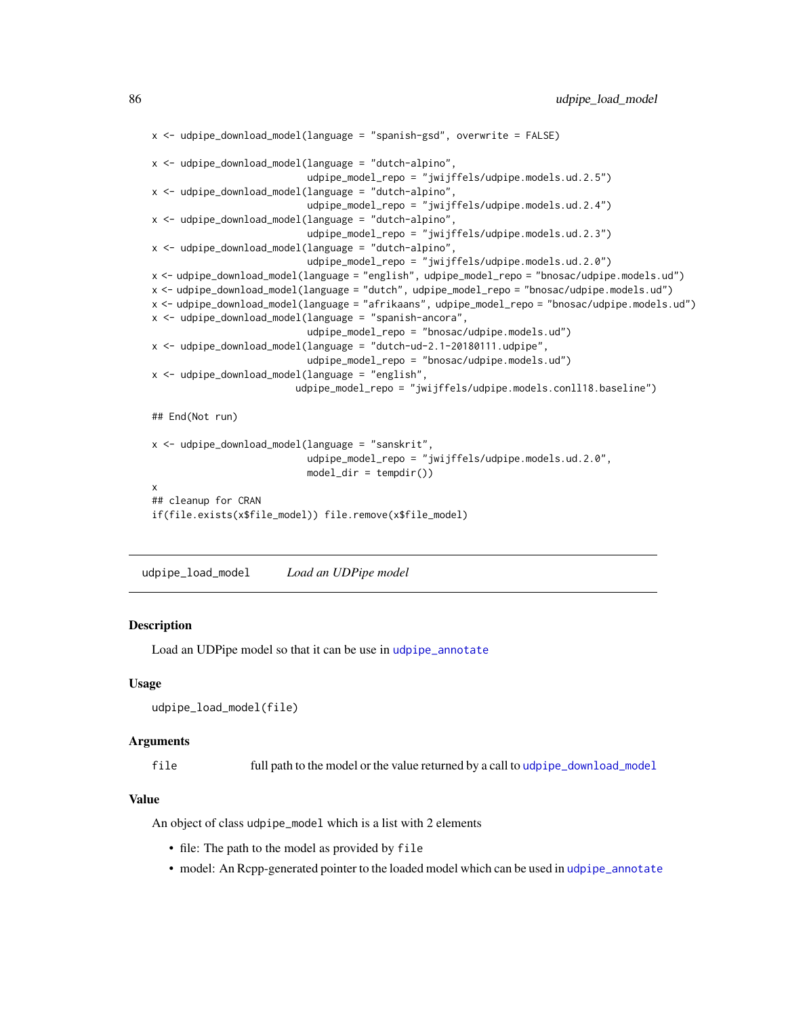```
x \le - udpipe_download_model(language = "spanish-gsd", overwrite = FALSE)
x <- udpipe_download_model(language = "dutch-alpino",
                           udpipe_model_repo = "jwijffels/udpipe.models.ud.2.5")
x <- udpipe_download_model(language = "dutch-alpino",
                           udpipe_model_repo = "jwijffels/udpipe.models.ud.2.4")
x <- udpipe_download_model(language = "dutch-alpino",
                           udpipe_model_repo = "jwijffels/udpipe.models.ud.2.3")
x <- udpipe_download_model(language = "dutch-alpino",
                           udpipe_model_repo = "jwijffels/udpipe.models.ud.2.0")
x <- udpipe_download_model(language = "english", udpipe_model_repo = "bnosac/udpipe.models.ud")
x <- udpipe_download_model(language = "dutch", udpipe_model_repo = "bnosac/udpipe.models.ud")
x <- udpipe_download_model(language = "afrikaans", udpipe_model_repo = "bnosac/udpipe.models.ud")
x <- udpipe_download_model(language = "spanish-ancora",
                           udpipe_model_repo = "bnosac/udpipe.models.ud")
x <- udpipe_download_model(language = "dutch-ud-2.1-20180111.udpipe",
                           udpipe_model_repo = "bnosac/udpipe.models.ud")
x <- udpipe_download_model(language = "english",
                         udpipe_model_repo = "jwijffels/udpipe.models.conll18.baseline")
## End(Not run)
x <- udpipe_download_model(language = "sanskrit",
                           udpipe_model_repo = "jwijffels/udpipe.models.ud.2.0",
                           model\_dir = tempdir()x
## cleanup for CRAN
if(file.exists(x$file_model)) file.remove(x$file_model)
```
<span id="page-85-0"></span>udpipe\_load\_model *Load an UDPipe model*

#### Description

Load an UDPipe model so that it can be use in [udpipe\\_annotate](#page-76-0)

#### Usage

```
udpipe_load_model(file)
```
## Arguments

file full path to the model or the value returned by a call to [udpipe\\_download\\_model](#page-79-0)

#### Value

An object of class udpipe\_model which is a list with 2 elements

- file: The path to the model as provided by file
- model: An Rcpp-generated pointer to the loaded model which can be used in [udpipe\\_annotate](#page-76-0)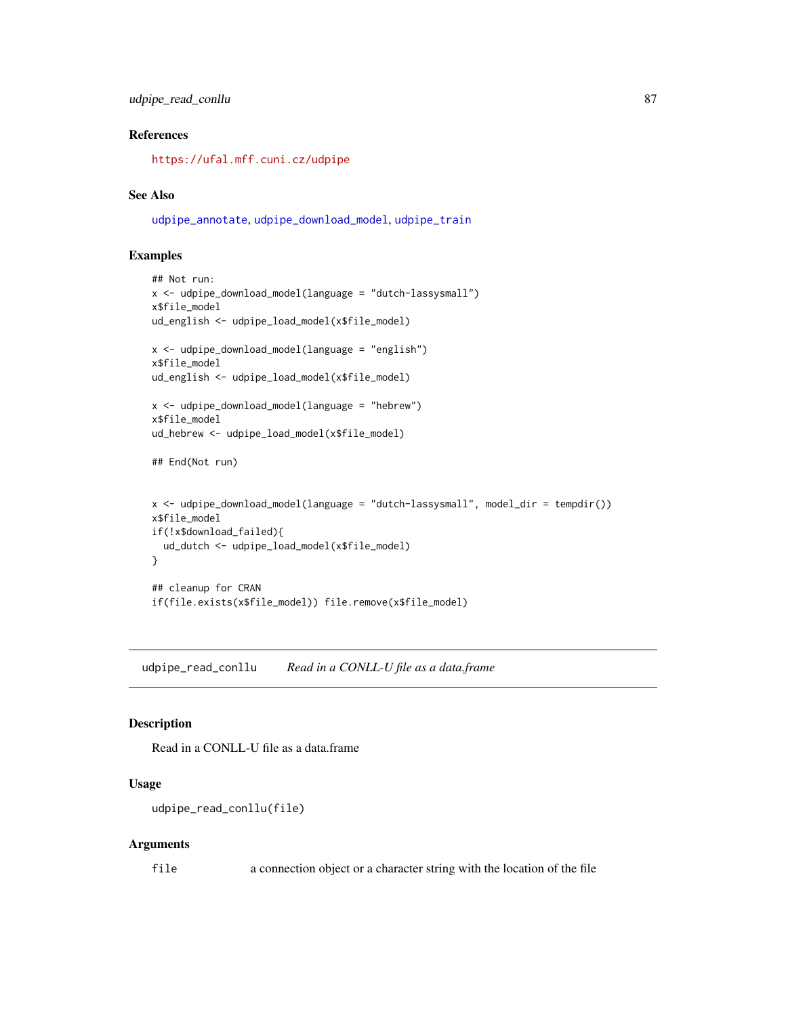## <span id="page-86-0"></span>References

<https://ufal.mff.cuni.cz/udpipe>

## See Also

[udpipe\\_annotate](#page-76-0), [udpipe\\_download\\_model](#page-79-0), [udpipe\\_train](#page-87-0)

## Examples

```
## Not run:
x <- udpipe_download_model(language = "dutch-lassysmall")
x$file_model
ud_english <- udpipe_load_model(x$file_model)
x <- udpipe_download_model(language = "english")
x$file_model
ud_english <- udpipe_load_model(x$file_model)
x <- udpipe_download_model(language = "hebrew")
x$file_model
ud_hebrew <- udpipe_load_model(x$file_model)
## End(Not run)
x <- udpipe_download_model(language = "dutch-lassysmall", model_dir = tempdir())
x$file_model
if(!x$download_failed){
  ud_dutch <- udpipe_load_model(x$file_model)
}
## cleanup for CRAN
if(file.exists(x$file_model)) file.remove(x$file_model)
```
udpipe\_read\_conllu *Read in a CONLL-U file as a data.frame*

## Description

Read in a CONLL-U file as a data.frame

## Usage

```
udpipe_read_conllu(file)
```
#### Arguments

file a connection object or a character string with the location of the file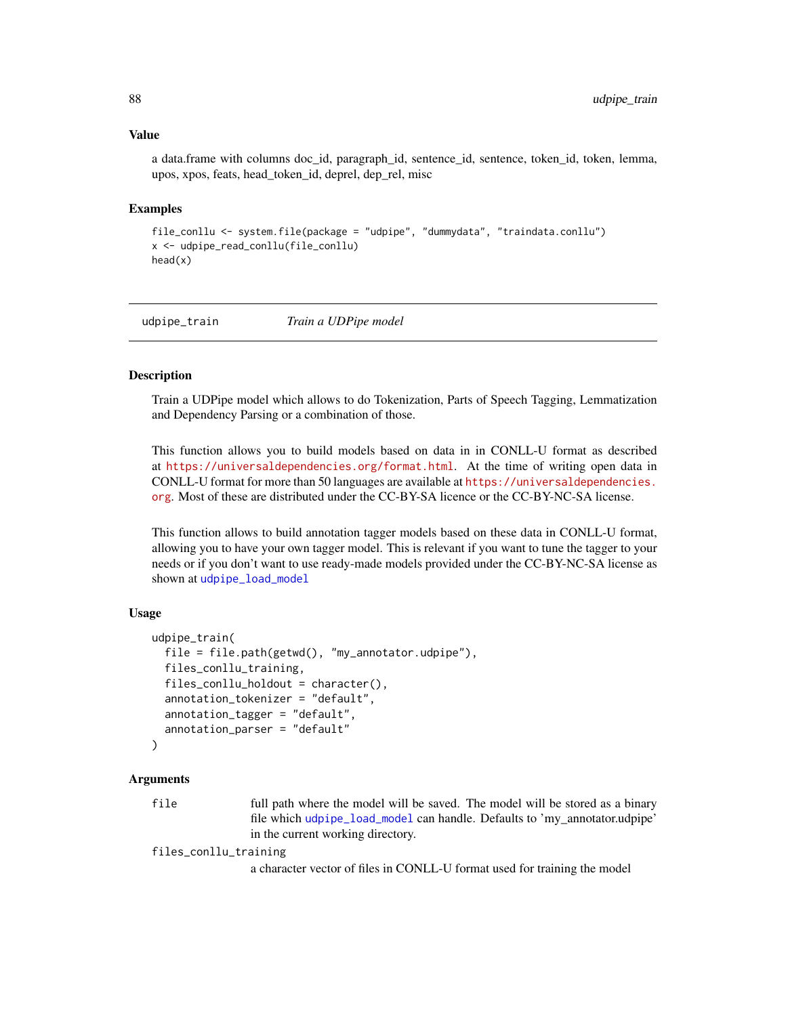#### <span id="page-87-1"></span>Value

a data.frame with columns doc id, paragraph id, sentence id, sentence, token id, token, lemma, upos, xpos, feats, head\_token\_id, deprel, dep\_rel, misc

#### Examples

```
file_conllu <- system.file(package = "udpipe", "dummydata", "traindata.conllu")
x <- udpipe_read_conllu(file_conllu)
head(x)
```
<span id="page-87-0"></span>udpipe\_train *Train a UDPipe model*

#### Description

Train a UDPipe model which allows to do Tokenization, Parts of Speech Tagging, Lemmatization and Dependency Parsing or a combination of those.

This function allows you to build models based on data in in CONLL-U format as described at <https://universaldependencies.org/format.html>. At the time of writing open data in CONLL-U format for more than 50 languages are available at [https://universaldependencies.](https://universaldependencies.org) [org](https://universaldependencies.org). Most of these are distributed under the CC-BY-SA licence or the CC-BY-NC-SA license.

This function allows to build annotation tagger models based on these data in CONLL-U format, allowing you to have your own tagger model. This is relevant if you want to tune the tagger to your needs or if you don't want to use ready-made models provided under the CC-BY-NC-SA license as shown at [udpipe\\_load\\_model](#page-85-0)

## Usage

```
udpipe_train(
  file = file.path(getwd(), "my_annotator.udpipe"),
  files_conllu_training,
  files_conllu_holdout = character(),
  annotation_tokenizer = "default",
  annotation_tagger = "default",
  annotation_parser = "default"
)
```
#### Arguments

file full path where the model will be saved. The model will be stored as a binary file which [udpipe\\_load\\_model](#page-85-0) can handle. Defaults to 'my\_annotator.udpipe' in the current working directory.

files\_conllu\_training

a character vector of files in CONLL-U format used for training the model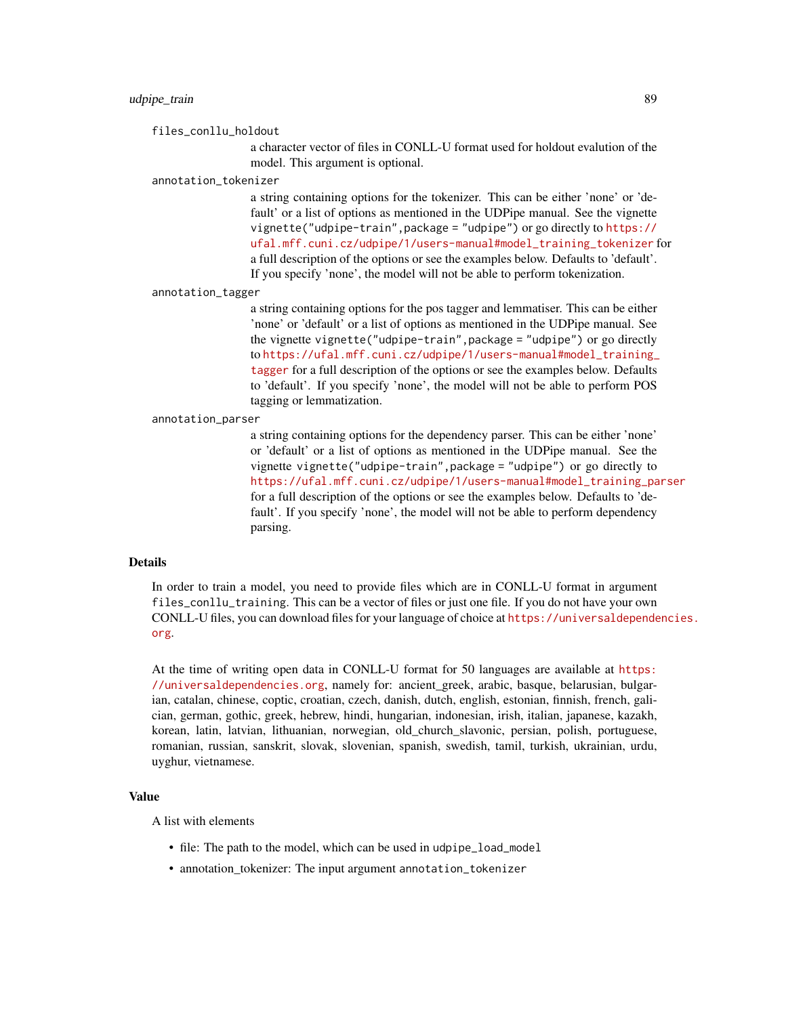#### udpipe\_train 89

files\_conllu\_holdout

a character vector of files in CONLL-U format used for holdout evalution of the model. This argument is optional.

#### annotation\_tokenizer

a string containing options for the tokenizer. This can be either 'none' or 'default' or a list of options as mentioned in the UDPipe manual. See the vignette vignette("udpipe-train",package = "udpipe") or go directly to [https://](https://ufal.mff.cuni.cz/udpipe/1/users-manual#model_training_tokenizer) [ufal.mff.cuni.cz/udpipe/1/users-manual#model\\_training\\_tokenizer](https://ufal.mff.cuni.cz/udpipe/1/users-manual#model_training_tokenizer) for a full description of the options or see the examples below. Defaults to 'default'. If you specify 'none', the model will not be able to perform tokenization.

annotation\_tagger

a string containing options for the pos tagger and lemmatiser. This can be either 'none' or 'default' or a list of options as mentioned in the UDPipe manual. See the vignette vignette("udpipe-train",package = "udpipe") or go directly to [https://ufal.mff.cuni.cz/udpipe/1/users-manual#model\\_training\\_](https://ufal.mff.cuni.cz/udpipe/1/users-manual#model_training_tagger) [tagger](https://ufal.mff.cuni.cz/udpipe/1/users-manual#model_training_tagger) for a full description of the options or see the examples below. Defaults to 'default'. If you specify 'none', the model will not be able to perform POS tagging or lemmatization.

#### annotation\_parser

a string containing options for the dependency parser. This can be either 'none' or 'default' or a list of options as mentioned in the UDPipe manual. See the vignette vignette("udpipe-train",package = "udpipe") or go directly to [https://ufal.mff.cuni.cz/udpipe/1/users-manual#model\\_training\\_parser](https://ufal.mff.cuni.cz/udpipe/1/users-manual#model_training_parser) for a full description of the options or see the examples below. Defaults to 'default'. If you specify 'none', the model will not be able to perform dependency parsing.

#### Details

In order to train a model, you need to provide files which are in CONLL-U format in argument files\_conllu\_training. This can be a vector of files or just one file. If you do not have your own CONLL-U files, you can download files for your language of choice at [https://universaldepende](https://universaldependencies.org)ncies. [org](https://universaldependencies.org).

At the time of writing open data in CONLL-U format for 50 languages are available at [https:](https://universaldependencies.org) [//universaldependencies.org](https://universaldependencies.org), namely for: ancient\_greek, arabic, basque, belarusian, bulgarian, catalan, chinese, coptic, croatian, czech, danish, dutch, english, estonian, finnish, french, galician, german, gothic, greek, hebrew, hindi, hungarian, indonesian, irish, italian, japanese, kazakh, korean, latin, latvian, lithuanian, norwegian, old\_church\_slavonic, persian, polish, portuguese, romanian, russian, sanskrit, slovak, slovenian, spanish, swedish, tamil, turkish, ukrainian, urdu, uyghur, vietnamese.

## Value

A list with elements

- file: The path to the model, which can be used in udpipe\_load\_model
- annotation\_tokenizer: The input argument annotation\_tokenizer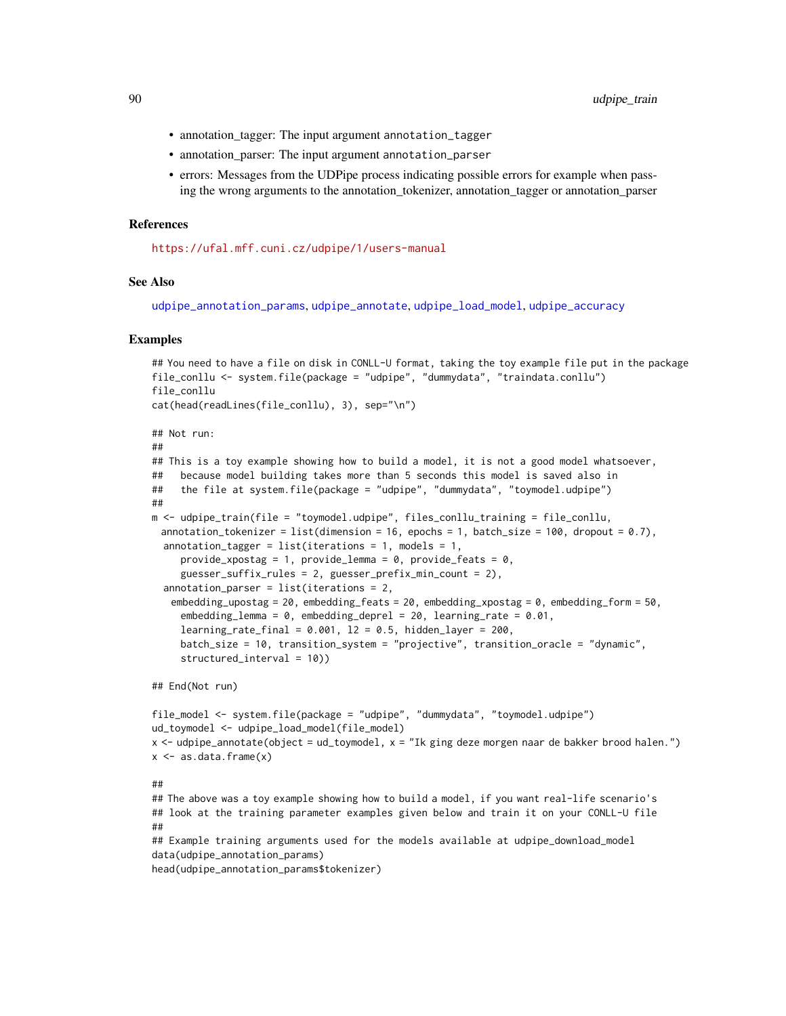- <span id="page-89-0"></span>• annotation\_tagger: The input argument annotation\_tagger
- annotation\_parser: The input argument annotation\_parser
- errors: Messages from the UDPipe process indicating possible errors for example when passing the wrong arguments to the annotation\_tokenizer, annotation\_tagger or annotation\_parser

#### References

<https://ufal.mff.cuni.cz/udpipe/1/users-manual>

## See Also

[udpipe\\_annotation\\_params](#page-79-1), [udpipe\\_annotate](#page-76-0), [udpipe\\_load\\_model](#page-85-0), [udpipe\\_accuracy](#page-75-0)

#### Examples

```
## You need to have a file on disk in CONLL-U format, taking the toy example file put in the package
file_conllu <- system.file(package = "udpipe", "dummydata", "traindata.conllu")
file_conllu
cat(head(readLines(file_conllu), 3), sep="\n")
## Not run:
##
## This is a toy example showing how to build a model, it is not a good model whatsoever,
## because model building takes more than 5 seconds this model is saved also in
## the file at system.file(package = "udpipe", "dummydata", "toymodel.udpipe")
##
m <- udpipe_train(file = "toymodel.udpipe", files_conllu_training = file_conllu,
 annotation_tokenizer = list(dimension = 16, epochs = 1, batch_size = 100, dropout = 0.7),
 annotation_tagger = list(iterations = 1, models = 1,
     provide_xpostag = 1, provide_lemma = 0, provide_feats = 0,
     guesser_suffix_rules = 2, guesser_prefix_min_count = 2),
 annotation_parser = list(iterations = 2,
   embedding_upostag = 20, embedding_feats = 20, embedding_xpostag = 0, embedding_form = 50,
     embedding_lemma = 0, embedding_deprel = 20, learning_rate = 0.01,
     learning_rate_final = 0.001, 12 = 0.5, hidden_layer = 200,
     batch_size = 10, transition_system = "projective", transition_oracle = "dynamic",
     structured_interval = 10))
```
## End(Not run)

```
file_model <- system.file(package = "udpipe", "dummydata", "toymodel.udpipe")
ud_toymodel <- udpipe_load_model(file_model)
x <- udpipe_annotate(object = ud_toymodel, x = "Ik ging deze morgen naar de bakker brood halen.")
x \leftarrow as.data-frame(x)
```
##

## The above was a toy example showing how to build a model, if you want real-life scenario's ## look at the training parameter examples given below and train it on your CONLL-U file ##

## Example training arguments used for the models available at udpipe\_download\_model data(udpipe\_annotation\_params)

head(udpipe\_annotation\_params\$tokenizer)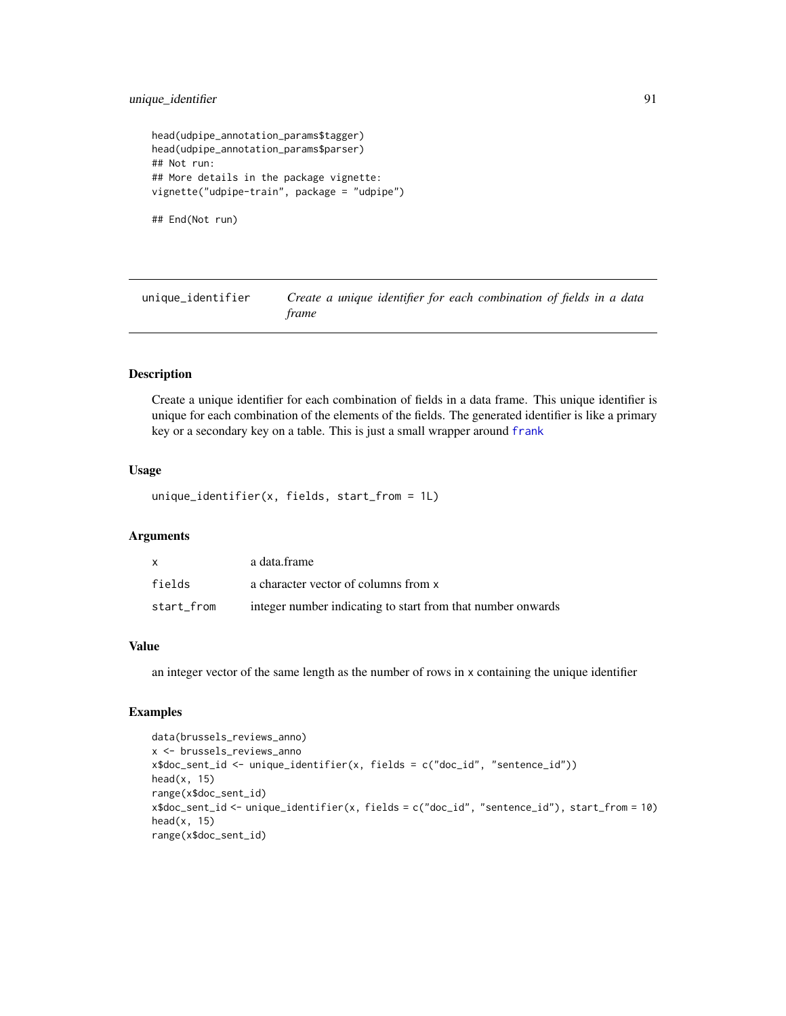```
head(udpipe_annotation_params$tagger)
head(udpipe_annotation_params$parser)
## Not run:
## More details in the package vignette:
vignette("udpipe-train", package = "udpipe")
```

```
## End(Not run)
```
unique\_identifier *Create a unique identifier for each combination of fields in a data frame*

# **Description**

Create a unique identifier for each combination of fields in a data frame. This unique identifier is unique for each combination of the elements of the fields. The generated identifier is like a primary key or a secondary key on a table. This is just a small wrapper around [frank](#page-0-0)

## Usage

unique\_identifier(x, fields, start\_from = 1L)

## Arguments

| x          | a data frame                                                |
|------------|-------------------------------------------------------------|
| fields     | a character vector of columns from x                        |
| start from | integer number indicating to start from that number onwards |

#### Value

an integer vector of the same length as the number of rows in x containing the unique identifier

## Examples

```
data(brussels_reviews_anno)
x <- brussels_reviews_anno
x$doc_sent_id <- unique_identifier(x, fields = c("doc_id", "sentence_id"))
head(x, 15)range(x$doc_sent_id)
x$doc_sent_id <- unique_identifier(x, fields = c("doc_id", "sentence_id"), start_from = 10)
head(x, 15)range(x$doc_sent_id)
```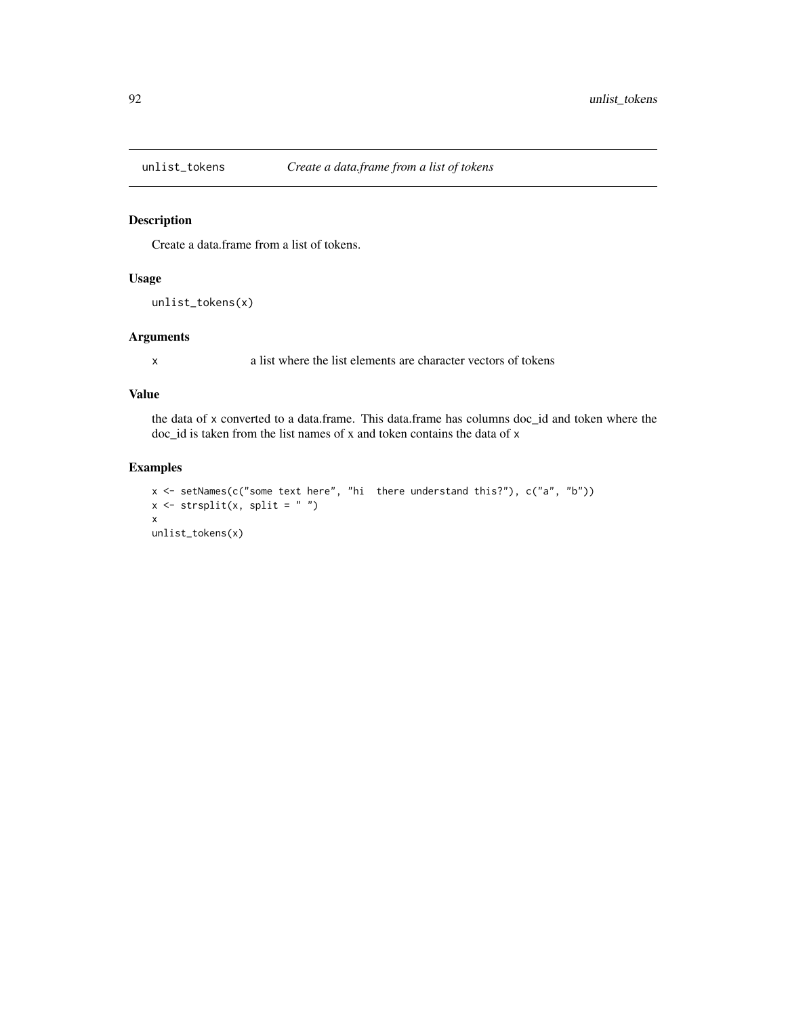<span id="page-91-0"></span>

## Description

Create a data.frame from a list of tokens.

## Usage

```
unlist_tokens(x)
```
## Arguments

x a list where the list elements are character vectors of tokens

#### Value

the data of x converted to a data.frame. This data.frame has columns doc\_id and token where the doc\_id is taken from the list names of x and token contains the data of x

## Examples

```
x <- setNames(c("some text here", "hi there understand this?"), c("a", "b"))
x \leftarrow \text{strsplit}(x, \text{ split} = "")x
unlist_tokens(x)
```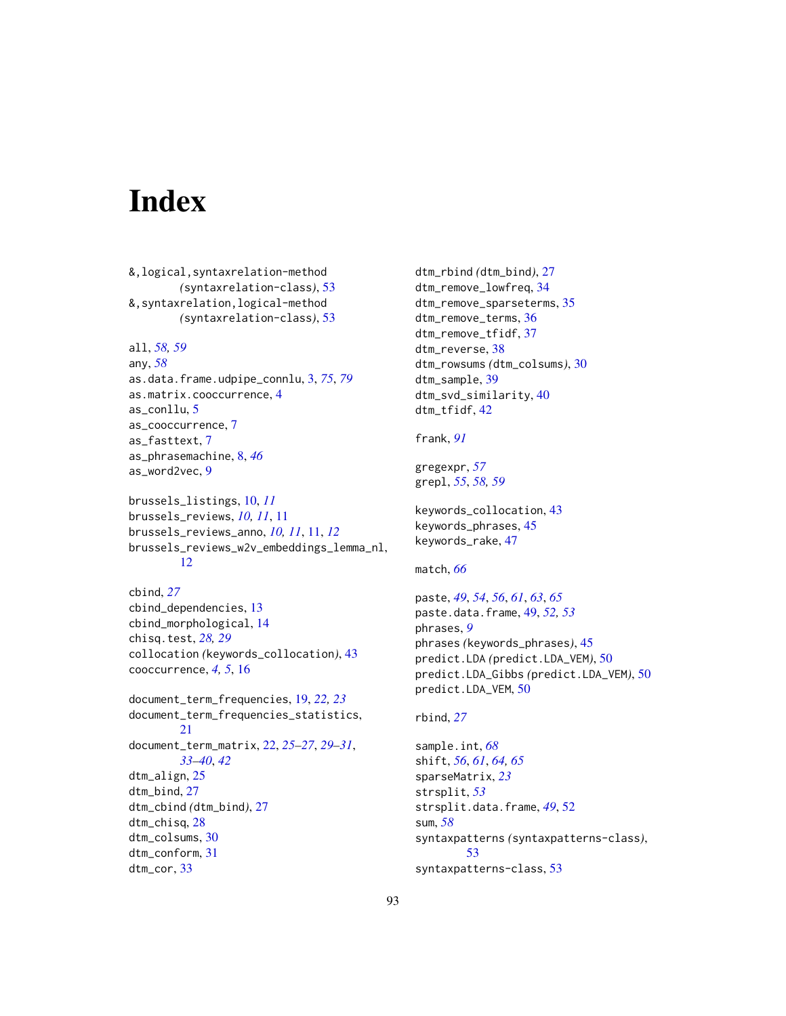# **Index**

&,logical,syntaxrelation-method *(*syntaxrelation-class*)*, [53](#page-52-0) &,syntaxrelation,logical-method *(*syntaxrelation-class*)*, [53](#page-52-0) all, *[58,](#page-57-0) [59](#page-58-0)* any, *[58](#page-57-0)* as.data.frame.udpipe\_connlu, [3,](#page-2-1) *[75](#page-74-0)*, *[79](#page-78-0)* as.matrix.cooccurrence, [4](#page-3-0) as\_conllu, [5](#page-4-0) as\_cooccurrence, [7](#page-6-0) as\_fasttext, [7](#page-6-0) as\_phrasemachine, [8,](#page-7-0) *[46](#page-45-0)* as\_word2vec, [9](#page-8-0) brussels\_listings, [10,](#page-9-0) *[11](#page-10-0)* brussels\_reviews, *[10,](#page-9-0) [11](#page-10-0)*, [11](#page-10-0) brussels\_reviews\_anno, *[10,](#page-9-0) [11](#page-10-0)*, [11,](#page-10-0) *[12](#page-11-0)* brussels\_reviews\_w2v\_embeddings\_lemma\_nl, [12](#page-11-0) cbind, *[27](#page-26-0)* cbind\_dependencies, [13](#page-12-0) cbind\_morphological, [14](#page-13-0) chisq.test, *[28,](#page-27-0) [29](#page-28-0)* collocation *(*keywords\_collocation*)*, [43](#page-42-0) cooccurrence, *[4,](#page-3-0) [5](#page-4-0)*, [16](#page-15-0) document\_term\_frequencies, [19,](#page-18-0) *[22,](#page-21-0) [23](#page-22-0)* document\_term\_frequencies\_statistics, [21](#page-20-0) document\_term\_matrix, [22,](#page-21-0) *[25–](#page-24-0)[27](#page-26-0)*, *[29–](#page-28-0)[31](#page-30-0)*, *[33](#page-32-0)[–40](#page-39-0)*, *[42](#page-41-0)* dtm\_align, [25](#page-24-0) dtm\_bind, [27](#page-26-0) dtm\_cbind *(*dtm\_bind*)*, [27](#page-26-0) dtm\_chisq, [28](#page-27-0) dtm\_colsums, [30](#page-29-0) dtm\_conform, [31](#page-30-0) dtm\_cor, [33](#page-32-0)

dtm\_rbind *(*dtm\_bind*)*, [27](#page-26-0) dtm\_remove\_lowfreq, [34](#page-33-0) dtm\_remove\_sparseterms, [35](#page-34-0) dtm\_remove\_terms, [36](#page-35-0) dtm\_remove\_tfidf, [37](#page-36-0) dtm\_reverse, [38](#page-37-0) dtm\_rowsums *(*dtm\_colsums*)*, [30](#page-29-0) dtm\_sample, [39](#page-38-0) dtm\_svd\_similarity, [40](#page-39-0) dtm\_tfidf, [42](#page-41-0)

frank, *[91](#page-90-0)*

gregexpr, *[57](#page-56-0)* grepl, *[55](#page-54-0)*, *[58,](#page-57-0) [59](#page-58-0)*

keywords\_collocation, [43](#page-42-0) keywords\_phrases, [45](#page-44-0) keywords\_rake, [47](#page-46-0)

## match, *[66](#page-65-0)*

```
paste, 49, 54, 56, 61, 63, 65
paste.data.frame, 49, 52, 53
phrases, 9
phrases (keywords_phrases), 45
predict.LDA (predict.LDA_VEM), 50
predict.LDA_Gibbs (predict.LDA_VEM), 50
predict.LDA_VEM, 50
```
## rbind, *[27](#page-26-0)*

sample.int, *[68](#page-67-0)* shift, *[56](#page-55-0)*, *[61](#page-60-0)*, *[64,](#page-63-0) [65](#page-64-0)* sparseMatrix, *[23](#page-22-0)* strsplit, *[53](#page-52-0)* strsplit.data.frame, *[49](#page-48-0)*, [52](#page-51-0) sum, *[58](#page-57-0)* syntaxpatterns *(*syntaxpatterns-class*)*, [53](#page-52-0) syntaxpatterns-class, [53](#page-52-0)